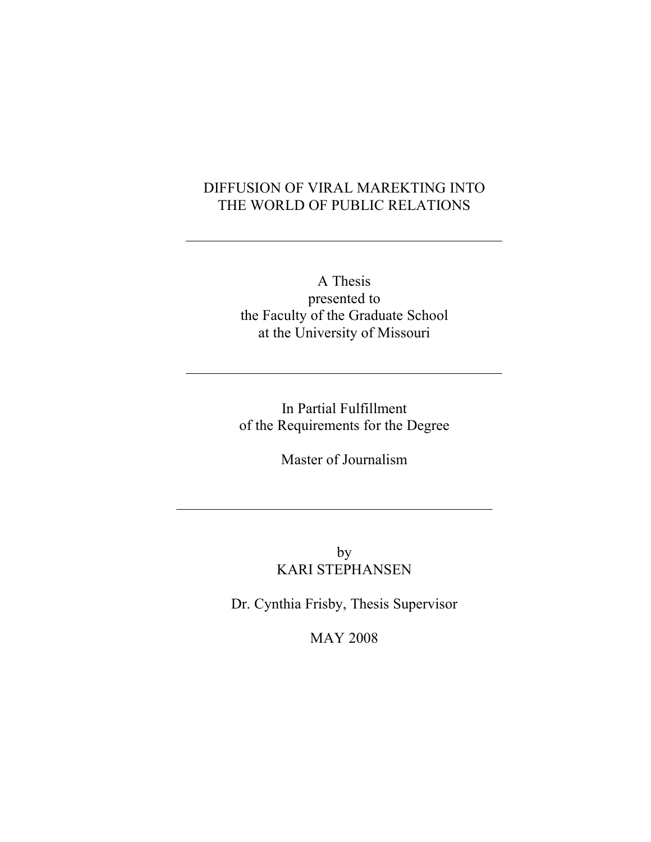# DIFFUSION OF VIRAL MAREKTING INTO THE WORLD OF PUBLIC RELATIONS

A Thesis presented to the Faculty of the Graduate School at the University of Missouri

In Partial Fulfillment of the Requirements for the Degree

Master of Journalism

by KARI STEPHANSEN

Dr. Cynthia Frisby, Thesis Supervisor

MAY 2008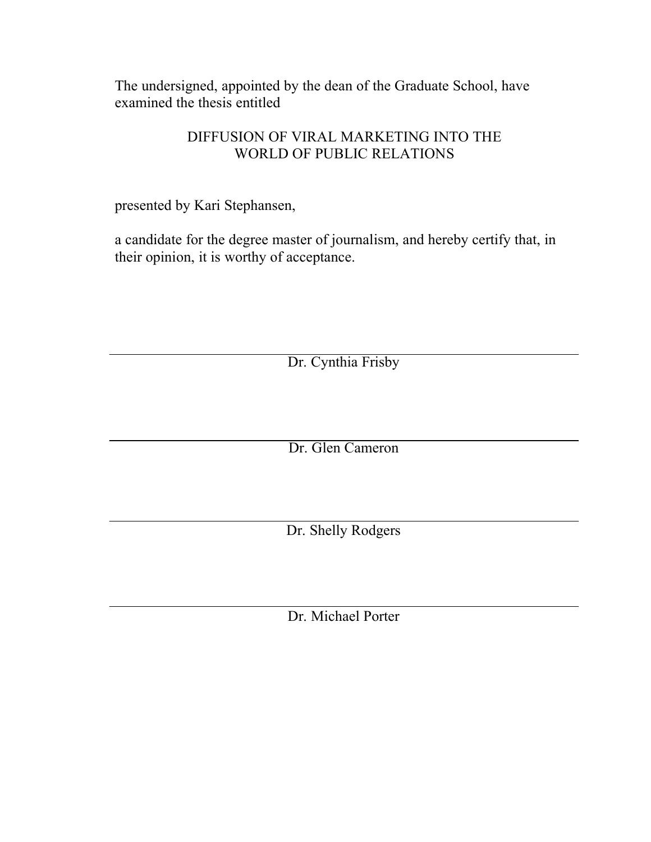The undersigned, appointed by the dean of the Graduate School, have examined the thesis entitled

# DIFFUSION OF VIRAL MARKETING INTO THE WORLD OF PUBLIC RELATIONS

presented by Kari Stephansen,

a candidate for the degree master of journalism, and hereby certify that, in their opinion, it is worthy of acceptance.

Dr. Cynthia Frisby

Dr. Glen Cameron

Dr. Shelly Rodgers

Dr. Michael Porter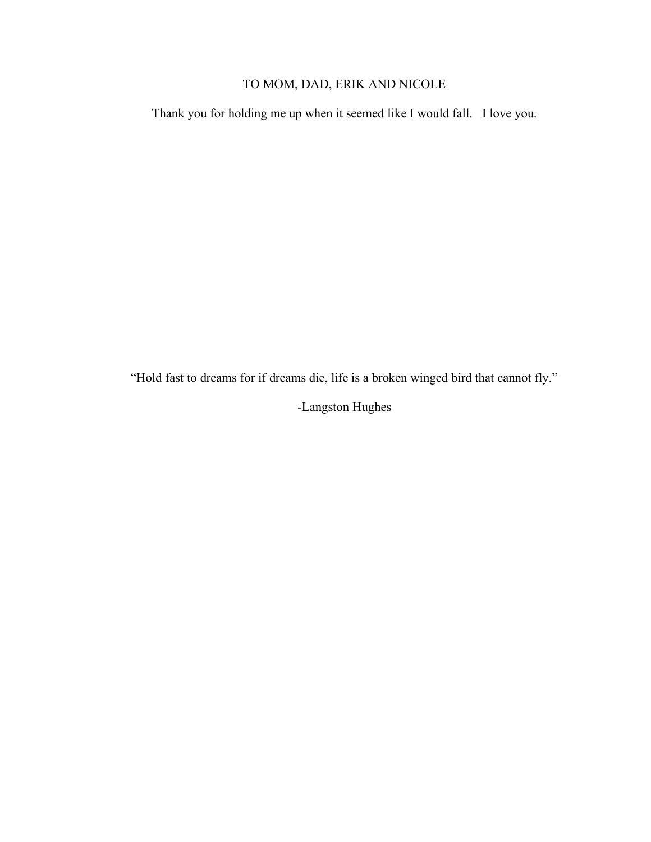# TO MOM, DAD, ERIK AND NICOLE

Thank you for holding me up when it seemed like I would fall. I love you.

"Hold fast to dreams for if dreams die, life is a broken winged bird that cannot fly."

-Langston Hughes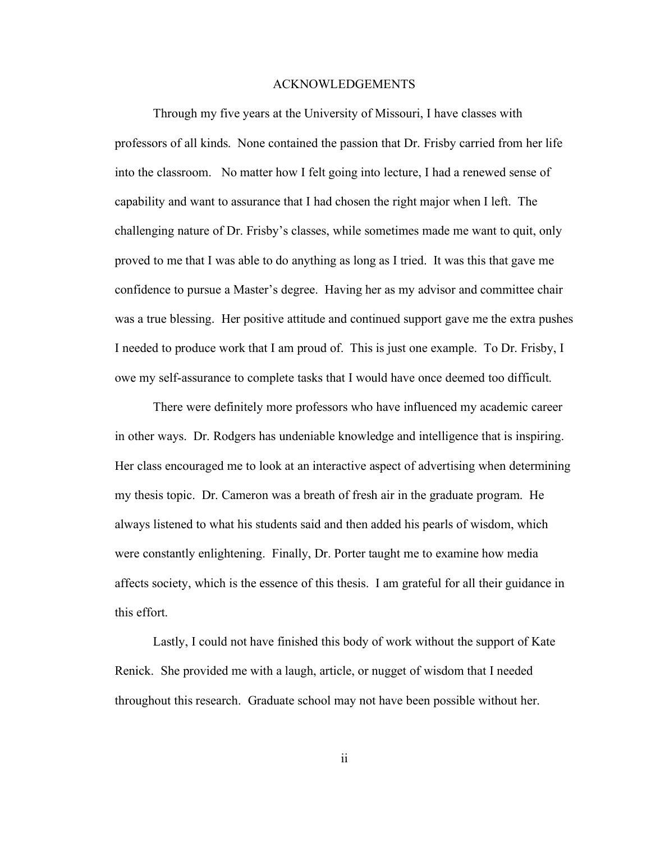#### ACKNOWLEDGEMENTS

Through my five years at the University of Missouri, I have classes with professors of all kinds. None contained the passion that Dr. Frisby carried from her life into the classroom. No matter how I felt going into lecture, I had a renewed sense of capability and want to assurance that I had chosen the right major when I left. The challenging nature of Dr. Frisby's classes, while sometimes made me want to quit, only proved to me that I was able to do anything as long as I tried. It was this that gave me confidence to pursue a Master's degree. Having her as my advisor and committee chair was a true blessing. Her positive attitude and continued support gave me the extra pushes I needed to produce work that I am proud of. This is just one example. To Dr. Frisby, I owe my self-assurance to complete tasks that I would have once deemed too difficult.

There were definitely more professors who have influenced my academic career in other ways. Dr. Rodgers has undeniable knowledge and intelligence that is inspiring. Her class encouraged me to look at an interactive aspect of advertising when determining my thesis topic. Dr. Cameron was a breath of fresh air in the graduate program. He always listened to what his students said and then added his pearls of wisdom, which were constantly enlightening. Finally, Dr. Porter taught me to examine how media affects society, which is the essence of this thesis. I am grateful for all their guidance in this effort.

Lastly, I could not have finished this body of work without the support of Kate Renick. She provided me with a laugh, article, or nugget of wisdom that I needed throughout this research. Graduate school may not have been possible without her.

ii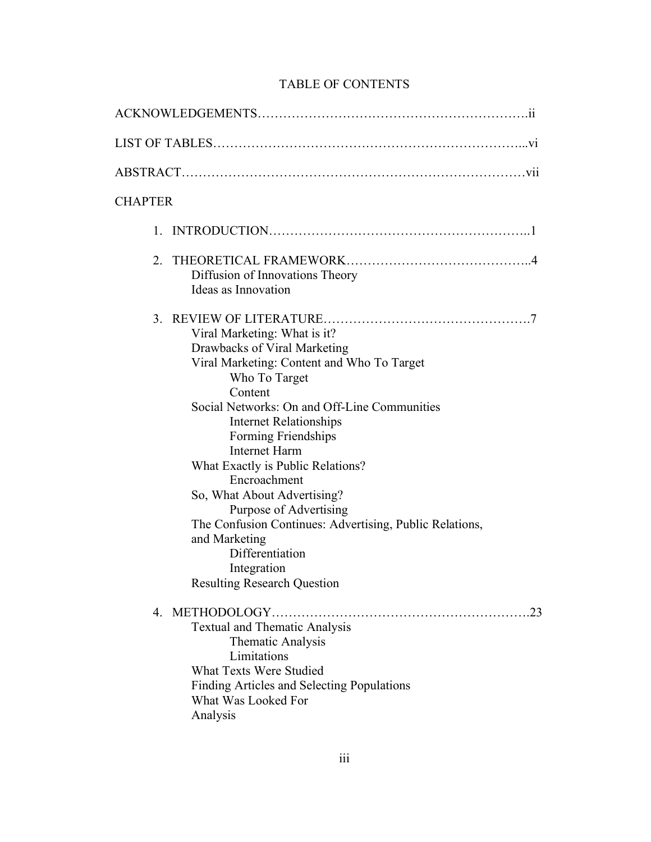| <b>CHAPTER</b> |                                                                                                                                                                                                                                                                                                                                                                                                                                                                                                                                          |
|----------------|------------------------------------------------------------------------------------------------------------------------------------------------------------------------------------------------------------------------------------------------------------------------------------------------------------------------------------------------------------------------------------------------------------------------------------------------------------------------------------------------------------------------------------------|
|                |                                                                                                                                                                                                                                                                                                                                                                                                                                                                                                                                          |
| 2              | Diffusion of Innovations Theory<br>Ideas as Innovation                                                                                                                                                                                                                                                                                                                                                                                                                                                                                   |
|                | Viral Marketing: What is it?<br>Drawbacks of Viral Marketing<br>Viral Marketing: Content and Who To Target<br>Who To Target<br>Content<br>Social Networks: On and Off-Line Communities<br><b>Internet Relationships</b><br>Forming Friendships<br><b>Internet Harm</b><br>What Exactly is Public Relations?<br>Encroachment<br>So, What About Advertising?<br>Purpose of Advertising<br>The Confusion Continues: Advertising, Public Relations,<br>and Marketing<br>Differentiation<br>Integration<br><b>Resulting Research Question</b> |
|                | 23<br><b>Textual and Thematic Analysis</b><br><b>Thematic Analysis</b><br>Limitations<br><b>What Texts Were Studied</b><br>Finding Articles and Selecting Populations<br>What Was Looked For<br>Analysis                                                                                                                                                                                                                                                                                                                                 |

## TABLE OF CONTENTS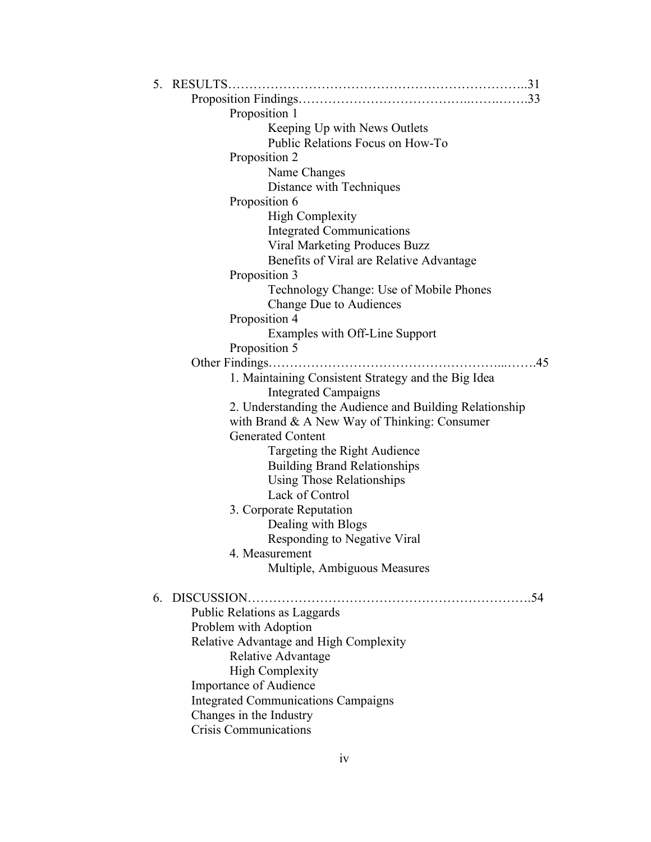| 5. | RESULTS                                                 |
|----|---------------------------------------------------------|
|    |                                                         |
|    | Proposition 1                                           |
|    | Keeping Up with News Outlets                            |
|    | Public Relations Focus on How-To                        |
|    | Proposition 2                                           |
|    | Name Changes                                            |
|    | Distance with Techniques                                |
|    | Proposition 6                                           |
|    | <b>High Complexity</b>                                  |
|    | <b>Integrated Communications</b>                        |
|    | <b>Viral Marketing Produces Buzz</b>                    |
|    | Benefits of Viral are Relative Advantage                |
|    | Proposition 3                                           |
|    | Technology Change: Use of Mobile Phones                 |
|    | Change Due to Audiences                                 |
|    | Proposition 4                                           |
|    | Examples with Off-Line Support                          |
|    | Proposition 5                                           |
|    | 45<br>Other Findings                                    |
|    | 1. Maintaining Consistent Strategy and the Big Idea     |
|    | <b>Integrated Campaigns</b>                             |
|    | 2. Understanding the Audience and Building Relationship |
|    | with Brand $\&$ A New Way of Thinking: Consumer         |
|    | <b>Generated Content</b>                                |
|    | Targeting the Right Audience                            |
|    | <b>Building Brand Relationships</b>                     |
|    | <b>Using Those Relationships</b>                        |
|    | Lack of Control                                         |
|    | 3. Corporate Reputation                                 |
|    | Dealing with Blogs                                      |
|    | Responding to Negative Viral                            |
|    | 4 Measurement                                           |
|    | Multiple, Ambiguous Measures                            |
| 6. | DISCUSSION.                                             |
|    | Public Relations as Laggards                            |
|    | Problem with Adoption                                   |
|    | Relative Advantage and High Complexity                  |
|    | Relative Advantage                                      |
|    | <b>High Complexity</b>                                  |
|    | <b>Importance of Audience</b>                           |
|    | <b>Integrated Communications Campaigns</b>              |
|    | Changes in the Industry                                 |
|    | <b>Crisis Communications</b>                            |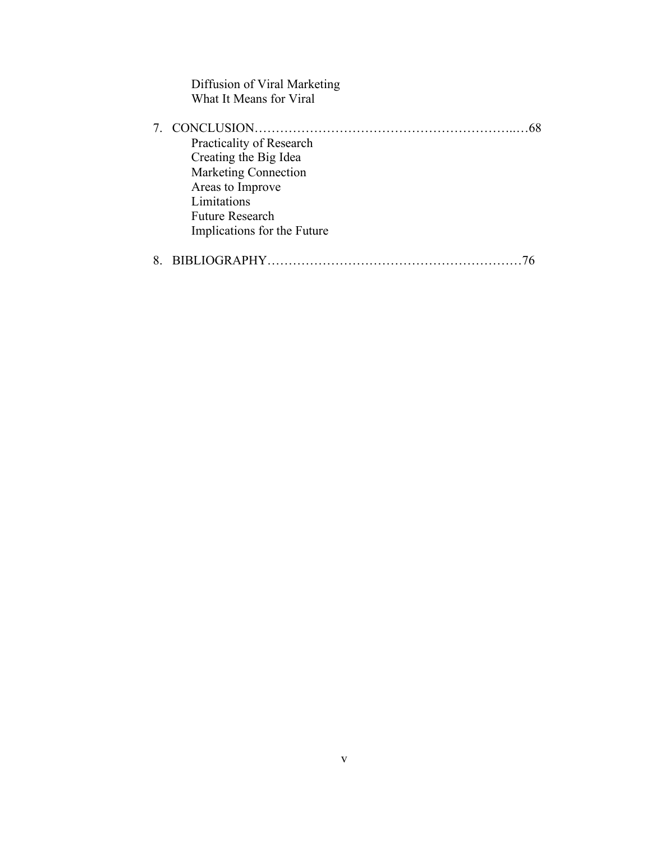| Diffusion of Viral Marketing |  |
|------------------------------|--|
| What It Means for Viral      |  |
|                              |  |
|                              |  |
| Practicality of Research     |  |
| Creating the Big Idea        |  |
| <b>Marketing Connection</b>  |  |
| Areas to Improve             |  |
| Limitations                  |  |
| <b>Future Research</b>       |  |
| Implications for the Future  |  |
|                              |  |
|                              |  |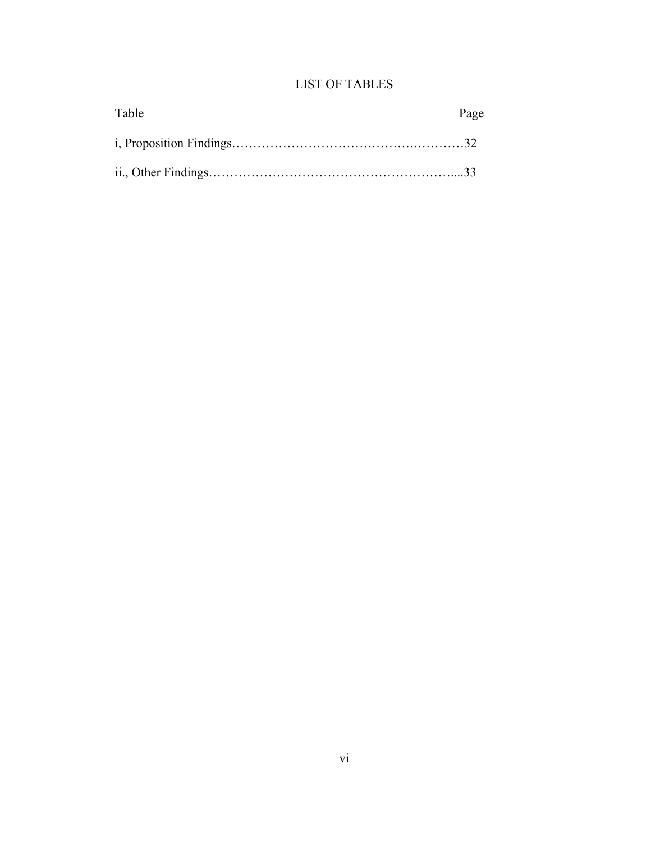## LIST OF TABLES

| Table | Page |
|-------|------|
|       |      |
|       |      |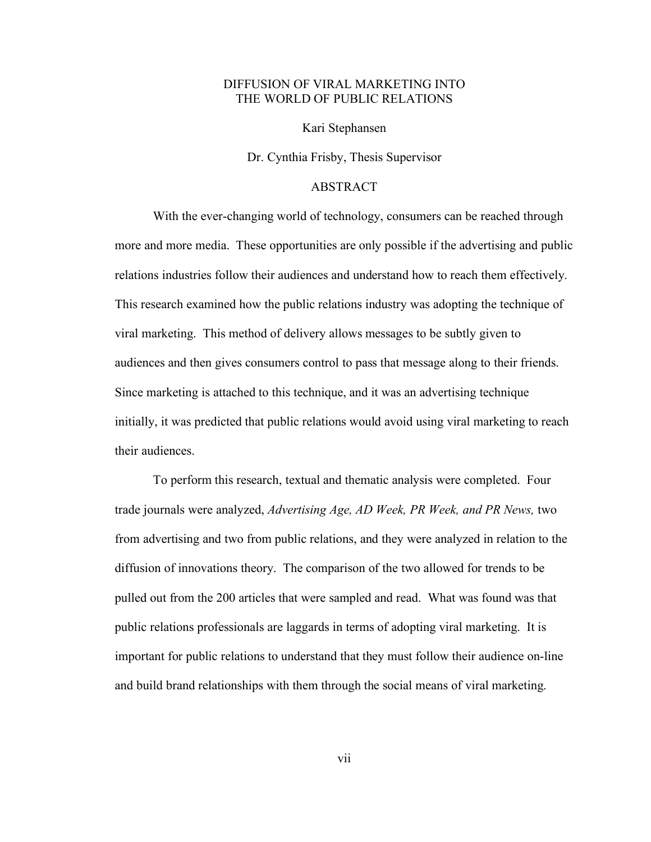## DIFFUSION OF VIRAL MARKETING INTO THE WORLD OF PUBLIC RELATIONS

Kari Stephansen

Dr. Cynthia Frisby, Thesis Supervisor

## ABSTRACT

With the ever-changing world of technology, consumers can be reached through more and more media. These opportunities are only possible if the advertising and public relations industries follow their audiences and understand how to reach them effectively. This research examined how the public relations industry was adopting the technique of viral marketing. This method of delivery allows messages to be subtly given to audiences and then gives consumers control to pass that message along to their friends. Since marketing is attached to this technique, and it was an advertising technique initially, it was predicted that public relations would avoid using viral marketing to reach their audiences.

To perform this research, textual and thematic analysis were completed. Four trade journals were analyzed, *Advertising Age, AD Week, PR Week, and PR News,* two from advertising and two from public relations, and they were analyzed in relation to the diffusion of innovations theory. The comparison of the two allowed for trends to be pulled out from the 200 articles that were sampled and read. What was found was that public relations professionals are laggards in terms of adopting viral marketing. It is important for public relations to understand that they must follow their audience on-line and build brand relationships with them through the social means of viral marketing.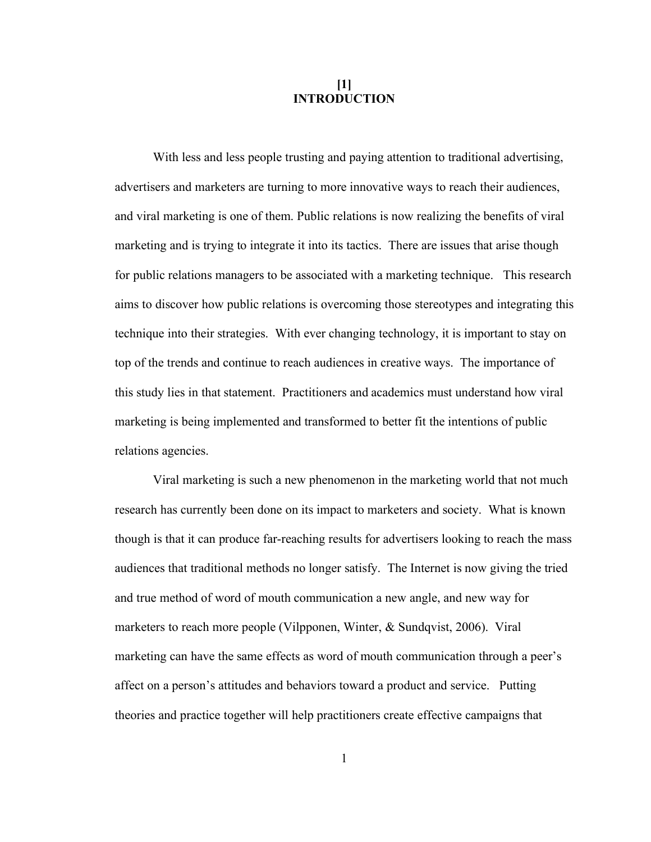## **[1] INTRODUCTION**

With less and less people trusting and paying attention to traditional advertising, advertisers and marketers are turning to more innovative ways to reach their audiences, and viral marketing is one of them. Public relations is now realizing the benefits of viral marketing and is trying to integrate it into its tactics. There are issues that arise though for public relations managers to be associated with a marketing technique. This research aims to discover how public relations is overcoming those stereotypes and integrating this technique into their strategies. With ever changing technology, it is important to stay on top of the trends and continue to reach audiences in creative ways. The importance of this study lies in that statement. Practitioners and academics must understand how viral marketing is being implemented and transformed to better fit the intentions of public relations agencies.

Viral marketing is such a new phenomenon in the marketing world that not much research has currently been done on its impact to marketers and society. What is known though is that it can produce far-reaching results for advertisers looking to reach the mass audiences that traditional methods no longer satisfy. The Internet is now giving the tried and true method of word of mouth communication a new angle, and new way for marketers to reach more people (Vilpponen, Winter, & Sundqvist, 2006). Viral marketing can have the same effects as word of mouth communication through a peer's affect on a person's attitudes and behaviors toward a product and service. Putting theories and practice together will help practitioners create effective campaigns that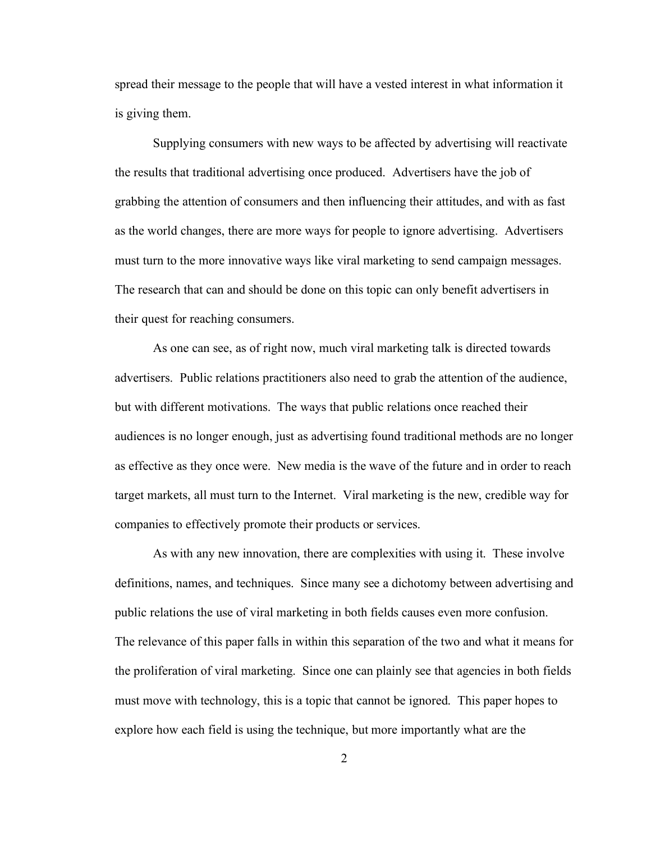spread their message to the people that will have a vested interest in what information it is giving them.

Supplying consumers with new ways to be affected by advertising will reactivate the results that traditional advertising once produced. Advertisers have the job of grabbing the attention of consumers and then influencing their attitudes, and with as fast as the world changes, there are more ways for people to ignore advertising. Advertisers must turn to the more innovative ways like viral marketing to send campaign messages. The research that can and should be done on this topic can only benefit advertisers in their quest for reaching consumers.

As one can see, as of right now, much viral marketing talk is directed towards advertisers. Public relations practitioners also need to grab the attention of the audience, but with different motivations. The ways that public relations once reached their audiences is no longer enough, just as advertising found traditional methods are no longer as effective as they once were. New media is the wave of the future and in order to reach target markets, all must turn to the Internet. Viral marketing is the new, credible way for companies to effectively promote their products or services.

As with any new innovation, there are complexities with using it. These involve definitions, names, and techniques. Since many see a dichotomy between advertising and public relations the use of viral marketing in both fields causes even more confusion. The relevance of this paper falls in within this separation of the two and what it means for the proliferation of viral marketing. Since one can plainly see that agencies in both fields must move with technology, this is a topic that cannot be ignored. This paper hopes to explore how each field is using the technique, but more importantly what are the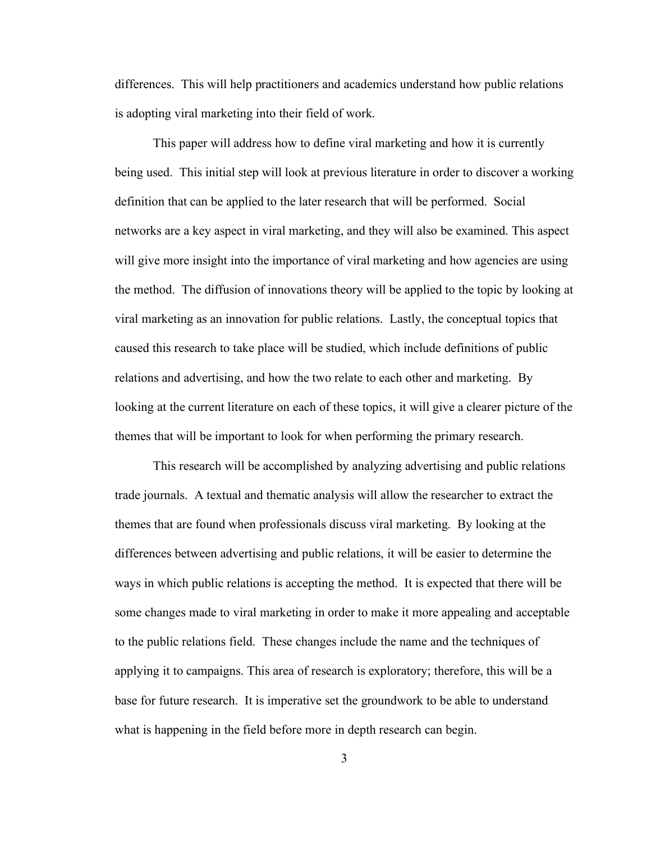differences. This will help practitioners and academics understand how public relations is adopting viral marketing into their field of work.

This paper will address how to define viral marketing and how it is currently being used. This initial step will look at previous literature in order to discover a working definition that can be applied to the later research that will be performed. Social networks are a key aspect in viral marketing, and they will also be examined. This aspect will give more insight into the importance of viral marketing and how agencies are using the method. The diffusion of innovations theory will be applied to the topic by looking at viral marketing as an innovation for public relations. Lastly, the conceptual topics that caused this research to take place will be studied, which include definitions of public relations and advertising, and how the two relate to each other and marketing. By looking at the current literature on each of these topics, it will give a clearer picture of the themes that will be important to look for when performing the primary research.

This research will be accomplished by analyzing advertising and public relations trade journals. A textual and thematic analysis will allow the researcher to extract the themes that are found when professionals discuss viral marketing. By looking at the differences between advertising and public relations, it will be easier to determine the ways in which public relations is accepting the method. It is expected that there will be some changes made to viral marketing in order to make it more appealing and acceptable to the public relations field. These changes include the name and the techniques of applying it to campaigns. This area of research is exploratory; therefore, this will be a base for future research. It is imperative set the groundwork to be able to understand what is happening in the field before more in depth research can begin.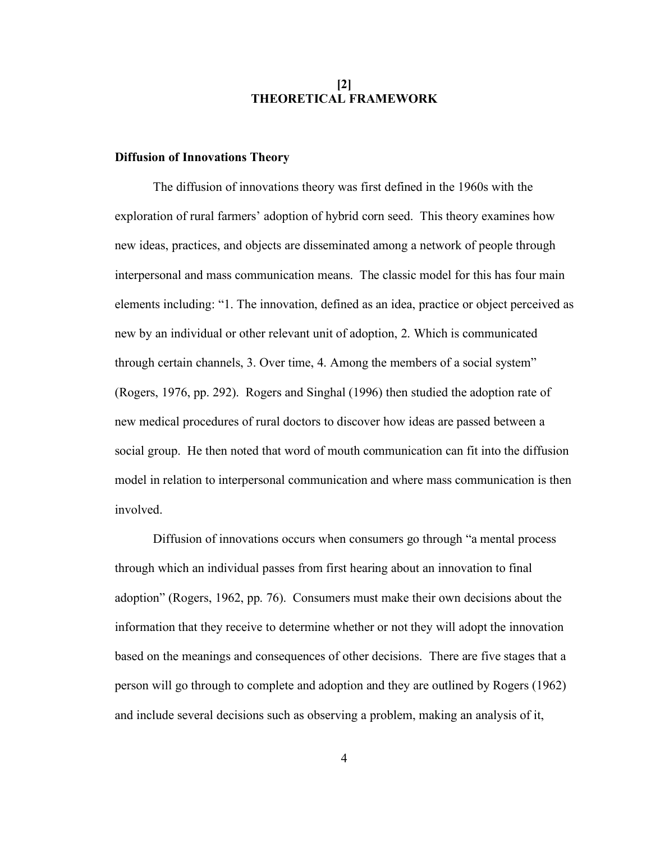## **[2] THEORETICAL FRAMEWORK**

## **Diffusion of Innovations Theory**

The diffusion of innovations theory was first defined in the 1960s with the exploration of rural farmers' adoption of hybrid corn seed. This theory examines how new ideas, practices, and objects are disseminated among a network of people through interpersonal and mass communication means. The classic model for this has four main elements including: "1. The innovation, defined as an idea, practice or object perceived as new by an individual or other relevant unit of adoption, 2. Which is communicated through certain channels, 3. Over time, 4. Among the members of a social system" (Rogers, 1976, pp. 292). Rogers and Singhal (1996) then studied the adoption rate of new medical procedures of rural doctors to discover how ideas are passed between a social group. He then noted that word of mouth communication can fit into the diffusion model in relation to interpersonal communication and where mass communication is then involved.

Diffusion of innovations occurs when consumers go through "a mental process through which an individual passes from first hearing about an innovation to final adoption" (Rogers, 1962, pp. 76). Consumers must make their own decisions about the information that they receive to determine whether or not they will adopt the innovation based on the meanings and consequences of other decisions. There are five stages that a person will go through to complete and adoption and they are outlined by Rogers (1962) and include several decisions such as observing a problem, making an analysis of it,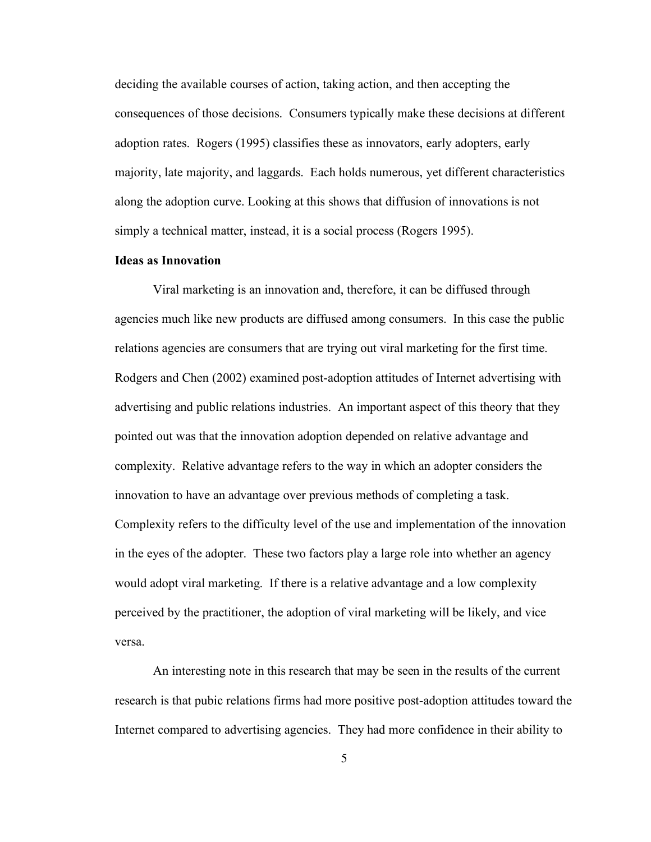deciding the available courses of action, taking action, and then accepting the consequences of those decisions. Consumers typically make these decisions at different adoption rates. Rogers (1995) classifies these as innovators, early adopters, early majority, late majority, and laggards. Each holds numerous, yet different characteristics along the adoption curve. Looking at this shows that diffusion of innovations is not simply a technical matter, instead, it is a social process (Rogers 1995).

#### **Ideas as Innovation**

Viral marketing is an innovation and, therefore, it can be diffused through agencies much like new products are diffused among consumers. In this case the public relations agencies are consumers that are trying out viral marketing for the first time. Rodgers and Chen (2002) examined post-adoption attitudes of Internet advertising with advertising and public relations industries. An important aspect of this theory that they pointed out was that the innovation adoption depended on relative advantage and complexity. Relative advantage refers to the way in which an adopter considers the innovation to have an advantage over previous methods of completing a task. Complexity refers to the difficulty level of the use and implementation of the innovation in the eyes of the adopter. These two factors play a large role into whether an agency would adopt viral marketing. If there is a relative advantage and a low complexity perceived by the practitioner, the adoption of viral marketing will be likely, and vice versa.

An interesting note in this research that may be seen in the results of the current research is that pubic relations firms had more positive post-adoption attitudes toward the Internet compared to advertising agencies. They had more confidence in their ability to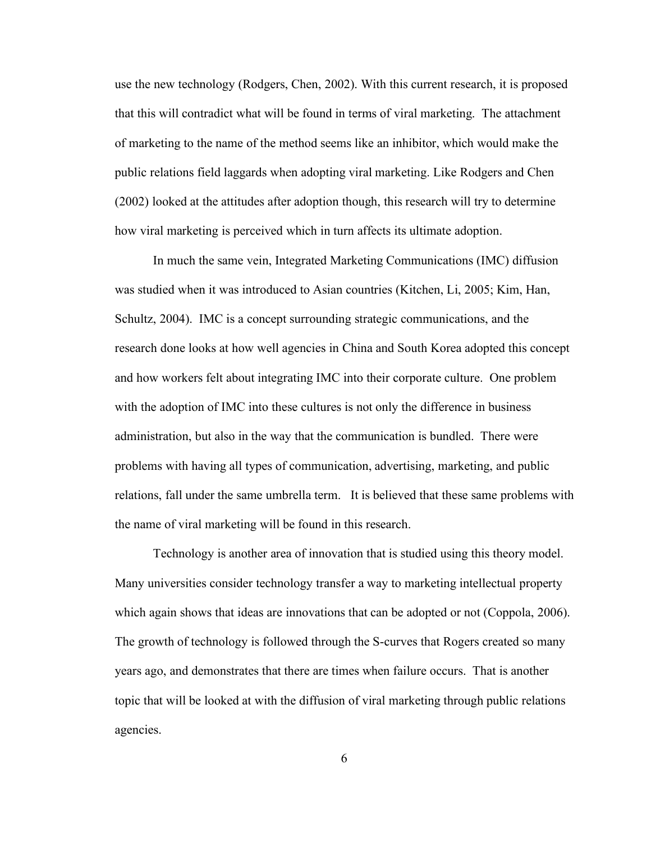use the new technology (Rodgers, Chen, 2002). With this current research, it is proposed that this will contradict what will be found in terms of viral marketing. The attachment of marketing to the name of the method seems like an inhibitor, which would make the public relations field laggards when adopting viral marketing. Like Rodgers and Chen (2002) looked at the attitudes after adoption though, this research will try to determine how viral marketing is perceived which in turn affects its ultimate adoption.

In much the same vein, Integrated Marketing Communications (IMC) diffusion was studied when it was introduced to Asian countries (Kitchen, Li, 2005; Kim, Han, Schultz, 2004). IMC is a concept surrounding strategic communications, and the research done looks at how well agencies in China and South Korea adopted this concept and how workers felt about integrating IMC into their corporate culture. One problem with the adoption of IMC into these cultures is not only the difference in business administration, but also in the way that the communication is bundled. There were problems with having all types of communication, advertising, marketing, and public relations, fall under the same umbrella term. It is believed that these same problems with the name of viral marketing will be found in this research.

Technology is another area of innovation that is studied using this theory model. Many universities consider technology transfer a way to marketing intellectual property which again shows that ideas are innovations that can be adopted or not (Coppola, 2006). The growth of technology is followed through the S-curves that Rogers created so many years ago, and demonstrates that there are times when failure occurs. That is another topic that will be looked at with the diffusion of viral marketing through public relations agencies.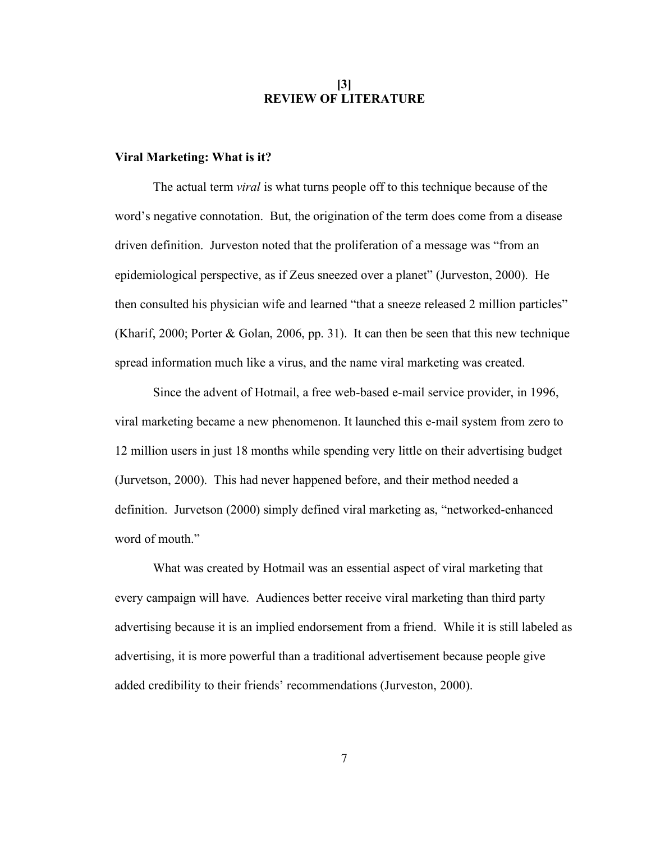## **[3] REVIEW OF LITERATURE**

### **Viral Marketing: What is it?**

The actual term *viral* is what turns people off to this technique because of the word's negative connotation. But, the origination of the term does come from a disease driven definition. Jurveston noted that the proliferation of a message was "from an epidemiological perspective, as if Zeus sneezed over a planet" (Jurveston, 2000). He then consulted his physician wife and learned "that a sneeze released 2 million particles" (Kharif, 2000; Porter & Golan, 2006, pp. 31). It can then be seen that this new technique spread information much like a virus, and the name viral marketing was created.

Since the advent of Hotmail, a free web-based e-mail service provider, in 1996, viral marketing became a new phenomenon. It launched this e-mail system from zero to 12 million users in just 18 months while spending very little on their advertising budget (Jurvetson, 2000). This had never happened before, and their method needed a definition. Jurvetson (2000) simply defined viral marketing as, "networked-enhanced word of mouth."

What was created by Hotmail was an essential aspect of viral marketing that every campaign will have. Audiences better receive viral marketing than third party advertising because it is an implied endorsement from a friend. While it is still labeled as advertising, it is more powerful than a traditional advertisement because people give added credibility to their friends' recommendations (Jurveston, 2000).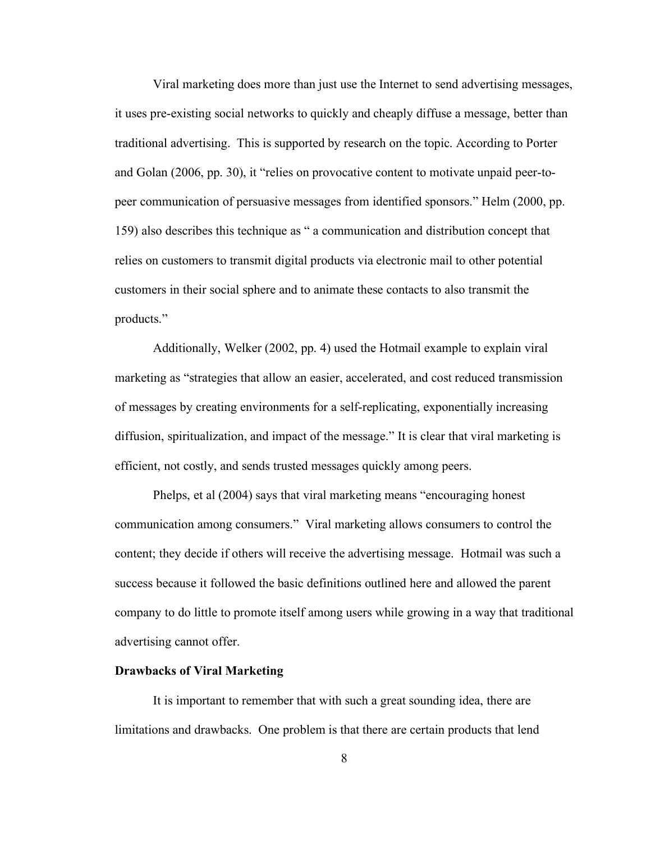Viral marketing does more than just use the Internet to send advertising messages, it uses pre-existing social networks to quickly and cheaply diffuse a message, better than traditional advertising. This is supported by research on the topic. According to Porter and Golan (2006, pp. 30), it "relies on provocative content to motivate unpaid peer-topeer communication of persuasive messages from identified sponsors." Helm (2000, pp. 159) also describes this technique as " a communication and distribution concept that relies on customers to transmit digital products via electronic mail to other potential customers in their social sphere and to animate these contacts to also transmit the products."

Additionally, Welker (2002, pp. 4) used the Hotmail example to explain viral marketing as "strategies that allow an easier, accelerated, and cost reduced transmission of messages by creating environments for a self-replicating, exponentially increasing diffusion, spiritualization, and impact of the message." It is clear that viral marketing is efficient, not costly, and sends trusted messages quickly among peers.

Phelps, et al (2004) says that viral marketing means "encouraging honest communication among consumers." Viral marketing allows consumers to control the content; they decide if others will receive the advertising message. Hotmail was such a success because it followed the basic definitions outlined here and allowed the parent company to do little to promote itself among users while growing in a way that traditional advertising cannot offer.

#### **Drawbacks of Viral Marketing**

It is important to remember that with such a great sounding idea, there are limitations and drawbacks. One problem is that there are certain products that lend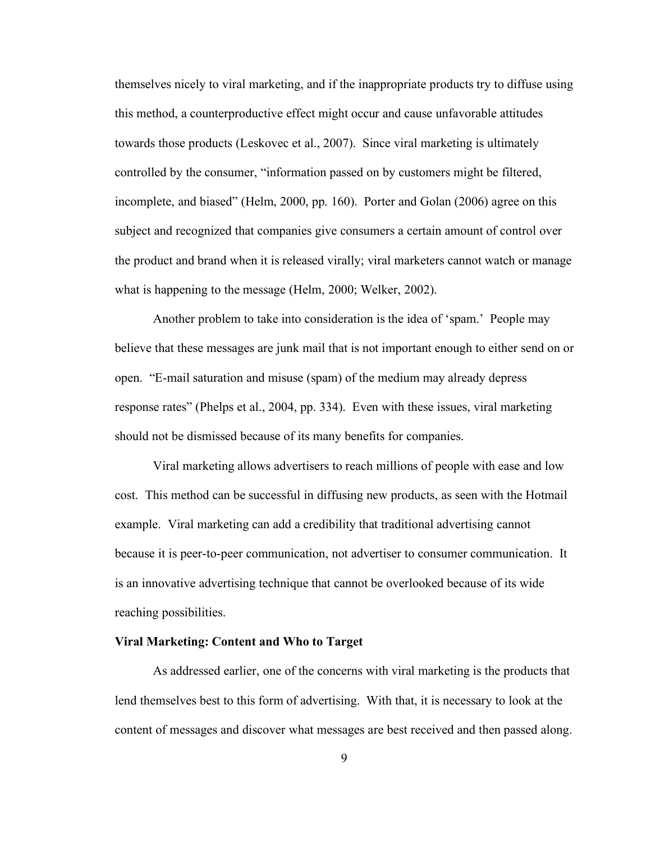themselves nicely to viral marketing, and if the inappropriate products try to diffuse using this method, a counterproductive effect might occur and cause unfavorable attitudes towards those products (Leskovec et al., 2007). Since viral marketing is ultimately controlled by the consumer, "information passed on by customers might be filtered, incomplete, and biased" (Helm, 2000, pp. 160). Porter and Golan (2006) agree on this subject and recognized that companies give consumers a certain amount of control over the product and brand when it is released virally; viral marketers cannot watch or manage what is happening to the message (Helm, 2000; Welker, 2002).

Another problem to take into consideration is the idea of 'spam.' People may believe that these messages are junk mail that is not important enough to either send on or open. "E-mail saturation and misuse (spam) of the medium may already depress response rates" (Phelps et al., 2004, pp. 334). Even with these issues, viral marketing should not be dismissed because of its many benefits for companies.

Viral marketing allows advertisers to reach millions of people with ease and low cost. This method can be successful in diffusing new products, as seen with the Hotmail example. Viral marketing can add a credibility that traditional advertising cannot because it is peer-to-peer communication, not advertiser to consumer communication. It is an innovative advertising technique that cannot be overlooked because of its wide reaching possibilities.

#### **Viral Marketing: Content and Who to Target**

As addressed earlier, one of the concerns with viral marketing is the products that lend themselves best to this form of advertising. With that, it is necessary to look at the content of messages and discover what messages are best received and then passed along.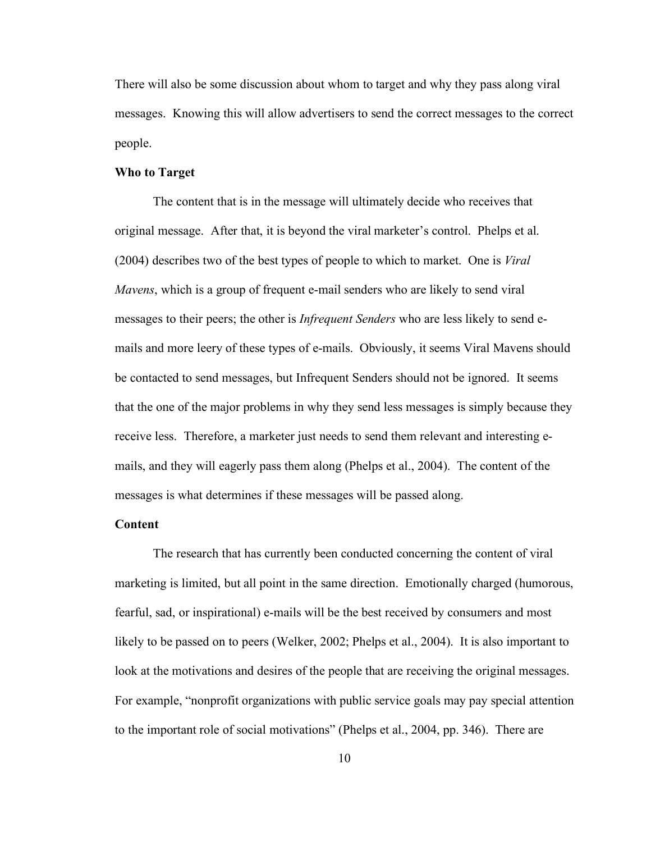There will also be some discussion about whom to target and why they pass along viral messages. Knowing this will allow advertisers to send the correct messages to the correct people.

## **Who to Target**

The content that is in the message will ultimately decide who receives that original message. After that, it is beyond the viral marketer's control. Phelps et al. (2004) describes two of the best types of people to which to market. One is *Viral Mavens*, which is a group of frequent e-mail senders who are likely to send viral messages to their peers; the other is *Infrequent Senders* who are less likely to send emails and more leery of these types of e-mails. Obviously, it seems Viral Mavens should be contacted to send messages, but Infrequent Senders should not be ignored. It seems that the one of the major problems in why they send less messages is simply because they receive less. Therefore, a marketer just needs to send them relevant and interesting emails, and they will eagerly pass them along (Phelps et al., 2004). The content of the messages is what determines if these messages will be passed along.

## **Content**

The research that has currently been conducted concerning the content of viral marketing is limited, but all point in the same direction. Emotionally charged (humorous, fearful, sad, or inspirational) e-mails will be the best received by consumers and most likely to be passed on to peers (Welker, 2002; Phelps et al., 2004). It is also important to look at the motivations and desires of the people that are receiving the original messages. For example, "nonprofit organizations with public service goals may pay special attention to the important role of social motivations" (Phelps et al., 2004, pp. 346). There are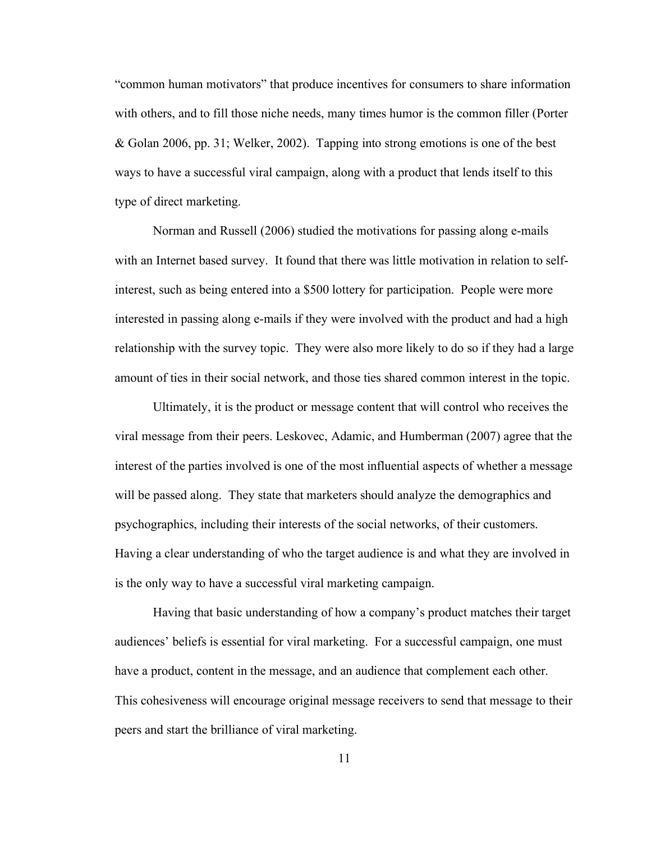"common human motivators" that produce incentives for consumers to share information with others, and to fill those niche needs, many times humor is the common filler (Porter & Golan 2006, pp. 31; Welker, 2002). Tapping into strong emotions is one of the best ways to have a successful viral campaign, along with a product that lends itself to this type of direct marketing.

Norman and Russell (2006) studied the motivations for passing along e-mails with an Internet based survey. It found that there was little motivation in relation to selfinterest, such as being entered into a \$500 lottery for participation. People were more interested in passing along e-mails if they were involved with the product and had a high relationship with the survey topic. They were also more likely to do so if they had a large amount of ties in their social network, and those ties shared common interest in the topic.

Ultimately, it is the product or message content that will control who receives the viral message from their peers. Leskovec, Adamic, and Humberman (2007) agree that the interest of the parties involved is one of the most influential aspects of whether a message will be passed along. They state that marketers should analyze the demographics and psychographics, including their interests of the social networks, of their customers. Having a clear understanding of who the target audience is and what they are involved in is the only way to have a successful viral marketing campaign.

Having that basic understanding of how a company's product matches their target audiences' beliefs is essential for viral marketing. For a successful campaign, one must have a product, content in the message, and an audience that complement each other. This cohesiveness will encourage original message receivers to send that message to their peers and start the brilliance of viral marketing.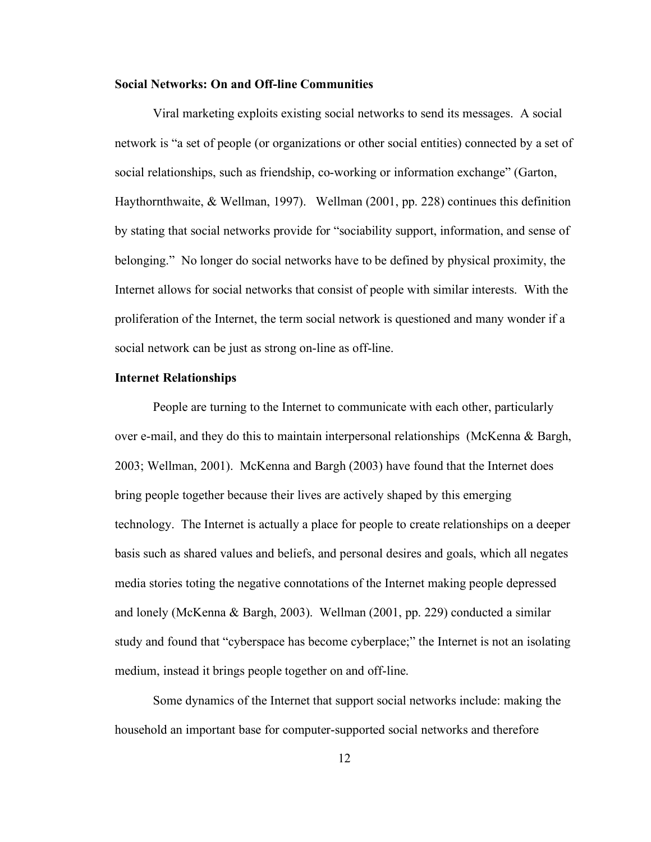#### **Social Networks: On and Off-line Communities**

Viral marketing exploits existing social networks to send its messages. A social network is "a set of people (or organizations or other social entities) connected by a set of social relationships, such as friendship, co-working or information exchange" (Garton, Haythornthwaite, & Wellman, 1997). Wellman (2001, pp. 228) continues this definition by stating that social networks provide for "sociability support, information, and sense of belonging." No longer do social networks have to be defined by physical proximity, the Internet allows for social networks that consist of people with similar interests. With the proliferation of the Internet, the term social network is questioned and many wonder if a social network can be just as strong on-line as off-line.

#### **Internet Relationships**

People are turning to the Internet to communicate with each other, particularly over e-mail, and they do this to maintain interpersonal relationships (McKenna & Bargh, 2003; Wellman, 2001). McKenna and Bargh (2003) have found that the Internet does bring people together because their lives are actively shaped by this emerging technology. The Internet is actually a place for people to create relationships on a deeper basis such as shared values and beliefs, and personal desires and goals, which all negates media stories toting the negative connotations of the Internet making people depressed and lonely (McKenna & Bargh, 2003). Wellman (2001, pp. 229) conducted a similar study and found that "cyberspace has become cyberplace;" the Internet is not an isolating medium, instead it brings people together on and off-line.

Some dynamics of the Internet that support social networks include: making the household an important base for computer-supported social networks and therefore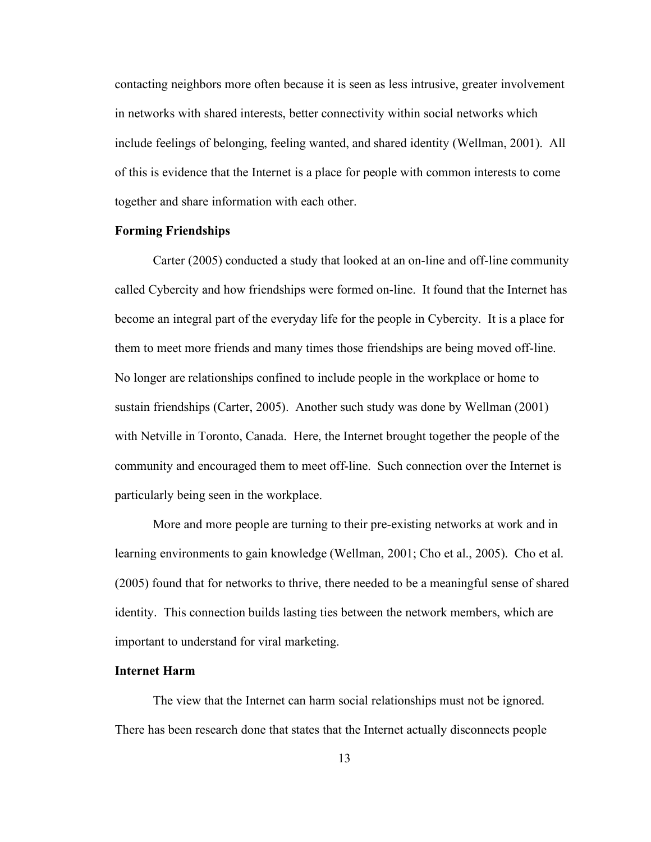contacting neighbors more often because it is seen as less intrusive, greater involvement in networks with shared interests, better connectivity within social networks which include feelings of belonging, feeling wanted, and shared identity (Wellman, 2001). All of this is evidence that the Internet is a place for people with common interests to come together and share information with each other.

## **Forming Friendships**

Carter (2005) conducted a study that looked at an on-line and off-line community called Cybercity and how friendships were formed on-line. It found that the Internet has become an integral part of the everyday life for the people in Cybercity. It is a place for them to meet more friends and many times those friendships are being moved off-line. No longer are relationships confined to include people in the workplace or home to sustain friendships (Carter, 2005). Another such study was done by Wellman (2001) with Netville in Toronto, Canada. Here, the Internet brought together the people of the community and encouraged them to meet off-line. Such connection over the Internet is particularly being seen in the workplace.

More and more people are turning to their pre-existing networks at work and in learning environments to gain knowledge (Wellman, 2001; Cho et al., 2005). Cho et al. (2005) found that for networks to thrive, there needed to be a meaningful sense of shared identity. This connection builds lasting ties between the network members, which are important to understand for viral marketing.

## **Internet Harm**

The view that the Internet can harm social relationships must not be ignored. There has been research done that states that the Internet actually disconnects people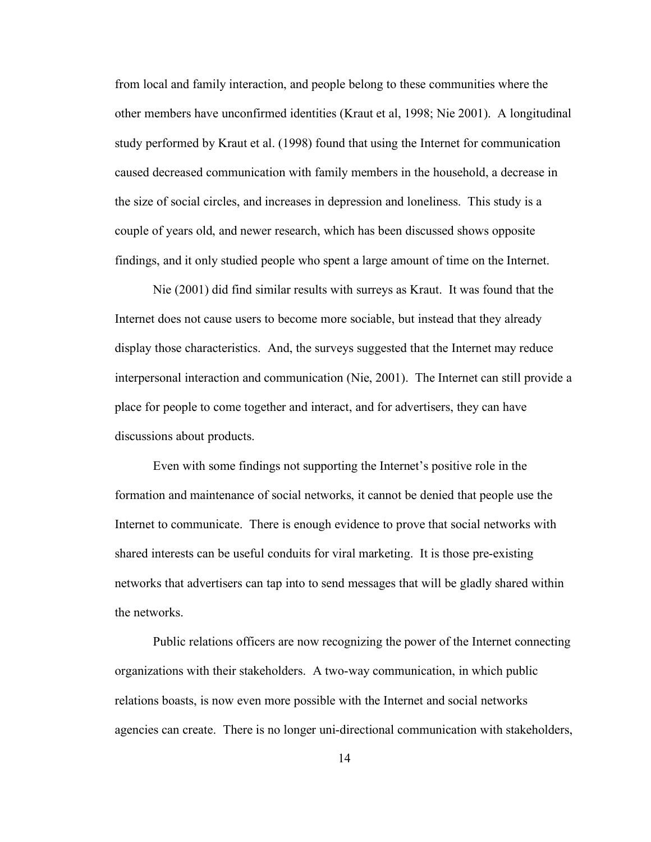from local and family interaction, and people belong to these communities where the other members have unconfirmed identities (Kraut et al, 1998; Nie 2001). A longitudinal study performed by Kraut et al. (1998) found that using the Internet for communication caused decreased communication with family members in the household, a decrease in the size of social circles, and increases in depression and loneliness. This study is a couple of years old, and newer research, which has been discussed shows opposite findings, and it only studied people who spent a large amount of time on the Internet.

Nie (2001) did find similar results with surreys as Kraut. It was found that the Internet does not cause users to become more sociable, but instead that they already display those characteristics. And, the surveys suggested that the Internet may reduce interpersonal interaction and communication (Nie, 2001). The Internet can still provide a place for people to come together and interact, and for advertisers, they can have discussions about products.

Even with some findings not supporting the Internet's positive role in the formation and maintenance of social networks, it cannot be denied that people use the Internet to communicate. There is enough evidence to prove that social networks with shared interests can be useful conduits for viral marketing. It is those pre-existing networks that advertisers can tap into to send messages that will be gladly shared within the networks.

Public relations officers are now recognizing the power of the Internet connecting organizations with their stakeholders. A two-way communication, in which public relations boasts, is now even more possible with the Internet and social networks agencies can create. There is no longer uni-directional communication with stakeholders,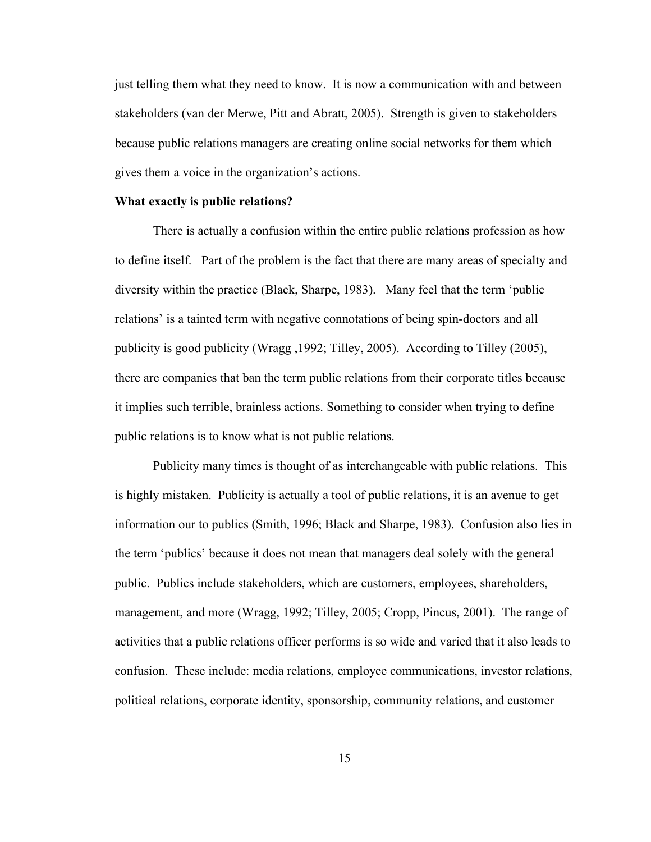just telling them what they need to know. It is now a communication with and between stakeholders (van der Merwe, Pitt and Abratt, 2005). Strength is given to stakeholders because public relations managers are creating online social networks for them which gives them a voice in the organization's actions.

#### **What exactly is public relations?**

There is actually a confusion within the entire public relations profession as how to define itself. Part of the problem is the fact that there are many areas of specialty and diversity within the practice (Black, Sharpe, 1983). Many feel that the term 'public relations' is a tainted term with negative connotations of being spin-doctors and all publicity is good publicity (Wragg ,1992; Tilley, 2005). According to Tilley (2005), there are companies that ban the term public relations from their corporate titles because it implies such terrible, brainless actions. Something to consider when trying to define public relations is to know what is not public relations.

Publicity many times is thought of as interchangeable with public relations. This is highly mistaken. Publicity is actually a tool of public relations, it is an avenue to get information our to publics (Smith, 1996; Black and Sharpe, 1983). Confusion also lies in the term 'publics' because it does not mean that managers deal solely with the general public. Publics include stakeholders, which are customers, employees, shareholders, management, and more (Wragg, 1992; Tilley, 2005; Cropp, Pincus, 2001). The range of activities that a public relations officer performs is so wide and varied that it also leads to confusion. These include: media relations, employee communications, investor relations, political relations, corporate identity, sponsorship, community relations, and customer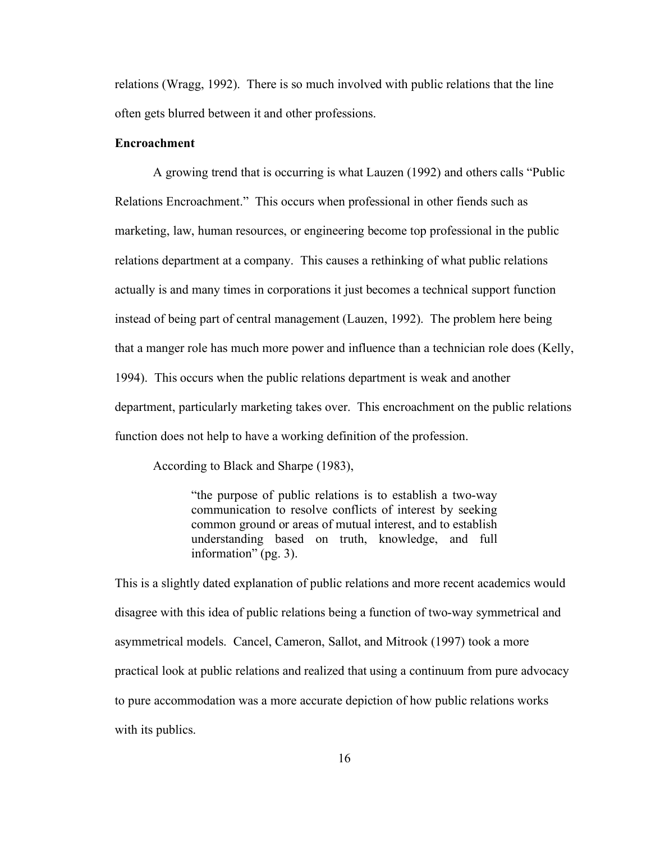relations (Wragg, 1992). There is so much involved with public relations that the line often gets blurred between it and other professions.

## **Encroachment**

A growing trend that is occurring is what Lauzen (1992) and others calls "Public Relations Encroachment." This occurs when professional in other fiends such as marketing, law, human resources, or engineering become top professional in the public relations department at a company. This causes a rethinking of what public relations actually is and many times in corporations it just becomes a technical support function instead of being part of central management (Lauzen, 1992). The problem here being that a manger role has much more power and influence than a technician role does (Kelly, 1994). This occurs when the public relations department is weak and another department, particularly marketing takes over. This encroachment on the public relations function does not help to have a working definition of the profession.

According to Black and Sharpe (1983),

"the purpose of public relations is to establish a two-way communication to resolve conflicts of interest by seeking common ground or areas of mutual interest, and to establish understanding based on truth, knowledge, and full information" (pg. 3).

This is a slightly dated explanation of public relations and more recent academics would disagree with this idea of public relations being a function of two-way symmetrical and asymmetrical models. Cancel, Cameron, Sallot, and Mitrook (1997) took a more practical look at public relations and realized that using a continuum from pure advocacy to pure accommodation was a more accurate depiction of how public relations works with its publics.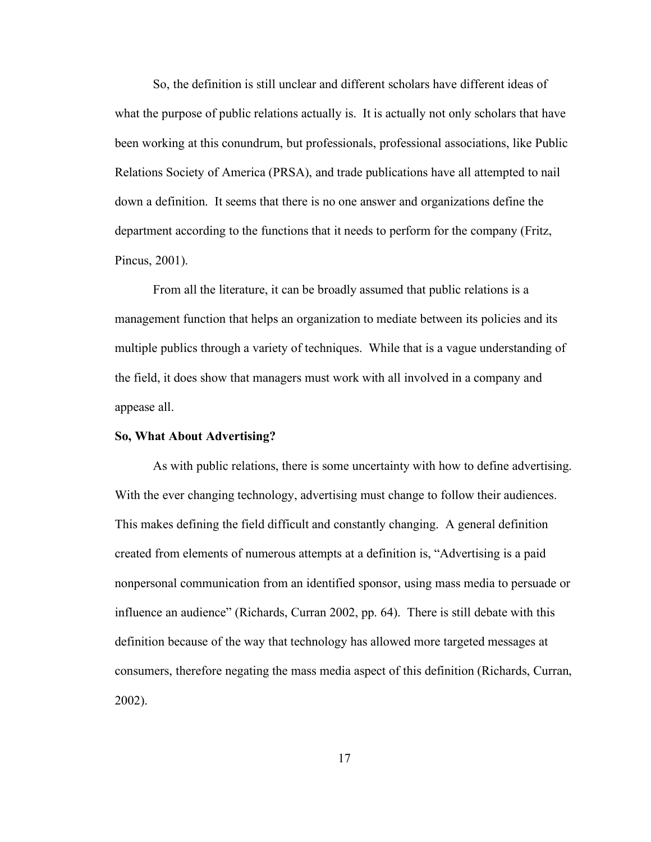So, the definition is still unclear and different scholars have different ideas of what the purpose of public relations actually is. It is actually not only scholars that have been working at this conundrum, but professionals, professional associations, like Public Relations Society of America (PRSA), and trade publications have all attempted to nail down a definition. It seems that there is no one answer and organizations define the department according to the functions that it needs to perform for the company (Fritz, Pincus, 2001).

From all the literature, it can be broadly assumed that public relations is a management function that helps an organization to mediate between its policies and its multiple publics through a variety of techniques. While that is a vague understanding of the field, it does show that managers must work with all involved in a company and appease all.

#### **So, What About Advertising?**

As with public relations, there is some uncertainty with how to define advertising. With the ever changing technology, advertising must change to follow their audiences. This makes defining the field difficult and constantly changing. A general definition created from elements of numerous attempts at a definition is, "Advertising is a paid nonpersonal communication from an identified sponsor, using mass media to persuade or influence an audience" (Richards, Curran 2002, pp. 64). There is still debate with this definition because of the way that technology has allowed more targeted messages at consumers, therefore negating the mass media aspect of this definition (Richards, Curran, 2002).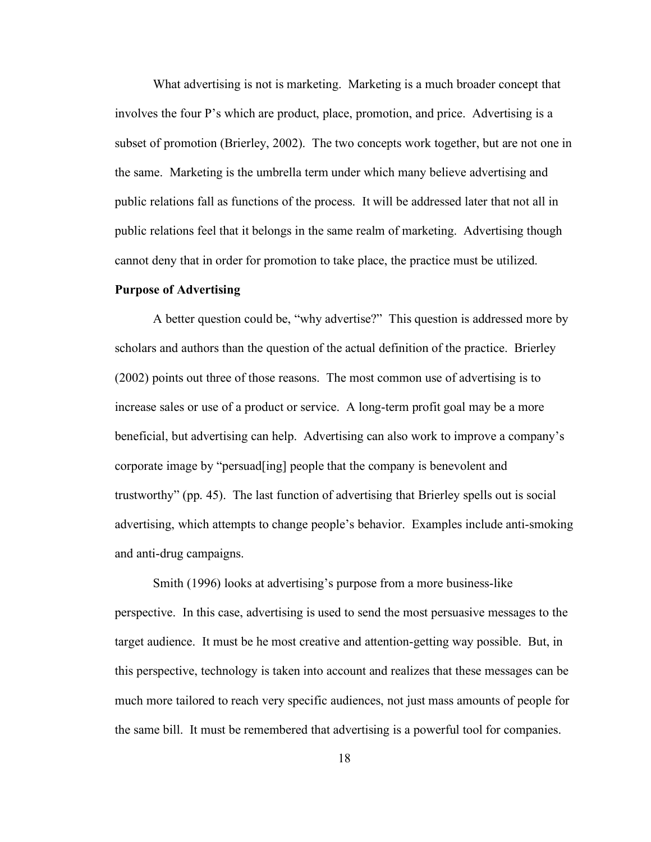What advertising is not is marketing. Marketing is a much broader concept that involves the four P's which are product, place, promotion, and price. Advertising is a subset of promotion (Brierley, 2002). The two concepts work together, but are not one in the same. Marketing is the umbrella term under which many believe advertising and public relations fall as functions of the process. It will be addressed later that not all in public relations feel that it belongs in the same realm of marketing. Advertising though cannot deny that in order for promotion to take place, the practice must be utilized.

#### **Purpose of Advertising**

A better question could be, "why advertise?" This question is addressed more by scholars and authors than the question of the actual definition of the practice. Brierley (2002) points out three of those reasons. The most common use of advertising is to increase sales or use of a product or service. A long-term profit goal may be a more beneficial, but advertising can help. Advertising can also work to improve a company's corporate image by "persuad[ing] people that the company is benevolent and trustworthy" (pp. 45). The last function of advertising that Brierley spells out is social advertising, which attempts to change people's behavior. Examples include anti-smoking and anti-drug campaigns.

Smith (1996) looks at advertising's purpose from a more business-like perspective. In this case, advertising is used to send the most persuasive messages to the target audience. It must be he most creative and attention-getting way possible. But, in this perspective, technology is taken into account and realizes that these messages can be much more tailored to reach very specific audiences, not just mass amounts of people for the same bill. It must be remembered that advertising is a powerful tool for companies.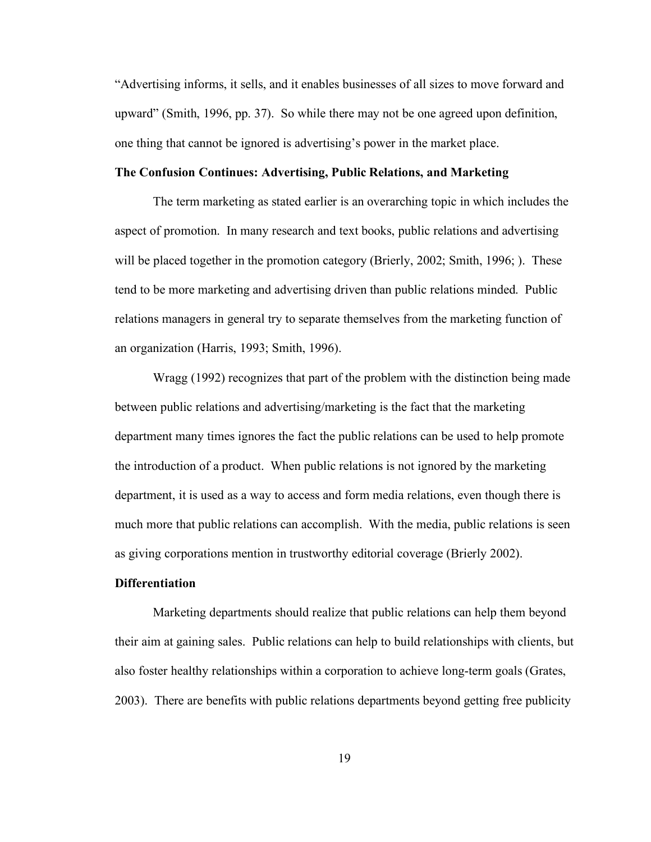"Advertising informs, it sells, and it enables businesses of all sizes to move forward and upward" (Smith, 1996, pp. 37). So while there may not be one agreed upon definition, one thing that cannot be ignored is advertising's power in the market place.

## **The Confusion Continues: Advertising, Public Relations, and Marketing**

The term marketing as stated earlier is an overarching topic in which includes the aspect of promotion. In many research and text books, public relations and advertising will be placed together in the promotion category (Brierly, 2002; Smith, 1996; ). These tend to be more marketing and advertising driven than public relations minded. Public relations managers in general try to separate themselves from the marketing function of an organization (Harris, 1993; Smith, 1996).

Wragg (1992) recognizes that part of the problem with the distinction being made between public relations and advertising/marketing is the fact that the marketing department many times ignores the fact the public relations can be used to help promote the introduction of a product. When public relations is not ignored by the marketing department, it is used as a way to access and form media relations, even though there is much more that public relations can accomplish. With the media, public relations is seen as giving corporations mention in trustworthy editorial coverage (Brierly 2002).

## **Differentiation**

Marketing departments should realize that public relations can help them beyond their aim at gaining sales. Public relations can help to build relationships with clients, but also foster healthy relationships within a corporation to achieve long-term goals (Grates, 2003). There are benefits with public relations departments beyond getting free publicity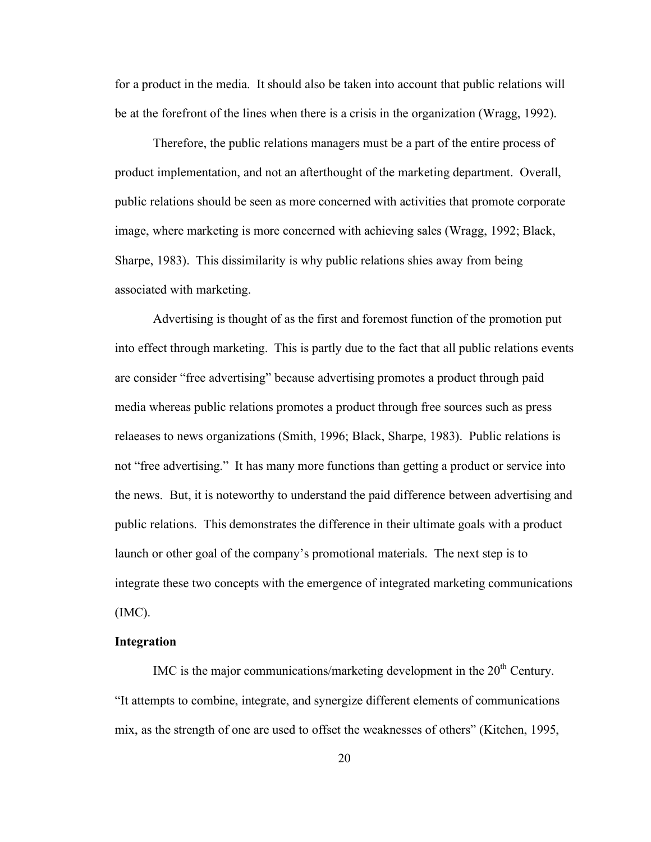for a product in the media. It should also be taken into account that public relations will be at the forefront of the lines when there is a crisis in the organization (Wragg, 1992).

Therefore, the public relations managers must be a part of the entire process of product implementation, and not an afterthought of the marketing department. Overall, public relations should be seen as more concerned with activities that promote corporate image, where marketing is more concerned with achieving sales (Wragg, 1992; Black, Sharpe, 1983). This dissimilarity is why public relations shies away from being associated with marketing.

Advertising is thought of as the first and foremost function of the promotion put into effect through marketing. This is partly due to the fact that all public relations events are consider "free advertising" because advertising promotes a product through paid media whereas public relations promotes a product through free sources such as press relaeases to news organizations (Smith, 1996; Black, Sharpe, 1983). Public relations is not "free advertising." It has many more functions than getting a product or service into the news. But, it is noteworthy to understand the paid difference between advertising and public relations. This demonstrates the difference in their ultimate goals with a product launch or other goal of the company's promotional materials. The next step is to integrate these two concepts with the emergence of integrated marketing communications (IMC).

#### **Integration**

IMC is the major communications/marketing development in the  $20<sup>th</sup>$  Century. "It attempts to combine, integrate, and synergize different elements of communications mix, as the strength of one are used to offset the weaknesses of others" (Kitchen, 1995,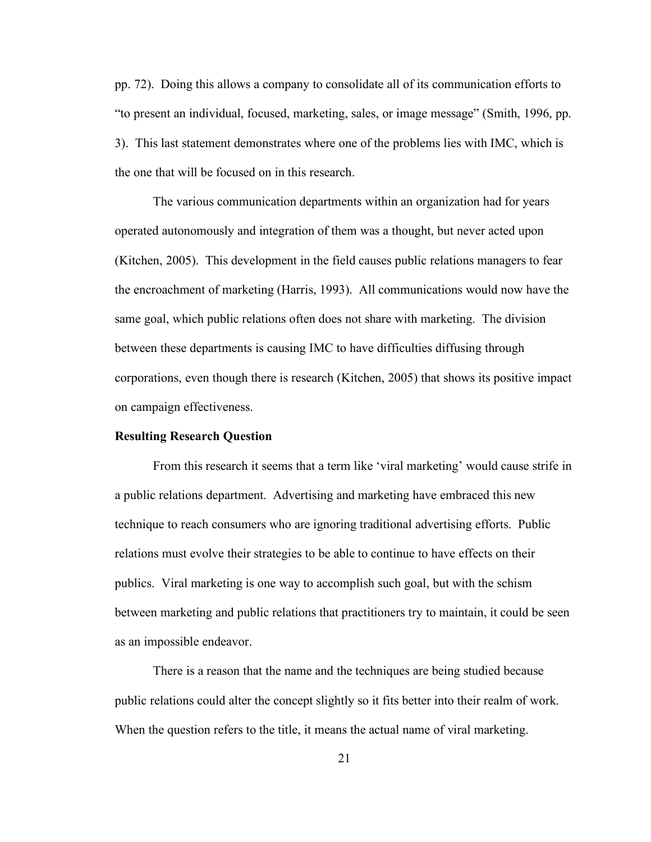pp. 72). Doing this allows a company to consolidate all of its communication efforts to "to present an individual, focused, marketing, sales, or image message" (Smith, 1996, pp. 3). This last statement demonstrates where one of the problems lies with IMC, which is the one that will be focused on in this research.

The various communication departments within an organization had for years operated autonomously and integration of them was a thought, but never acted upon (Kitchen, 2005). This development in the field causes public relations managers to fear the encroachment of marketing (Harris, 1993). All communications would now have the same goal, which public relations often does not share with marketing. The division between these departments is causing IMC to have difficulties diffusing through corporations, even though there is research (Kitchen, 2005) that shows its positive impact on campaign effectiveness.

#### **Resulting Research Question**

From this research it seems that a term like 'viral marketing' would cause strife in a public relations department. Advertising and marketing have embraced this new technique to reach consumers who are ignoring traditional advertising efforts. Public relations must evolve their strategies to be able to continue to have effects on their publics. Viral marketing is one way to accomplish such goal, but with the schism between marketing and public relations that practitioners try to maintain, it could be seen as an impossible endeavor.

There is a reason that the name and the techniques are being studied because public relations could alter the concept slightly so it fits better into their realm of work. When the question refers to the title, it means the actual name of viral marketing.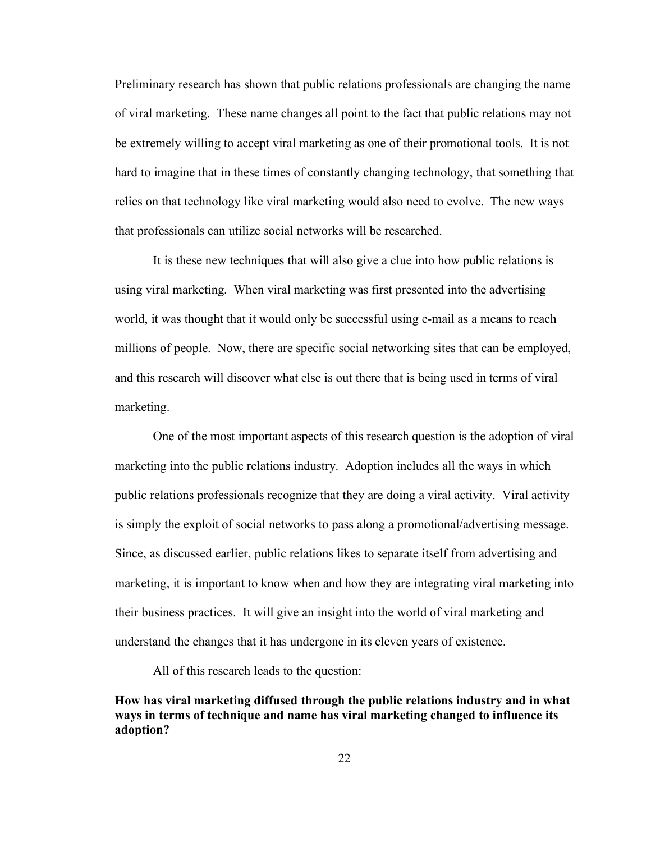Preliminary research has shown that public relations professionals are changing the name of viral marketing. These name changes all point to the fact that public relations may not be extremely willing to accept viral marketing as one of their promotional tools. It is not hard to imagine that in these times of constantly changing technology, that something that relies on that technology like viral marketing would also need to evolve. The new ways that professionals can utilize social networks will be researched.

It is these new techniques that will also give a clue into how public relations is using viral marketing. When viral marketing was first presented into the advertising world, it was thought that it would only be successful using e-mail as a means to reach millions of people. Now, there are specific social networking sites that can be employed, and this research will discover what else is out there that is being used in terms of viral marketing.

One of the most important aspects of this research question is the adoption of viral marketing into the public relations industry. Adoption includes all the ways in which public relations professionals recognize that they are doing a viral activity. Viral activity is simply the exploit of social networks to pass along a promotional/advertising message. Since, as discussed earlier, public relations likes to separate itself from advertising and marketing, it is important to know when and how they are integrating viral marketing into their business practices. It will give an insight into the world of viral marketing and understand the changes that it has undergone in its eleven years of existence.

All of this research leads to the question:

**How has viral marketing diffused through the public relations industry and in what ways in terms of technique and name has viral marketing changed to influence its adoption?**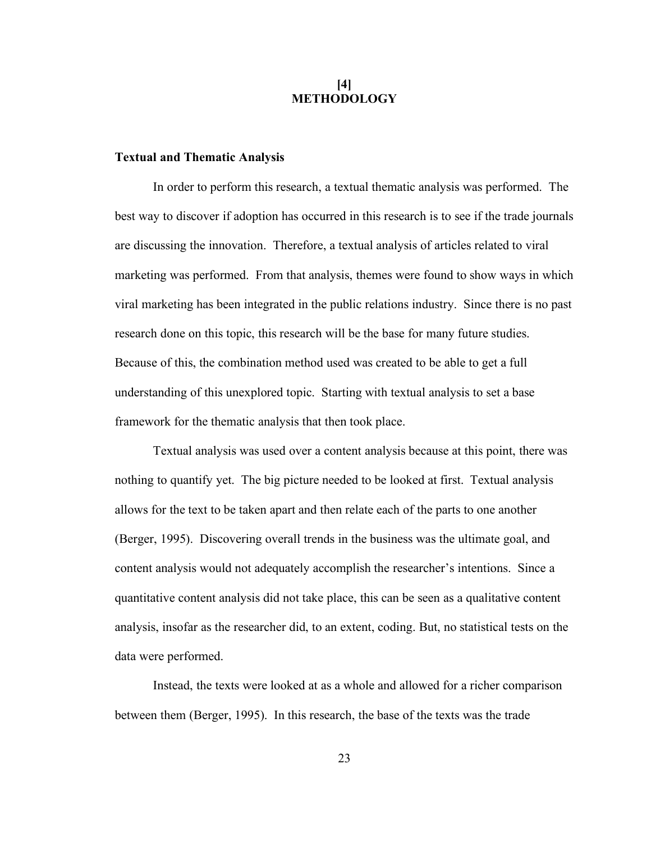## **[4] METHODOLOGY**

### **Textual and Thematic Analysis**

In order to perform this research, a textual thematic analysis was performed. The best way to discover if adoption has occurred in this research is to see if the trade journals are discussing the innovation. Therefore, a textual analysis of articles related to viral marketing was performed. From that analysis, themes were found to show ways in which viral marketing has been integrated in the public relations industry. Since there is no past research done on this topic, this research will be the base for many future studies. Because of this, the combination method used was created to be able to get a full understanding of this unexplored topic. Starting with textual analysis to set a base framework for the thematic analysis that then took place.

Textual analysis was used over a content analysis because at this point, there was nothing to quantify yet. The big picture needed to be looked at first. Textual analysis allows for the text to be taken apart and then relate each of the parts to one another (Berger, 1995). Discovering overall trends in the business was the ultimate goal, and content analysis would not adequately accomplish the researcher's intentions. Since a quantitative content analysis did not take place, this can be seen as a qualitative content analysis, insofar as the researcher did, to an extent, coding. But, no statistical tests on the data were performed.

Instead, the texts were looked at as a whole and allowed for a richer comparison between them (Berger, 1995). In this research, the base of the texts was the trade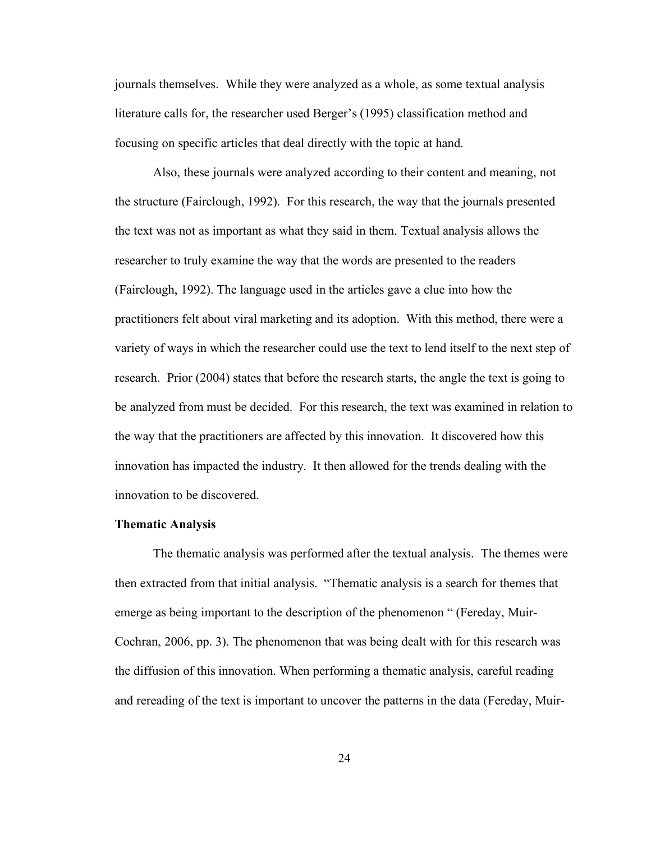journals themselves. While they were analyzed as a whole, as some textual analysis literature calls for, the researcher used Berger's (1995) classification method and focusing on specific articles that deal directly with the topic at hand.

Also, these journals were analyzed according to their content and meaning, not the structure (Fairclough, 1992). For this research, the way that the journals presented the text was not as important as what they said in them. Textual analysis allows the researcher to truly examine the way that the words are presented to the readers (Fairclough, 1992). The language used in the articles gave a clue into how the practitioners felt about viral marketing and its adoption. With this method, there were a variety of ways in which the researcher could use the text to lend itself to the next step of research. Prior (2004) states that before the research starts, the angle the text is going to be analyzed from must be decided. For this research, the text was examined in relation to the way that the practitioners are affected by this innovation. It discovered how this innovation has impacted the industry. It then allowed for the trends dealing with the innovation to be discovered.

#### **Thematic Analysis**

The thematic analysis was performed after the textual analysis. The themes were then extracted from that initial analysis. "Thematic analysis is a search for themes that emerge as being important to the description of the phenomenon " (Fereday, Muir-Cochran, 2006, pp. 3). The phenomenon that was being dealt with for this research was the diffusion of this innovation. When performing a thematic analysis, careful reading and rereading of the text is important to uncover the patterns in the data (Fereday, Muir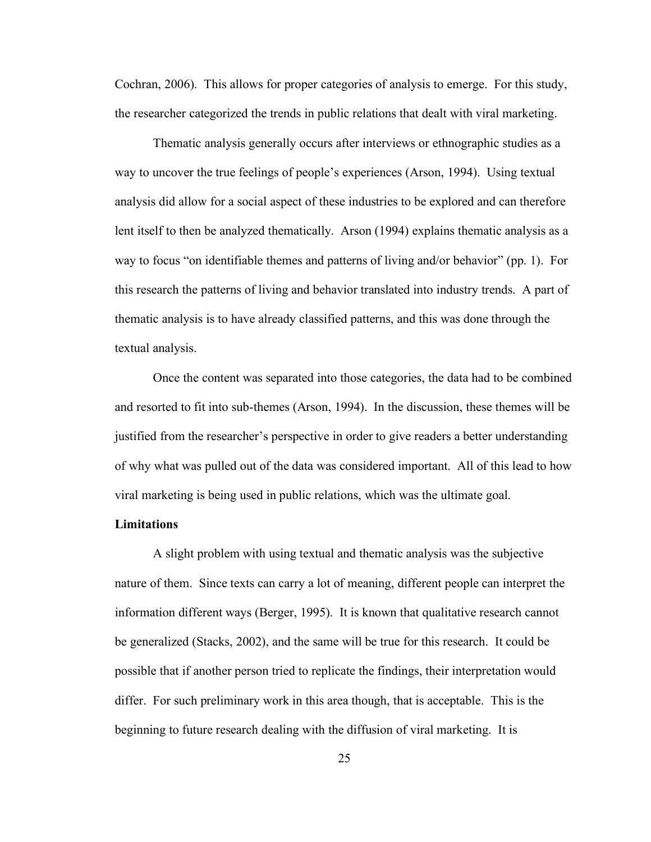Cochran, 2006). This allows for proper categories of analysis to emerge. For this study, the researcher categorized the trends in public relations that dealt with viral marketing.

Thematic analysis generally occurs after interviews or ethnographic studies as a way to uncover the true feelings of people's experiences (Arson, 1994). Using textual analysis did allow for a social aspect of these industries to be explored and can therefore lent itself to then be analyzed thematically. Arson (1994) explains thematic analysis as a way to focus "on identifiable themes and patterns of living and/or behavior" (pp. 1). For this research the patterns of living and behavior translated into industry trends. A part of thematic analysis is to have already classified patterns, and this was done through the textual analysis.

Once the content was separated into those categories, the data had to be combined and resorted to fit into sub-themes (Arson, 1994). In the discussion, these themes will be justified from the researcher's perspective in order to give readers a better understanding of why what was pulled out of the data was considered important. All of this lead to how viral marketing is being used in public relations, which was the ultimate goal.

## **Limitations**

A slight problem with using textual and thematic analysis was the subjective nature of them. Since texts can carry a lot of meaning, different people can interpret the information different ways (Berger, 1995). It is known that qualitative research cannot be generalized (Stacks, 2002), and the same will be true for this research. It could be possible that if another person tried to replicate the findings, their interpretation would differ. For such preliminary work in this area though, that is acceptable. This is the beginning to future research dealing with the diffusion of viral marketing. It is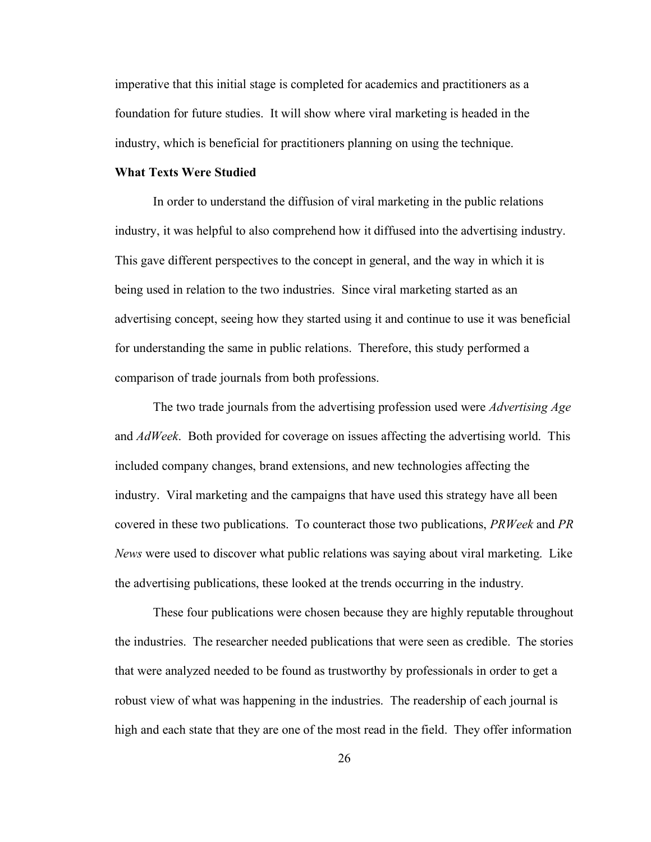imperative that this initial stage is completed for academics and practitioners as a foundation for future studies. It will show where viral marketing is headed in the industry, which is beneficial for practitioners planning on using the technique.

## **What Texts Were Studied**

In order to understand the diffusion of viral marketing in the public relations industry, it was helpful to also comprehend how it diffused into the advertising industry. This gave different perspectives to the concept in general, and the way in which it is being used in relation to the two industries. Since viral marketing started as an advertising concept, seeing how they started using it and continue to use it was beneficial for understanding the same in public relations. Therefore, this study performed a comparison of trade journals from both professions.

The two trade journals from the advertising profession used were *Advertising Age* and *AdWeek*. Both provided for coverage on issues affecting the advertising world. This included company changes, brand extensions, and new technologies affecting the industry. Viral marketing and the campaigns that have used this strategy have all been covered in these two publications. To counteract those two publications, *PRWeek* and *PR News* were used to discover what public relations was saying about viral marketing. Like the advertising publications, these looked at the trends occurring in the industry.

These four publications were chosen because they are highly reputable throughout the industries. The researcher needed publications that were seen as credible. The stories that were analyzed needed to be found as trustworthy by professionals in order to get a robust view of what was happening in the industries. The readership of each journal is high and each state that they are one of the most read in the field. They offer information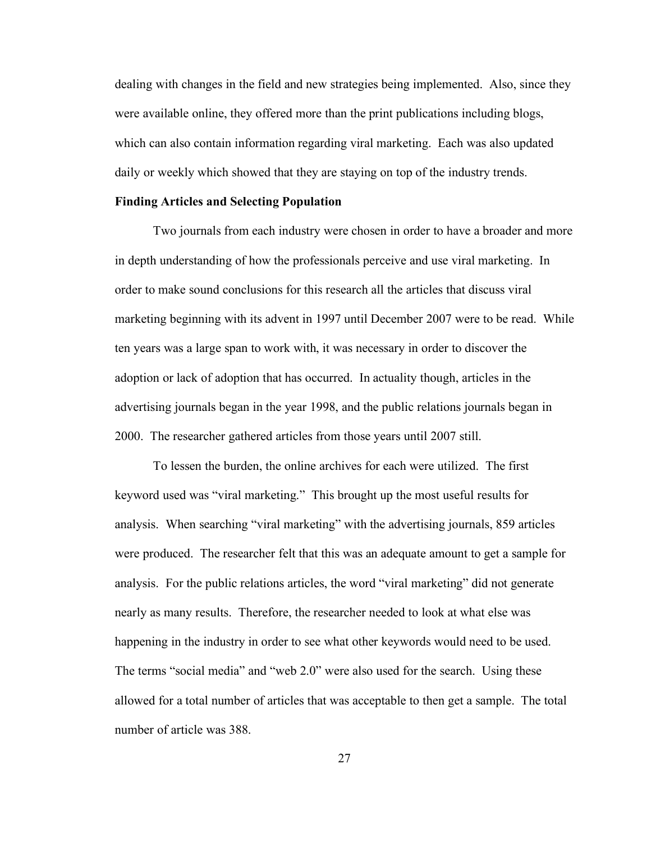dealing with changes in the field and new strategies being implemented. Also, since they were available online, they offered more than the print publications including blogs, which can also contain information regarding viral marketing. Each was also updated daily or weekly which showed that they are staying on top of the industry trends.

#### **Finding Articles and Selecting Population**

Two journals from each industry were chosen in order to have a broader and more in depth understanding of how the professionals perceive and use viral marketing. In order to make sound conclusions for this research all the articles that discuss viral marketing beginning with its advent in 1997 until December 2007 were to be read. While ten years was a large span to work with, it was necessary in order to discover the adoption or lack of adoption that has occurred. In actuality though, articles in the advertising journals began in the year 1998, and the public relations journals began in 2000. The researcher gathered articles from those years until 2007 still.

To lessen the burden, the online archives for each were utilized. The first keyword used was "viral marketing." This brought up the most useful results for analysis. When searching "viral marketing" with the advertising journals, 859 articles were produced. The researcher felt that this was an adequate amount to get a sample for analysis. For the public relations articles, the word "viral marketing" did not generate nearly as many results. Therefore, the researcher needed to look at what else was happening in the industry in order to see what other keywords would need to be used. The terms "social media" and "web 2.0" were also used for the search. Using these allowed for a total number of articles that was acceptable to then get a sample. The total number of article was 388.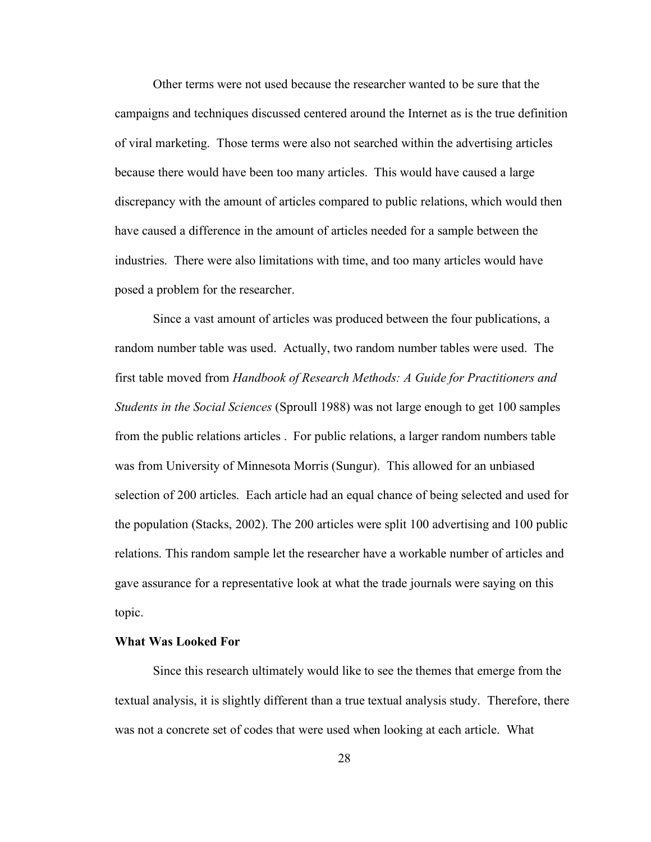Other terms were not used because the researcher wanted to be sure that the campaigns and techniques discussed centered around the Internet as is the true definition of viral marketing. Those terms were also not searched within the advertising articles because there would have been too many articles. This would have caused a large discrepancy with the amount of articles compared to public relations, which would then have caused a difference in the amount of articles needed for a sample between the industries. There were also limitations with time, and too many articles would have posed a problem for the researcher.

Since a vast amount of articles was produced between the four publications, a random number table was used. Actually, two random number tables were used. The first table moved from *Handbook of Research Methods: A Guide for Practitioners and Students in the Social Sciences* (Sproull 1988) was not large enough to get 100 samples from the public relations articles . For public relations, a larger random numbers table was from University of Minnesota Morris (Sungur). This allowed for an unbiased selection of 200 articles. Each article had an equal chance of being selected and used for the population (Stacks, 2002). The 200 articles were split 100 advertising and 100 public relations. This random sample let the researcher have a workable number of articles and gave assurance for a representative look at what the trade journals were saying on this topic.

# **What Was Looked For**

Since this research ultimately would like to see the themes that emerge from the textual analysis, it is slightly different than a true textual analysis study. Therefore, there was not a concrete set of codes that were used when looking at each article. What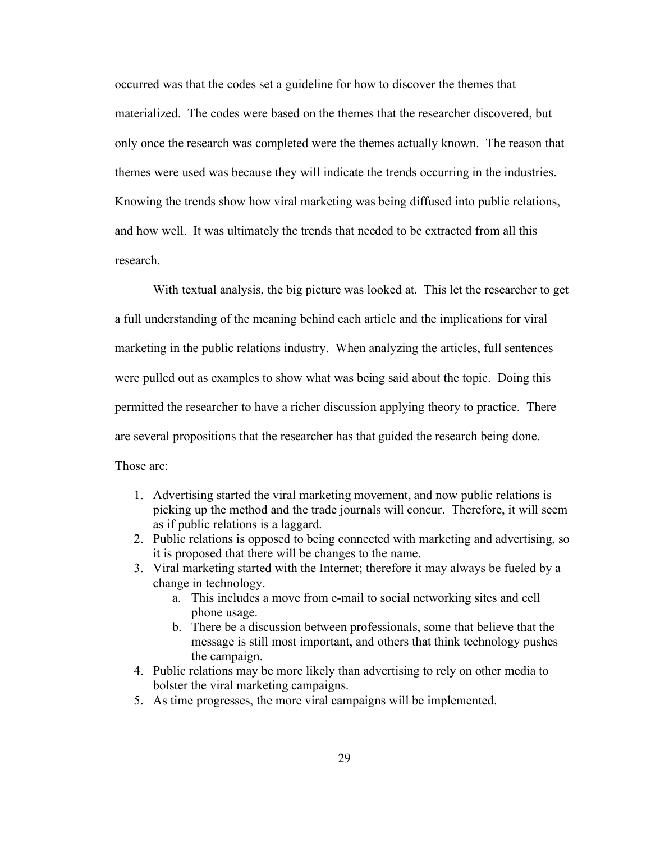occurred was that the codes set a guideline for how to discover the themes that materialized. The codes were based on the themes that the researcher discovered, but only once the research was completed were the themes actually known. The reason that themes were used was because they will indicate the trends occurring in the industries. Knowing the trends show how viral marketing was being diffused into public relations, and how well. It was ultimately the trends that needed to be extracted from all this research.

With textual analysis, the big picture was looked at. This let the researcher to get a full understanding of the meaning behind each article and the implications for viral marketing in the public relations industry. When analyzing the articles, full sentences were pulled out as examples to show what was being said about the topic. Doing this permitted the researcher to have a richer discussion applying theory to practice. There are several propositions that the researcher has that guided the research being done. Those are:

- 1. Advertising started the viral marketing movement, and now public relations is picking up the method and the trade journals will concur. Therefore, it will seem as if public relations is a laggard.
- 2. Public relations is opposed to being connected with marketing and advertising, so it is proposed that there will be changes to the name.
- 3. Viral marketing started with the Internet; therefore it may always be fueled by a change in technology.
	- a. This includes a move from e-mail to social networking sites and cell phone usage.
	- b. There be a discussion between professionals, some that believe that the message is still most important, and others that think technology pushes the campaign.
- 4. Public relations may be more likely than advertising to rely on other media to bolster the viral marketing campaigns.
- 5. As time progresses, the more viral campaigns will be implemented.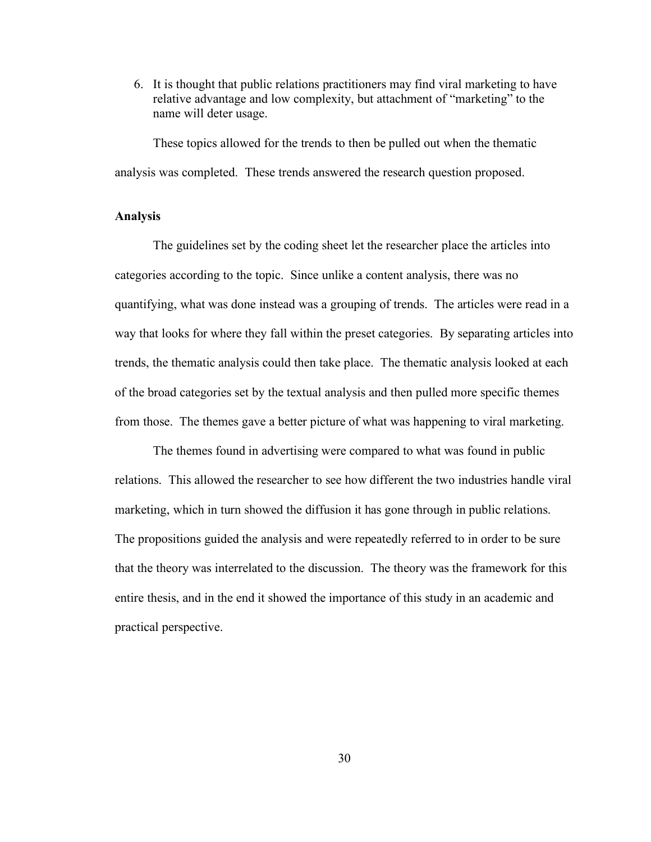6. It is thought that public relations practitioners may find viral marketing to have relative advantage and low complexity, but attachment of "marketing" to the name will deter usage.

These topics allowed for the trends to then be pulled out when the thematic analysis was completed. These trends answered the research question proposed.

# **Analysis**

The guidelines set by the coding sheet let the researcher place the articles into categories according to the topic. Since unlike a content analysis, there was no quantifying, what was done instead was a grouping of trends. The articles were read in a way that looks for where they fall within the preset categories. By separating articles into trends, the thematic analysis could then take place. The thematic analysis looked at each of the broad categories set by the textual analysis and then pulled more specific themes from those. The themes gave a better picture of what was happening to viral marketing.

The themes found in advertising were compared to what was found in public relations. This allowed the researcher to see how different the two industries handle viral marketing, which in turn showed the diffusion it has gone through in public relations. The propositions guided the analysis and were repeatedly referred to in order to be sure that the theory was interrelated to the discussion. The theory was the framework for this entire thesis, and in the end it showed the importance of this study in an academic and practical perspective.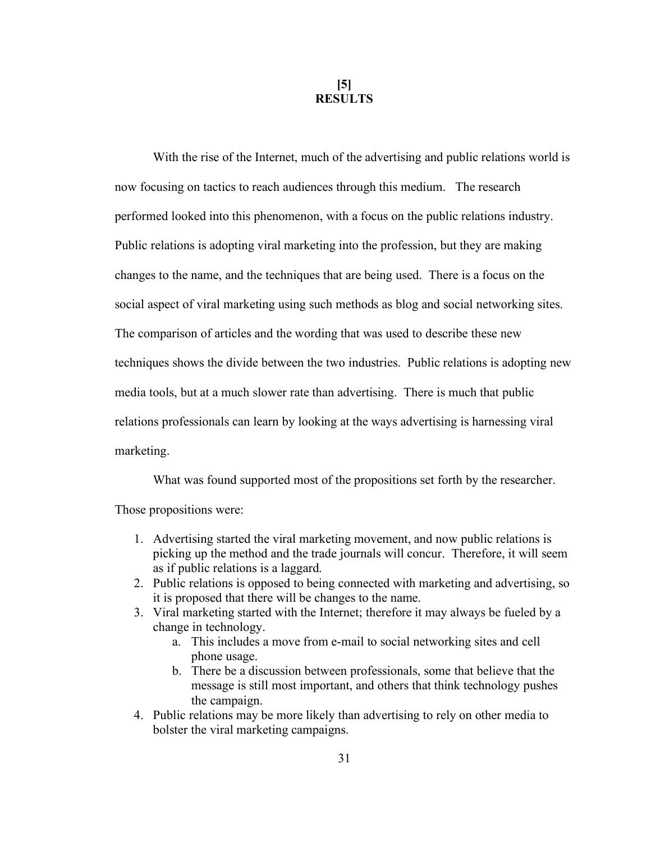**[5] RESULTS**

With the rise of the Internet, much of the advertising and public relations world is now focusing on tactics to reach audiences through this medium. The research performed looked into this phenomenon, with a focus on the public relations industry. Public relations is adopting viral marketing into the profession, but they are making changes to the name, and the techniques that are being used. There is a focus on the social aspect of viral marketing using such methods as blog and social networking sites. The comparison of articles and the wording that was used to describe these new techniques shows the divide between the two industries. Public relations is adopting new media tools, but at a much slower rate than advertising. There is much that public relations professionals can learn by looking at the ways advertising is harnessing viral marketing.

What was found supported most of the propositions set forth by the researcher. Those propositions were:

- 1. Advertising started the viral marketing movement, and now public relations is picking up the method and the trade journals will concur. Therefore, it will seem as if public relations is a laggard.
- 2. Public relations is opposed to being connected with marketing and advertising, so it is proposed that there will be changes to the name.
- 3. Viral marketing started with the Internet; therefore it may always be fueled by a change in technology.
	- a. This includes a move from e-mail to social networking sites and cell phone usage.
	- b. There be a discussion between professionals, some that believe that the message is still most important, and others that think technology pushes the campaign.
- 4. Public relations may be more likely than advertising to rely on other media to bolster the viral marketing campaigns.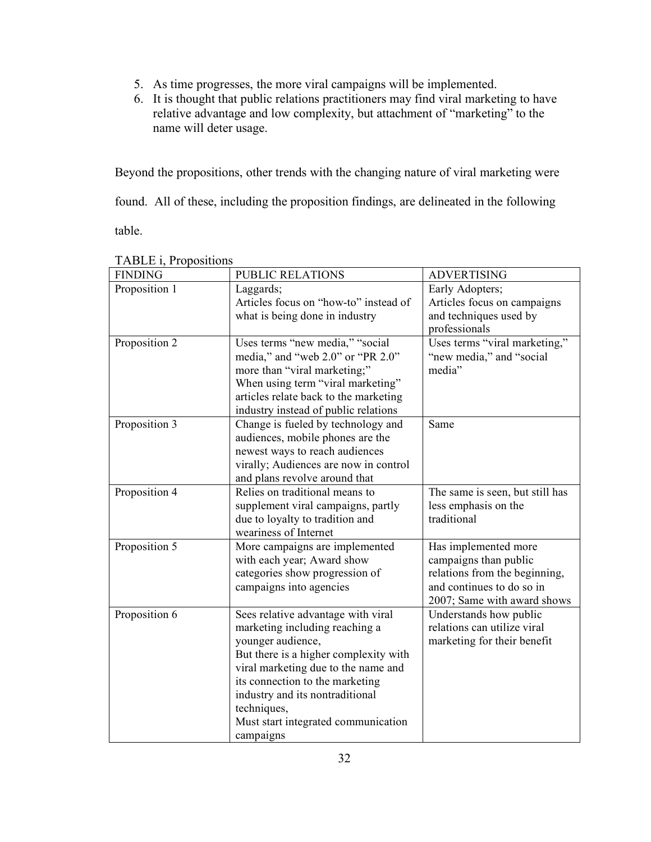- 5. As time progresses, the more viral campaigns will be implemented.
- 6. It is thought that public relations practitioners may find viral marketing to have relative advantage and low complexity, but attachment of "marketing" to the name will deter usage.

Beyond the propositions, other trends with the changing nature of viral marketing were

found. All of these, including the proposition findings, are delineated in the following

table.

| <b>FINDING</b> | PUBLIC RELATIONS                      | <b>ADVERTISING</b>              |
|----------------|---------------------------------------|---------------------------------|
| Proposition 1  | Laggards;                             | Early Adopters;                 |
|                | Articles focus on "how-to" instead of | Articles focus on campaigns     |
|                | what is being done in industry        | and techniques used by          |
|                |                                       | professionals                   |
| Proposition 2  | Uses terms "new media," "social       | Uses terms "viral marketing,"   |
|                | media," and "web 2.0" or "PR 2.0"     | "new media," and "social        |
|                | more than "viral marketing;"          | media"                          |
|                | When using term "viral marketing"     |                                 |
|                | articles relate back to the marketing |                                 |
|                | industry instead of public relations  |                                 |
| Proposition 3  | Change is fueled by technology and    | Same                            |
|                | audiences, mobile phones are the      |                                 |
|                | newest ways to reach audiences        |                                 |
|                | virally; Audiences are now in control |                                 |
|                | and plans revolve around that         |                                 |
| Proposition 4  | Relies on traditional means to        | The same is seen, but still has |
|                | supplement viral campaigns, partly    | less emphasis on the            |
|                | due to loyalty to tradition and       | traditional                     |
|                | weariness of Internet                 |                                 |
| Proposition 5  | More campaigns are implemented        | Has implemented more            |
|                | with each year; Award show            | campaigns than public           |
|                | categories show progression of        | relations from the beginning,   |
|                | campaigns into agencies               | and continues to do so in       |
|                |                                       | 2007; Same with award shows     |
| Proposition 6  | Sees relative advantage with viral    | Understands how public          |
|                | marketing including reaching a        | relations can utilize viral     |
|                | younger audience,                     | marketing for their benefit     |
|                | But there is a higher complexity with |                                 |
|                | viral marketing due to the name and   |                                 |
|                | its connection to the marketing       |                                 |
|                | industry and its nontraditional       |                                 |
|                | techniques,                           |                                 |
|                | Must start integrated communication   |                                 |
|                | campaigns                             |                                 |

TABLE *i* Propositions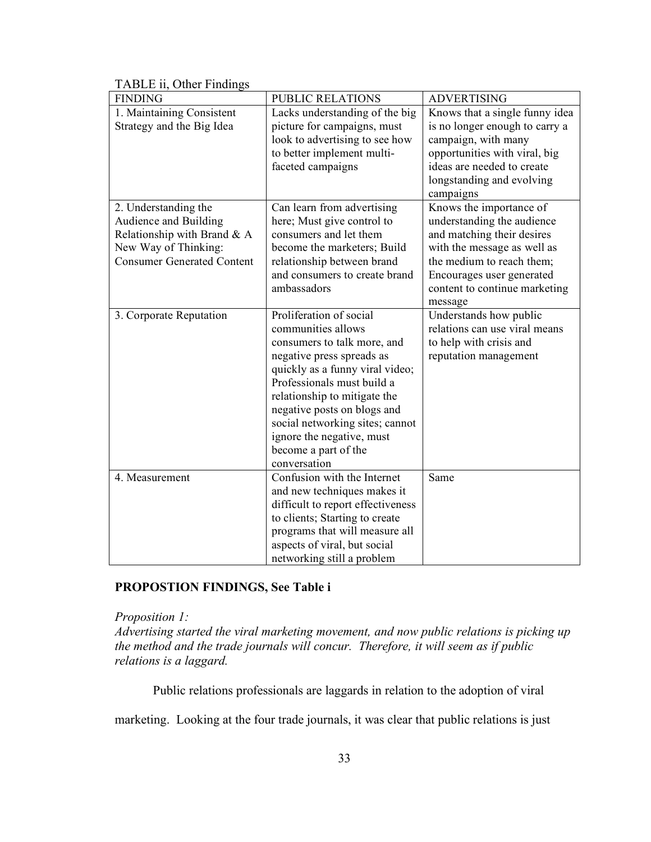| <b>FINDING</b>                    | <b>PUBLIC RELATIONS</b>           | <b>ADVERTISING</b>             |
|-----------------------------------|-----------------------------------|--------------------------------|
| 1. Maintaining Consistent         | Lacks understanding of the big    | Knows that a single funny idea |
| Strategy and the Big Idea         | picture for campaigns, must       | is no longer enough to carry a |
|                                   | look to advertising to see how    | campaign, with many            |
|                                   | to better implement multi-        | opportunities with viral, big  |
|                                   | faceted campaigns                 | ideas are needed to create     |
|                                   |                                   | longstanding and evolving      |
|                                   |                                   | campaigns                      |
| 2. Understanding the              | Can learn from advertising        | Knows the importance of        |
| Audience and Building             | here; Must give control to        | understanding the audience     |
| Relationship with Brand & A       | consumers and let them            | and matching their desires     |
| New Way of Thinking:              | become the marketers; Build       | with the message as well as    |
| <b>Consumer Generated Content</b> | relationship between brand        | the medium to reach them;      |
|                                   | and consumers to create brand     | Encourages user generated      |
|                                   | ambassadors                       | content to continue marketing  |
|                                   |                                   | message                        |
| 3. Corporate Reputation           | Proliferation of social           | Understands how public         |
|                                   | communities allows                | relations can use viral means  |
|                                   | consumers to talk more, and       | to help with crisis and        |
|                                   | negative press spreads as         | reputation management          |
|                                   | quickly as a funny viral video;   |                                |
|                                   | Professionals must build a        |                                |
|                                   | relationship to mitigate the      |                                |
|                                   | negative posts on blogs and       |                                |
|                                   | social networking sites; cannot   |                                |
|                                   | ignore the negative, must         |                                |
|                                   | become a part of the              |                                |
|                                   | conversation                      |                                |
| 4. Measurement                    | Confusion with the Internet       | Same                           |
|                                   | and new techniques makes it       |                                |
|                                   | difficult to report effectiveness |                                |
|                                   | to clients; Starting to create    |                                |
|                                   | programs that will measure all    |                                |
|                                   | aspects of viral, but social      |                                |
|                                   | networking still a problem        |                                |

# TABLE ii, Other Findings

# **PROPOSTION FINDINGS, See Table i**

*Proposition 1:*

*Advertising started the viral marketing movement, and now public relations is picking up the method and the trade journals will concur. Therefore, it will seem as if public relations is a laggard.*

Public relations professionals are laggards in relation to the adoption of viral

marketing. Looking at the four trade journals, it was clear that public relations is just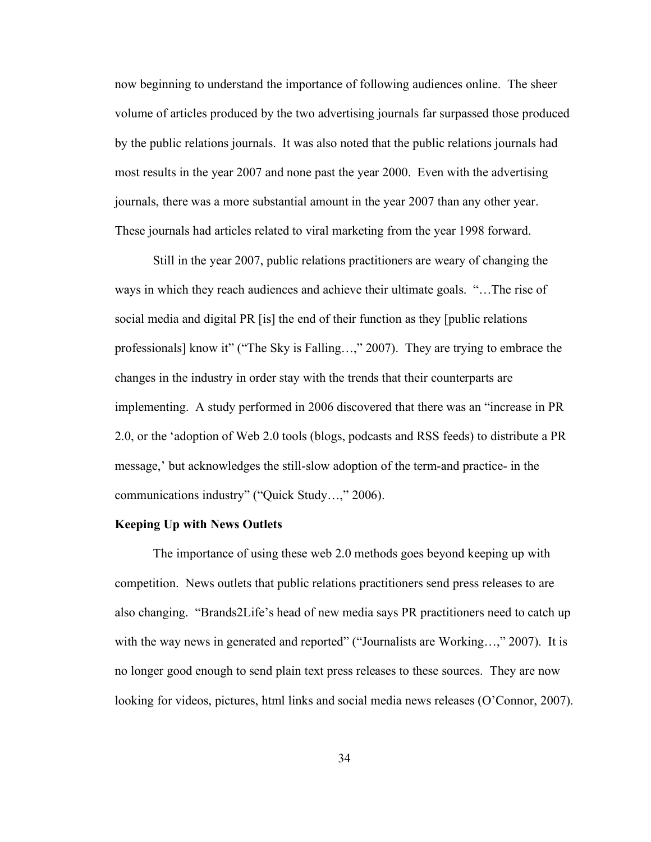now beginning to understand the importance of following audiences online. The sheer volume of articles produced by the two advertising journals far surpassed those produced by the public relations journals. It was also noted that the public relations journals had most results in the year 2007 and none past the year 2000. Even with the advertising journals, there was a more substantial amount in the year 2007 than any other year. These journals had articles related to viral marketing from the year 1998 forward.

Still in the year 2007, public relations practitioners are weary of changing the ways in which they reach audiences and achieve their ultimate goals. "…The rise of social media and digital PR [is] the end of their function as they [public relations professionals] know it" ("The Sky is Falling…," 2007). They are trying to embrace the changes in the industry in order stay with the trends that their counterparts are implementing. A study performed in 2006 discovered that there was an "increase in PR 2.0, or the 'adoption of Web 2.0 tools (blogs, podcasts and RSS feeds) to distribute a PR message,' but acknowledges the still-slow adoption of the term-and practice- in the communications industry" ("Quick Study…," 2006).

#### **Keeping Up with News Outlets**

The importance of using these web 2.0 methods goes beyond keeping up with competition. News outlets that public relations practitioners send press releases to are also changing. "Brands2Life's head of new media says PR practitioners need to catch up with the way news in generated and reported" ("Journalists are Working...," 2007). It is no longer good enough to send plain text press releases to these sources. They are now looking for videos, pictures, html links and social media news releases (O'Connor, 2007).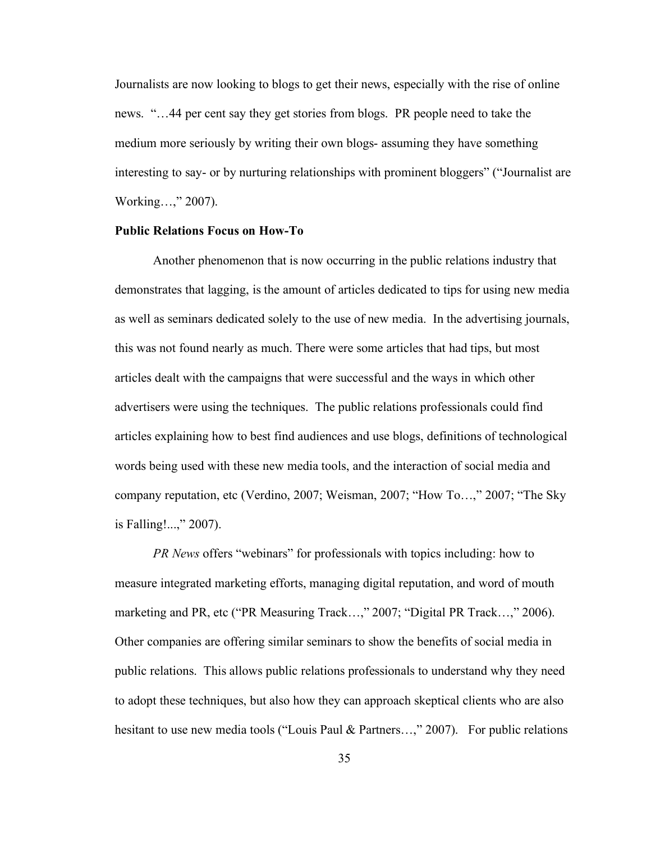Journalists are now looking to blogs to get their news, especially with the rise of online news. "…44 per cent say they get stories from blogs. PR people need to take the medium more seriously by writing their own blogs- assuming they have something interesting to say- or by nurturing relationships with prominent bloggers" ("Journalist are Working…," 2007).

## **Public Relations Focus on How-To**

Another phenomenon that is now occurring in the public relations industry that demonstrates that lagging, is the amount of articles dedicated to tips for using new media as well as seminars dedicated solely to the use of new media. In the advertising journals, this was not found nearly as much. There were some articles that had tips, but most articles dealt with the campaigns that were successful and the ways in which other advertisers were using the techniques. The public relations professionals could find articles explaining how to best find audiences and use blogs, definitions of technological words being used with these new media tools, and the interaction of social media and company reputation, etc (Verdino, 2007; Weisman, 2007; "How To…," 2007; "The Sky is Falling!...," 2007).

*PR News* offers "webinars" for professionals with topics including: how to measure integrated marketing efforts, managing digital reputation, and word of mouth marketing and PR, etc ("PR Measuring Track...," 2007; "Digital PR Track...," 2006). Other companies are offering similar seminars to show the benefits of social media in public relations. This allows public relations professionals to understand why they need to adopt these techniques, but also how they can approach skeptical clients who are also hesitant to use new media tools ("Louis Paul & Partners...," 2007). For public relations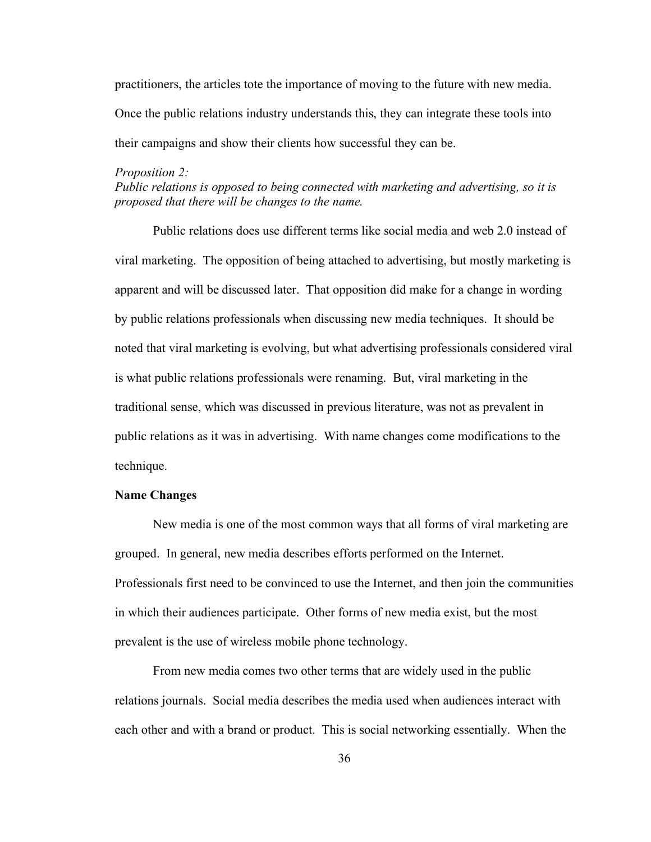practitioners, the articles tote the importance of moving to the future with new media. Once the public relations industry understands this, they can integrate these tools into their campaigns and show their clients how successful they can be.

#### *Proposition 2:*

*Public relations is opposed to being connected with marketing and advertising, so it is proposed that there will be changes to the name.*

Public relations does use different terms like social media and web 2.0 instead of viral marketing. The opposition of being attached to advertising, but mostly marketing is apparent and will be discussed later. That opposition did make for a change in wording by public relations professionals when discussing new media techniques. It should be noted that viral marketing is evolving, but what advertising professionals considered viral is what public relations professionals were renaming. But, viral marketing in the traditional sense, which was discussed in previous literature, was not as prevalent in public relations as it was in advertising. With name changes come modifications to the technique.

# **Name Changes**

New media is one of the most common ways that all forms of viral marketing are grouped. In general, new media describes efforts performed on the Internet. Professionals first need to be convinced to use the Internet, and then join the communities in which their audiences participate. Other forms of new media exist, but the most prevalent is the use of wireless mobile phone technology.

From new media comes two other terms that are widely used in the public relations journals. Social media describes the media used when audiences interact with each other and with a brand or product. This is social networking essentially. When the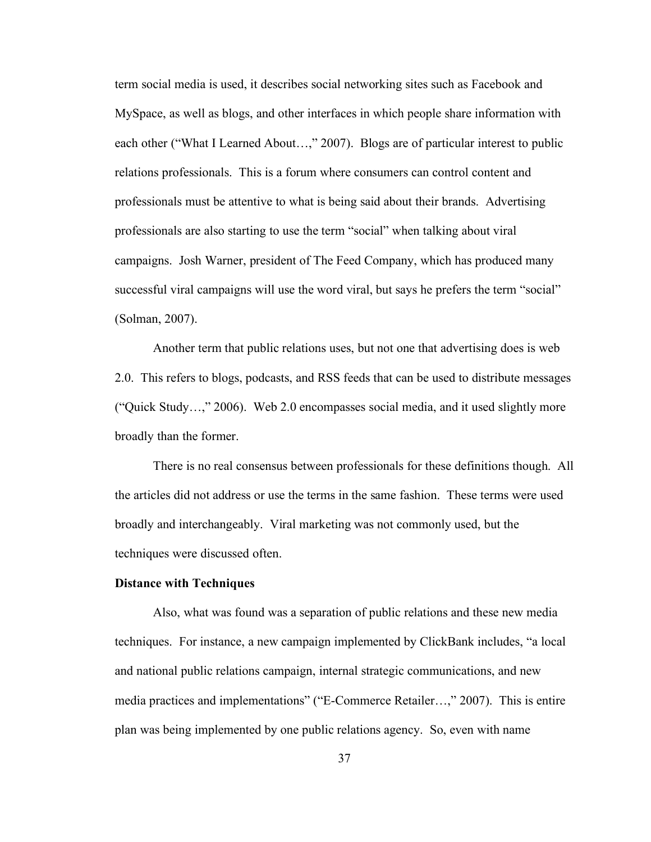term social media is used, it describes social networking sites such as Facebook and MySpace, as well as blogs, and other interfaces in which people share information with each other ("What I Learned About…," 2007). Blogs are of particular interest to public relations professionals. This is a forum where consumers can control content and professionals must be attentive to what is being said about their brands. Advertising professionals are also starting to use the term "social" when talking about viral campaigns. Josh Warner, president of The Feed Company, which has produced many successful viral campaigns will use the word viral, but says he prefers the term "social" (Solman, 2007).

Another term that public relations uses, but not one that advertising does is web 2.0. This refers to blogs, podcasts, and RSS feeds that can be used to distribute messages ("Quick Study…," 2006). Web 2.0 encompasses social media, and it used slightly more broadly than the former.

There is no real consensus between professionals for these definitions though. All the articles did not address or use the terms in the same fashion. These terms were used broadly and interchangeably. Viral marketing was not commonly used, but the techniques were discussed often.

#### **Distance with Techniques**

Also, what was found was a separation of public relations and these new media techniques. For instance, a new campaign implemented by ClickBank includes, "a local and national public relations campaign, internal strategic communications, and new media practices and implementations" ("E-Commerce Retailer…," 2007). This is entire plan was being implemented by one public relations agency. So, even with name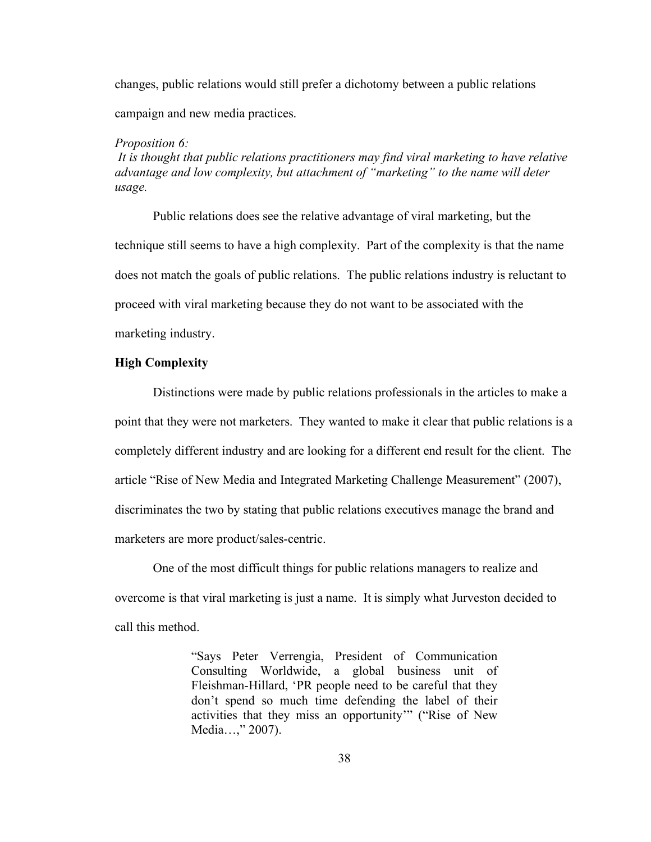changes, public relations would still prefer a dichotomy between a public relations campaign and new media practices.

#### *Proposition 6:*

*It is thought that public relations practitioners may find viral marketing to have relative advantage and low complexity, but attachment of "marketing" to the name will deter usage.*

Public relations does see the relative advantage of viral marketing, but the technique still seems to have a high complexity. Part of the complexity is that the name does not match the goals of public relations. The public relations industry is reluctant to proceed with viral marketing because they do not want to be associated with the marketing industry.

# **High Complexity**

Distinctions were made by public relations professionals in the articles to make a point that they were not marketers. They wanted to make it clear that public relations is a completely different industry and are looking for a different end result for the client. The article "Rise of New Media and Integrated Marketing Challenge Measurement" (2007), discriminates the two by stating that public relations executives manage the brand and marketers are more product/sales-centric.

One of the most difficult things for public relations managers to realize and overcome is that viral marketing is just a name. It is simply what Jurveston decided to call this method.

> "Says Peter Verrengia, President of Communication Consulting Worldwide, a global business unit of Fleishman-Hillard, 'PR people need to be careful that they don't spend so much time defending the label of their activities that they miss an opportunity'" ("Rise of New Media…," 2007).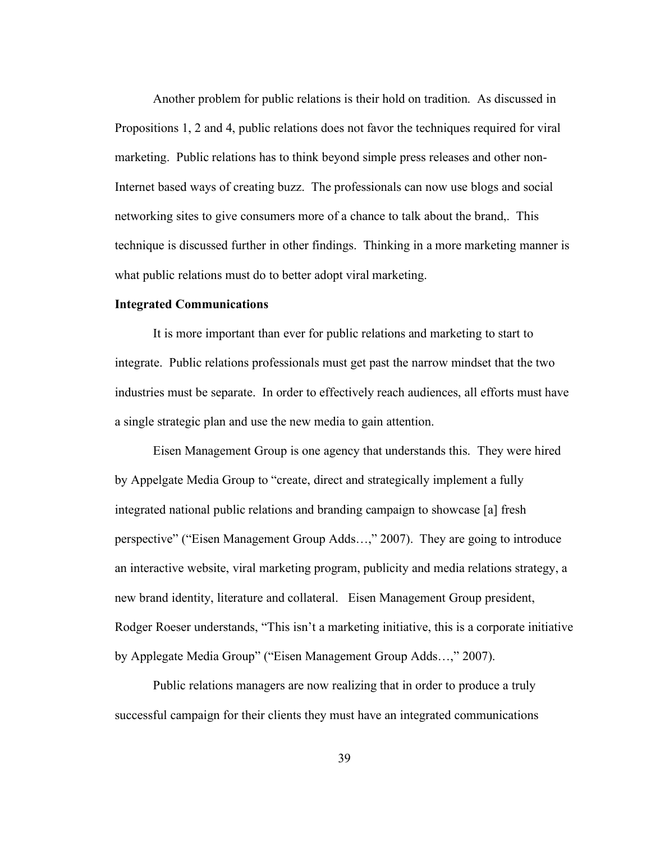Another problem for public relations is their hold on tradition. As discussed in Propositions 1, 2 and 4, public relations does not favor the techniques required for viral marketing. Public relations has to think beyond simple press releases and other non-Internet based ways of creating buzz. The professionals can now use blogs and social networking sites to give consumers more of a chance to talk about the brand,. This technique is discussed further in other findings. Thinking in a more marketing manner is what public relations must do to better adopt viral marketing.

## **Integrated Communications**

It is more important than ever for public relations and marketing to start to integrate. Public relations professionals must get past the narrow mindset that the two industries must be separate. In order to effectively reach audiences, all efforts must have a single strategic plan and use the new media to gain attention.

Eisen Management Group is one agency that understands this. They were hired by Appelgate Media Group to "create, direct and strategically implement a fully integrated national public relations and branding campaign to showcase [a] fresh perspective" ("Eisen Management Group Adds…," 2007). They are going to introduce an interactive website, viral marketing program, publicity and media relations strategy, a new brand identity, literature and collateral. Eisen Management Group president, Rodger Roeser understands, "This isn't a marketing initiative, this is a corporate initiative by Applegate Media Group" ("Eisen Management Group Adds…," 2007).

Public relations managers are now realizing that in order to produce a truly successful campaign for their clients they must have an integrated communications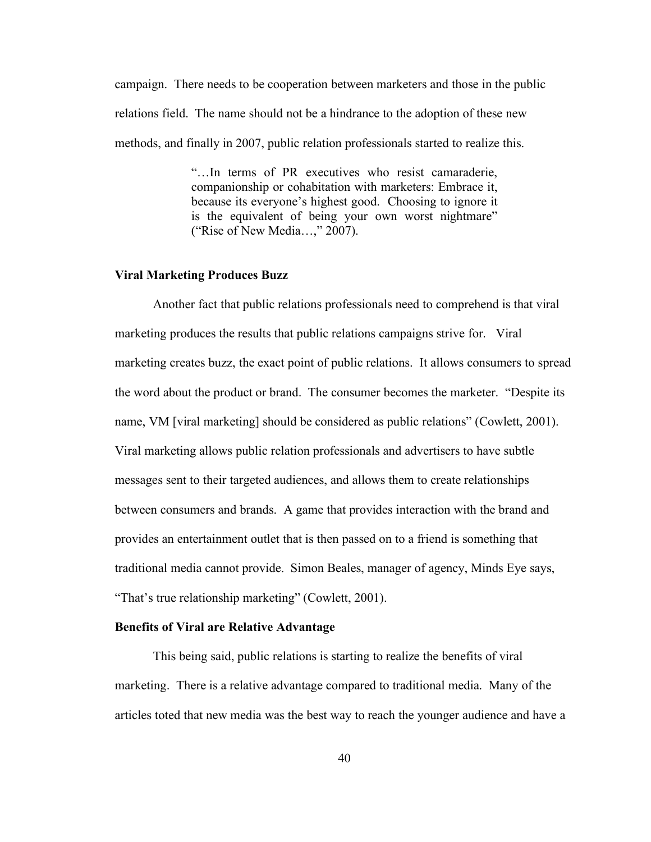campaign. There needs to be cooperation between marketers and those in the public relations field. The name should not be a hindrance to the adoption of these new methods, and finally in 2007, public relation professionals started to realize this.

> "…In terms of PR executives who resist camaraderie, companionship or cohabitation with marketers: Embrace it, because its everyone's highest good. Choosing to ignore it is the equivalent of being your own worst nightmare" ("Rise of New Media…," 2007).

## **Viral Marketing Produces Buzz**

Another fact that public relations professionals need to comprehend is that viral marketing produces the results that public relations campaigns strive for. Viral marketing creates buzz, the exact point of public relations. It allows consumers to spread the word about the product or brand. The consumer becomes the marketer. "Despite its name, VM [viral marketing] should be considered as public relations" (Cowlett, 2001). Viral marketing allows public relation professionals and advertisers to have subtle messages sent to their targeted audiences, and allows them to create relationships between consumers and brands. A game that provides interaction with the brand and provides an entertainment outlet that is then passed on to a friend is something that traditional media cannot provide. Simon Beales, manager of agency, Minds Eye says, "That's true relationship marketing" (Cowlett, 2001).

#### **Benefits of Viral are Relative Advantage**

This being said, public relations is starting to realize the benefits of viral marketing. There is a relative advantage compared to traditional media. Many of the articles toted that new media was the best way to reach the younger audience and have a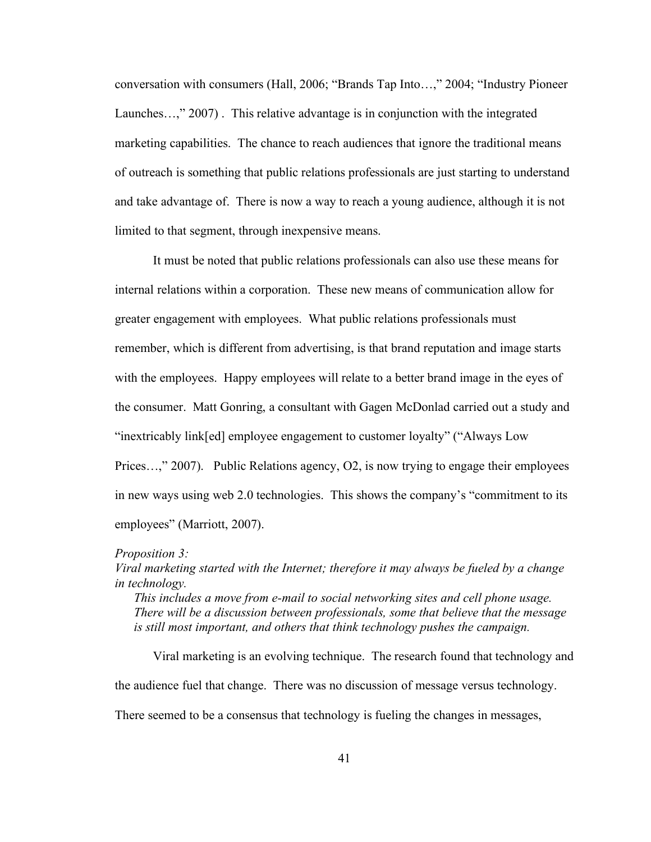conversation with consumers (Hall, 2006; "Brands Tap Into…," 2004; "Industry Pioneer Launches…," 2007) . This relative advantage is in conjunction with the integrated marketing capabilities. The chance to reach audiences that ignore the traditional means of outreach is something that public relations professionals are just starting to understand and take advantage of. There is now a way to reach a young audience, although it is not limited to that segment, through inexpensive means.

It must be noted that public relations professionals can also use these means for internal relations within a corporation. These new means of communication allow for greater engagement with employees. What public relations professionals must remember, which is different from advertising, is that brand reputation and image starts with the employees. Happy employees will relate to a better brand image in the eyes of the consumer. Matt Gonring, a consultant with Gagen McDonlad carried out a study and "inextricably link[ed] employee engagement to customer loyalty" ("Always Low Prices…," 2007). Public Relations agency, O2, is now trying to engage their employees in new ways using web 2.0 technologies. This shows the company's "commitment to its employees" (Marriott, 2007).

#### *Proposition 3:*

*Viral marketing started with the Internet; therefore it may always be fueled by a change in technology.*

*This includes a move from e-mail to social networking sites and cell phone usage. There will be a discussion between professionals, some that believe that the message is still most important, and others that think technology pushes the campaign.*

Viral marketing is an evolving technique. The research found that technology and the audience fuel that change. There was no discussion of message versus technology. There seemed to be a consensus that technology is fueling the changes in messages,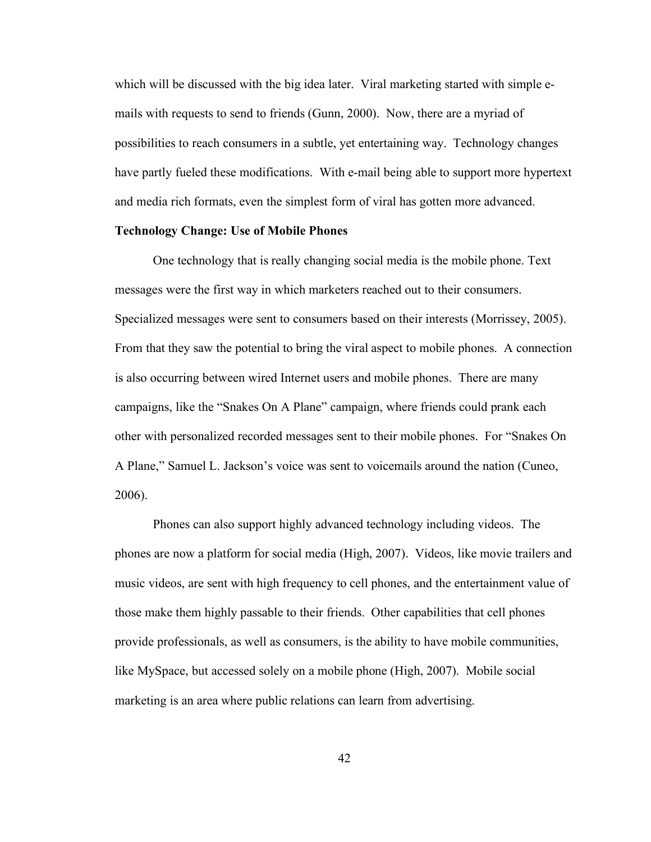which will be discussed with the big idea later. Viral marketing started with simple emails with requests to send to friends (Gunn, 2000). Now, there are a myriad of possibilities to reach consumers in a subtle, yet entertaining way. Technology changes have partly fueled these modifications. With e-mail being able to support more hypertext and media rich formats, even the simplest form of viral has gotten more advanced.

## **Technology Change: Use of Mobile Phones**

One technology that is really changing social media is the mobile phone. Text messages were the first way in which marketers reached out to their consumers. Specialized messages were sent to consumers based on their interests (Morrissey, 2005). From that they saw the potential to bring the viral aspect to mobile phones. A connection is also occurring between wired Internet users and mobile phones. There are many campaigns, like the "Snakes On A Plane" campaign, where friends could prank each other with personalized recorded messages sent to their mobile phones. For "Snakes On A Plane," Samuel L. Jackson's voice was sent to voicemails around the nation (Cuneo, 2006).

Phones can also support highly advanced technology including videos. The phones are now a platform for social media (High, 2007). Videos, like movie trailers and music videos, are sent with high frequency to cell phones, and the entertainment value of those make them highly passable to their friends. Other capabilities that cell phones provide professionals, as well as consumers, is the ability to have mobile communities, like MySpace, but accessed solely on a mobile phone (High, 2007). Mobile social marketing is an area where public relations can learn from advertising.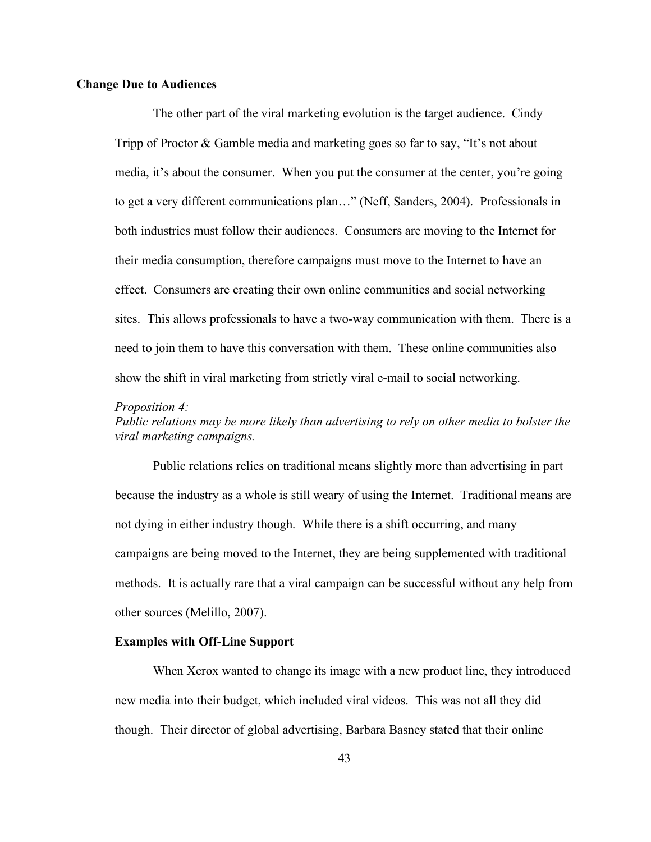#### **Change Due to Audiences**

The other part of the viral marketing evolution is the target audience. Cindy Tripp of Proctor & Gamble media and marketing goes so far to say, "It's not about media, it's about the consumer. When you put the consumer at the center, you're going to get a very different communications plan…" (Neff, Sanders, 2004). Professionals in both industries must follow their audiences. Consumers are moving to the Internet for their media consumption, therefore campaigns must move to the Internet to have an effect. Consumers are creating their own online communities and social networking sites. This allows professionals to have a two-way communication with them. There is a need to join them to have this conversation with them. These online communities also show the shift in viral marketing from strictly viral e-mail to social networking.

#### *Proposition 4:*

*Public relations may be more likely than advertising to rely on other media to bolster the viral marketing campaigns.*

Public relations relies on traditional means slightly more than advertising in part because the industry as a whole is still weary of using the Internet. Traditional means are not dying in either industry though. While there is a shift occurring, and many campaigns are being moved to the Internet, they are being supplemented with traditional methods. It is actually rare that a viral campaign can be successful without any help from other sources (Melillo, 2007).

#### **Examples with Off-Line Support**

When Xerox wanted to change its image with a new product line, they introduced new media into their budget, which included viral videos. This was not all they did though. Their director of global advertising, Barbara Basney stated that their online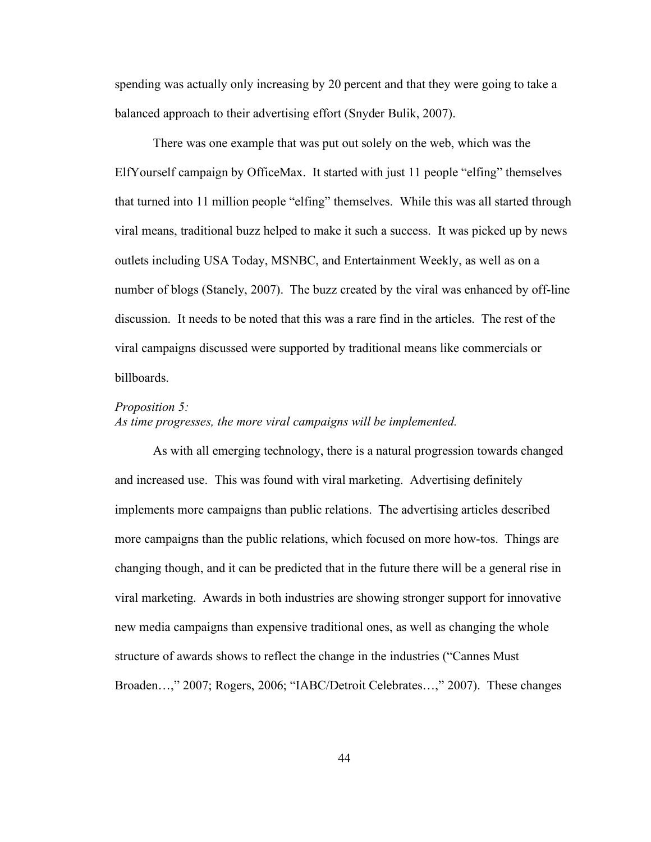spending was actually only increasing by 20 percent and that they were going to take a balanced approach to their advertising effort (Snyder Bulik, 2007).

There was one example that was put out solely on the web, which was the ElfYourself campaign by OfficeMax. It started with just 11 people "elfing" themselves that turned into 11 million people "elfing" themselves. While this was all started through viral means, traditional buzz helped to make it such a success. It was picked up by news outlets including USA Today, MSNBC, and Entertainment Weekly, as well as on a number of blogs (Stanely, 2007). The buzz created by the viral was enhanced by off-line discussion. It needs to be noted that this was a rare find in the articles. The rest of the viral campaigns discussed were supported by traditional means like commercials or billboards.

#### *Proposition 5:*

# *As time progresses, the more viral campaigns will be implemented.*

As with all emerging technology, there is a natural progression towards changed and increased use. This was found with viral marketing. Advertising definitely implements more campaigns than public relations. The advertising articles described more campaigns than the public relations, which focused on more how-tos. Things are changing though, and it can be predicted that in the future there will be a general rise in viral marketing. Awards in both industries are showing stronger support for innovative new media campaigns than expensive traditional ones, as well as changing the whole structure of awards shows to reflect the change in the industries ("Cannes Must Broaden…," 2007; Rogers, 2006; "IABC/Detroit Celebrates…," 2007). These changes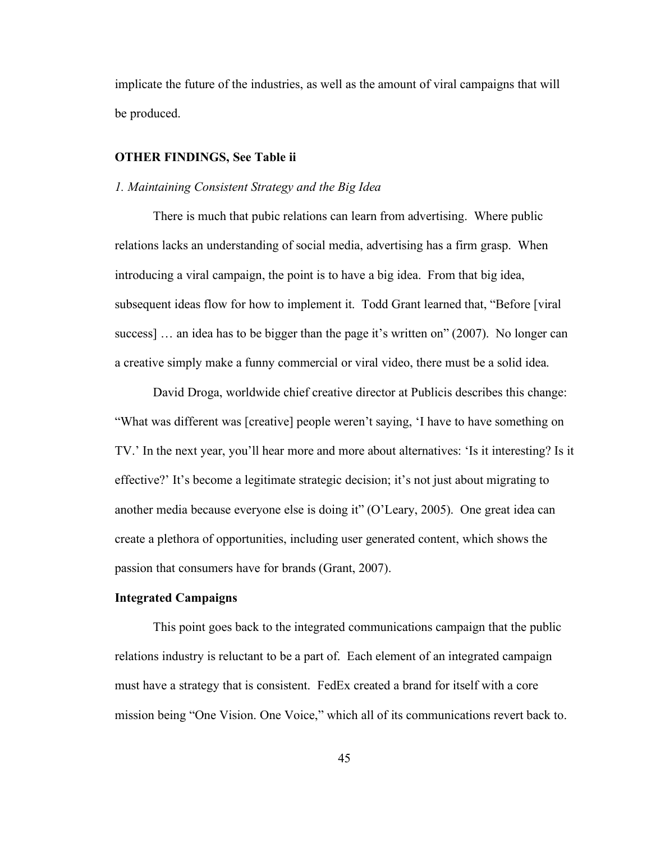implicate the future of the industries, as well as the amount of viral campaigns that will be produced.

# **OTHER FINDINGS, See Table ii**

# *1. Maintaining Consistent Strategy and the Big Idea*

There is much that pubic relations can learn from advertising. Where public relations lacks an understanding of social media, advertising has a firm grasp. When introducing a viral campaign, the point is to have a big idea. From that big idea, subsequent ideas flow for how to implement it. Todd Grant learned that, "Before [viral success] … an idea has to be bigger than the page it's written on" (2007). No longer can a creative simply make a funny commercial or viral video, there must be a solid idea.

David Droga, worldwide chief creative director at Publicis describes this change: "What was different was [creative] people weren't saying, 'I have to have something on TV.' In the next year, you'll hear more and more about alternatives: 'Is it interesting? Is it effective?' It's become a legitimate strategic decision; it's not just about migrating to another media because everyone else is doing it" (O'Leary, 2005). One great idea can create a plethora of opportunities, including user generated content, which shows the passion that consumers have for brands (Grant, 2007).

## **Integrated Campaigns**

This point goes back to the integrated communications campaign that the public relations industry is reluctant to be a part of. Each element of an integrated campaign must have a strategy that is consistent. FedEx created a brand for itself with a core mission being "One Vision. One Voice," which all of its communications revert back to.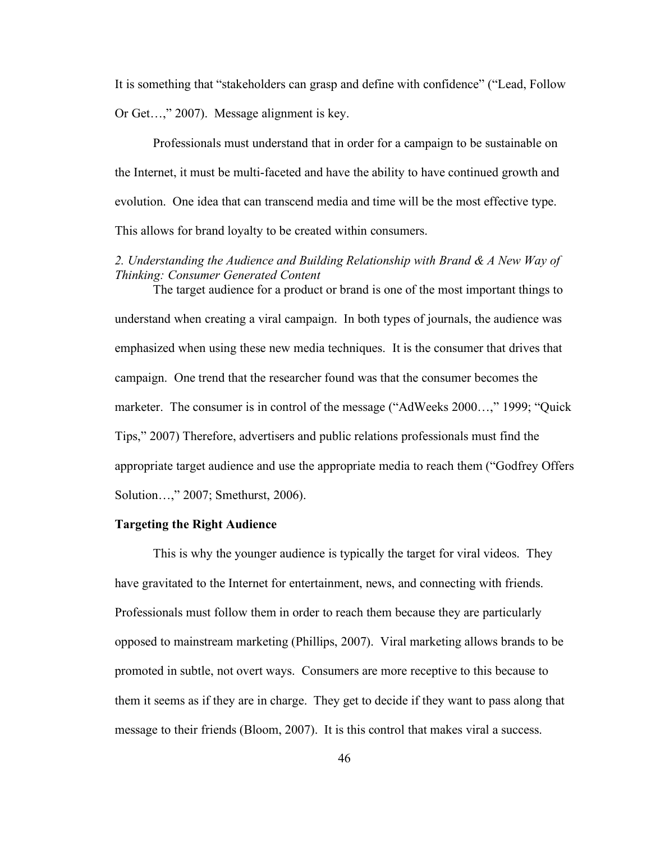It is something that "stakeholders can grasp and define with confidence" ("Lead, Follow Or Get…," 2007). Message alignment is key.

Professionals must understand that in order for a campaign to be sustainable on the Internet, it must be multi-faceted and have the ability to have continued growth and evolution. One idea that can transcend media and time will be the most effective type. This allows for brand loyalty to be created within consumers.

# *2. Understanding the Audience and Building Relationship with Brand & A New Way of Thinking: Consumer Generated Content*

The target audience for a product or brand is one of the most important things to understand when creating a viral campaign. In both types of journals, the audience was emphasized when using these new media techniques. It is the consumer that drives that campaign. One trend that the researcher found was that the consumer becomes the marketer. The consumer is in control of the message ("AdWeeks 2000…," 1999; "Quick Tips," 2007) Therefore, advertisers and public relations professionals must find the appropriate target audience and use the appropriate media to reach them ("Godfrey Offers Solution…," 2007; Smethurst, 2006).

# **Targeting the Right Audience**

This is why the younger audience is typically the target for viral videos. They have gravitated to the Internet for entertainment, news, and connecting with friends. Professionals must follow them in order to reach them because they are particularly opposed to mainstream marketing (Phillips, 2007). Viral marketing allows brands to be promoted in subtle, not overt ways. Consumers are more receptive to this because to them it seems as if they are in charge. They get to decide if they want to pass along that message to their friends (Bloom, 2007). It is this control that makes viral a success.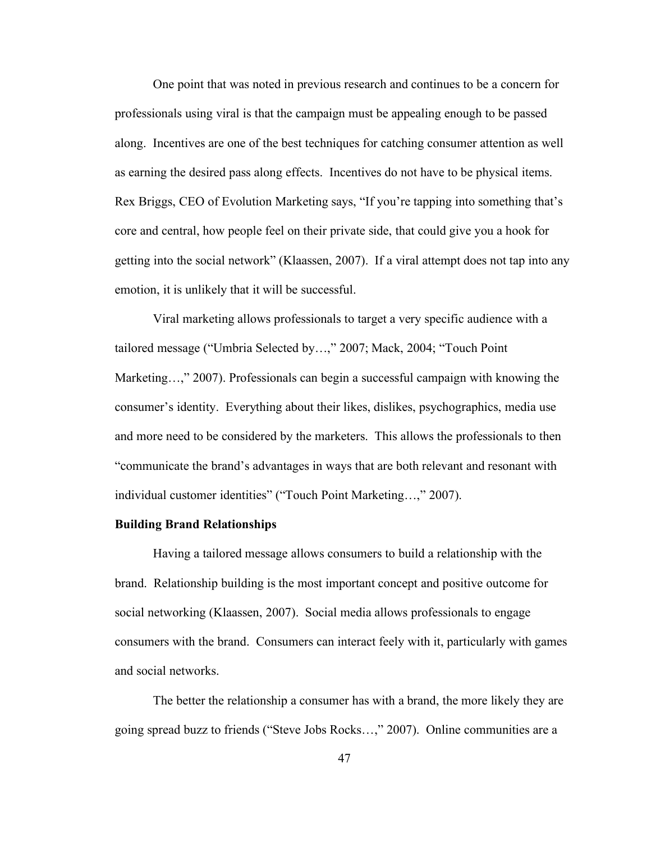One point that was noted in previous research and continues to be a concern for professionals using viral is that the campaign must be appealing enough to be passed along. Incentives are one of the best techniques for catching consumer attention as well as earning the desired pass along effects. Incentives do not have to be physical items. Rex Briggs, CEO of Evolution Marketing says, "If you're tapping into something that's core and central, how people feel on their private side, that could give you a hook for getting into the social network" (Klaassen, 2007). If a viral attempt does not tap into any emotion, it is unlikely that it will be successful.

Viral marketing allows professionals to target a very specific audience with a tailored message ("Umbria Selected by…," 2007; Mack, 2004; "Touch Point Marketing…," 2007). Professionals can begin a successful campaign with knowing the consumer's identity. Everything about their likes, dislikes, psychographics, media use and more need to be considered by the marketers. This allows the professionals to then "communicate the brand's advantages in ways that are both relevant and resonant with individual customer identities" ("Touch Point Marketing…," 2007).

# **Building Brand Relationships**

Having a tailored message allows consumers to build a relationship with the brand. Relationship building is the most important concept and positive outcome for social networking (Klaassen, 2007). Social media allows professionals to engage consumers with the brand. Consumers can interact feely with it, particularly with games and social networks.

The better the relationship a consumer has with a brand, the more likely they are going spread buzz to friends ("Steve Jobs Rocks…," 2007). Online communities are a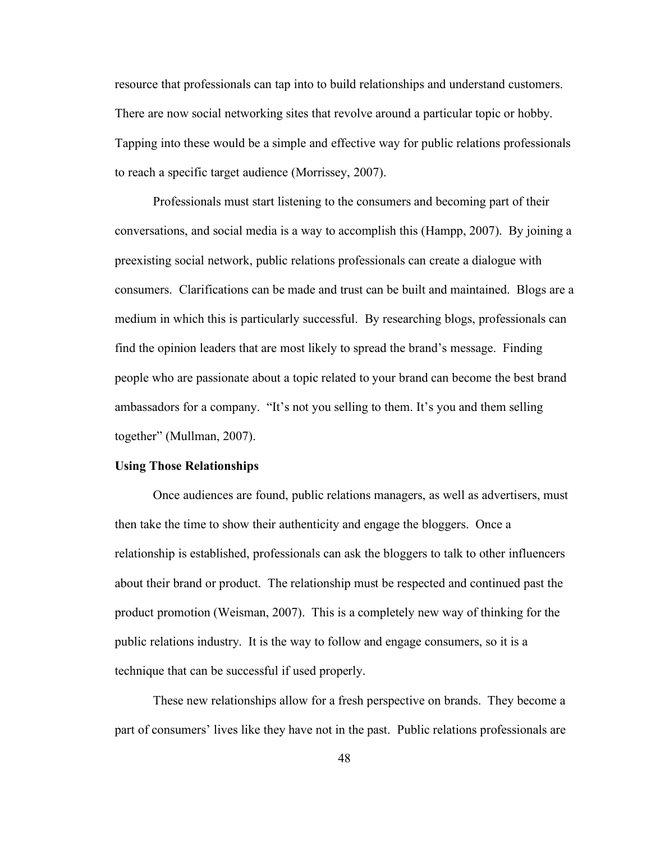resource that professionals can tap into to build relationships and understand customers. There are now social networking sites that revolve around a particular topic or hobby. Tapping into these would be a simple and effective way for public relations professionals to reach a specific target audience (Morrissey, 2007).

Professionals must start listening to the consumers and becoming part of their conversations, and social media is a way to accomplish this (Hampp, 2007). By joining a preexisting social network, public relations professionals can create a dialogue with consumers. Clarifications can be made and trust can be built and maintained. Blogs are a medium in which this is particularly successful. By researching blogs, professionals can find the opinion leaders that are most likely to spread the brand's message. Finding people who are passionate about a topic related to your brand can become the best brand ambassadors for a company. "It's not you selling to them. It's you and them selling together" (Mullman, 2007).

#### **Using Those Relationships**

Once audiences are found, public relations managers, as well as advertisers, must then take the time to show their authenticity and engage the bloggers. Once a relationship is established, professionals can ask the bloggers to talk to other influencers about their brand or product. The relationship must be respected and continued past the product promotion (Weisman, 2007). This is a completely new way of thinking for the public relations industry. It is the way to follow and engage consumers, so it is a technique that can be successful if used properly.

These new relationships allow for a fresh perspective on brands. They become a part of consumers' lives like they have not in the past. Public relations professionals are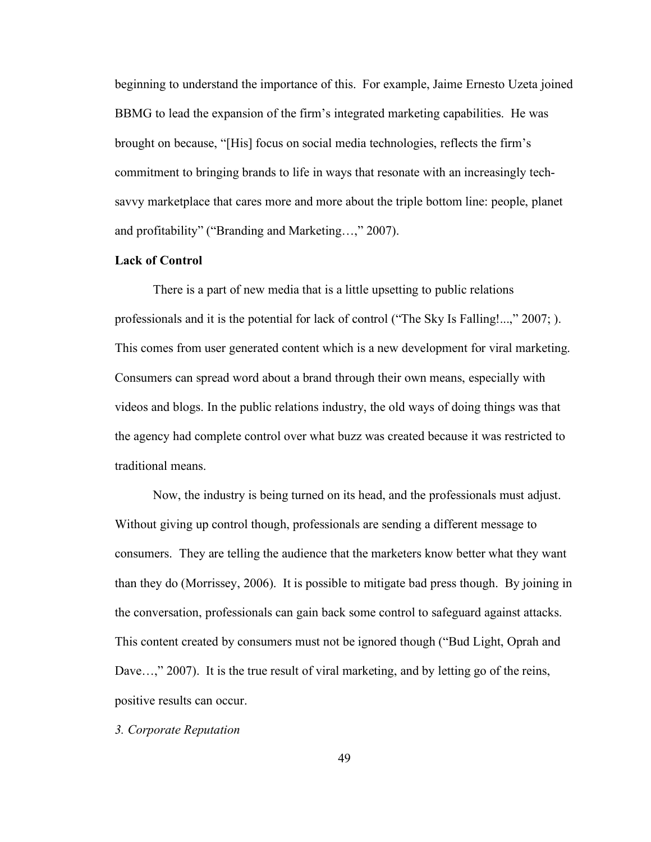beginning to understand the importance of this. For example, Jaime Ernesto Uzeta joined BBMG to lead the expansion of the firm's integrated marketing capabilities. He was brought on because, "[His] focus on social media technologies, reflects the firm's commitment to bringing brands to life in ways that resonate with an increasingly techsavvy marketplace that cares more and more about the triple bottom line: people, planet and profitability" ("Branding and Marketing…," 2007).

# **Lack of Control**

There is a part of new media that is a little upsetting to public relations professionals and it is the potential for lack of control ("The Sky Is Falling!...," 2007; ). This comes from user generated content which is a new development for viral marketing. Consumers can spread word about a brand through their own means, especially with videos and blogs. In the public relations industry, the old ways of doing things was that the agency had complete control over what buzz was created because it was restricted to traditional means.

Now, the industry is being turned on its head, and the professionals must adjust. Without giving up control though, professionals are sending a different message to consumers. They are telling the audience that the marketers know better what they want than they do (Morrissey, 2006). It is possible to mitigate bad press though. By joining in the conversation, professionals can gain back some control to safeguard against attacks. This content created by consumers must not be ignored though ("Bud Light, Oprah and Dave...," 2007). It is the true result of viral marketing, and by letting go of the reins, positive results can occur.

*3. Corporate Reputation*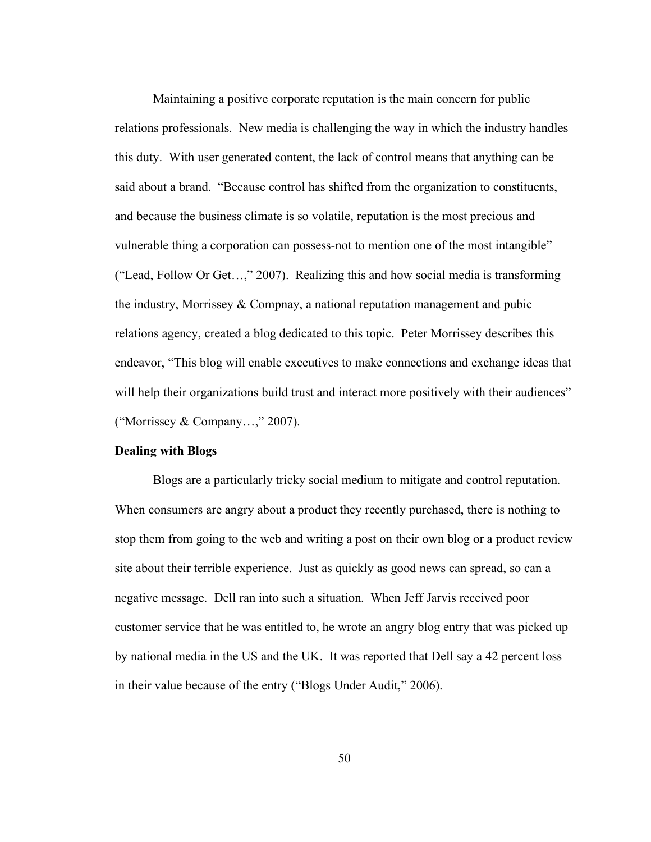Maintaining a positive corporate reputation is the main concern for public relations professionals. New media is challenging the way in which the industry handles this duty. With user generated content, the lack of control means that anything can be said about a brand. "Because control has shifted from the organization to constituents, and because the business climate is so volatile, reputation is the most precious and vulnerable thing a corporation can possess-not to mention one of the most intangible" ("Lead, Follow Or Get…," 2007). Realizing this and how social media is transforming the industry, Morrissey & Compnay, a national reputation management and pubic relations agency, created a blog dedicated to this topic. Peter Morrissey describes this endeavor, "This blog will enable executives to make connections and exchange ideas that will help their organizations build trust and interact more positively with their audiences" ("Morrissey & Company…," 2007).

#### **Dealing with Blogs**

Blogs are a particularly tricky social medium to mitigate and control reputation. When consumers are angry about a product they recently purchased, there is nothing to stop them from going to the web and writing a post on their own blog or a product review site about their terrible experience. Just as quickly as good news can spread, so can a negative message. Dell ran into such a situation. When Jeff Jarvis received poor customer service that he was entitled to, he wrote an angry blog entry that was picked up by national media in the US and the UK. It was reported that Dell say a 42 percent loss in their value because of the entry ("Blogs Under Audit," 2006).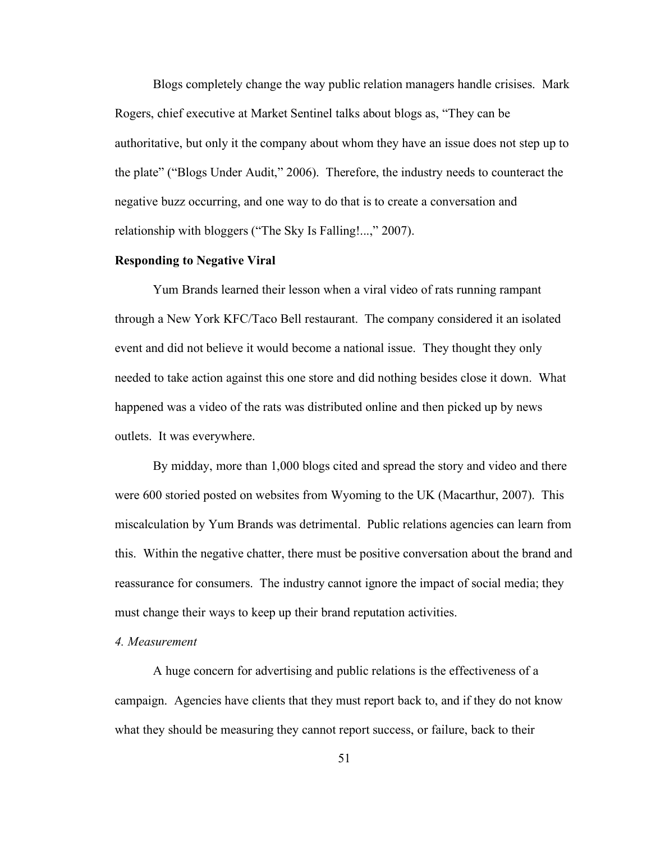Blogs completely change the way public relation managers handle crisises. Mark Rogers, chief executive at Market Sentinel talks about blogs as, "They can be authoritative, but only it the company about whom they have an issue does not step up to the plate" ("Blogs Under Audit," 2006). Therefore, the industry needs to counteract the negative buzz occurring, and one way to do that is to create a conversation and relationship with bloggers ("The Sky Is Falling!...," 2007).

## **Responding to Negative Viral**

Yum Brands learned their lesson when a viral video of rats running rampant through a New York KFC/Taco Bell restaurant. The company considered it an isolated event and did not believe it would become a national issue. They thought they only needed to take action against this one store and did nothing besides close it down. What happened was a video of the rats was distributed online and then picked up by news outlets. It was everywhere.

By midday, more than 1,000 blogs cited and spread the story and video and there were 600 storied posted on websites from Wyoming to the UK (Macarthur, 2007). This miscalculation by Yum Brands was detrimental. Public relations agencies can learn from this. Within the negative chatter, there must be positive conversation about the brand and reassurance for consumers. The industry cannot ignore the impact of social media; they must change their ways to keep up their brand reputation activities.

#### *4. Measurement*

A huge concern for advertising and public relations is the effectiveness of a campaign. Agencies have clients that they must report back to, and if they do not know what they should be measuring they cannot report success, or failure, back to their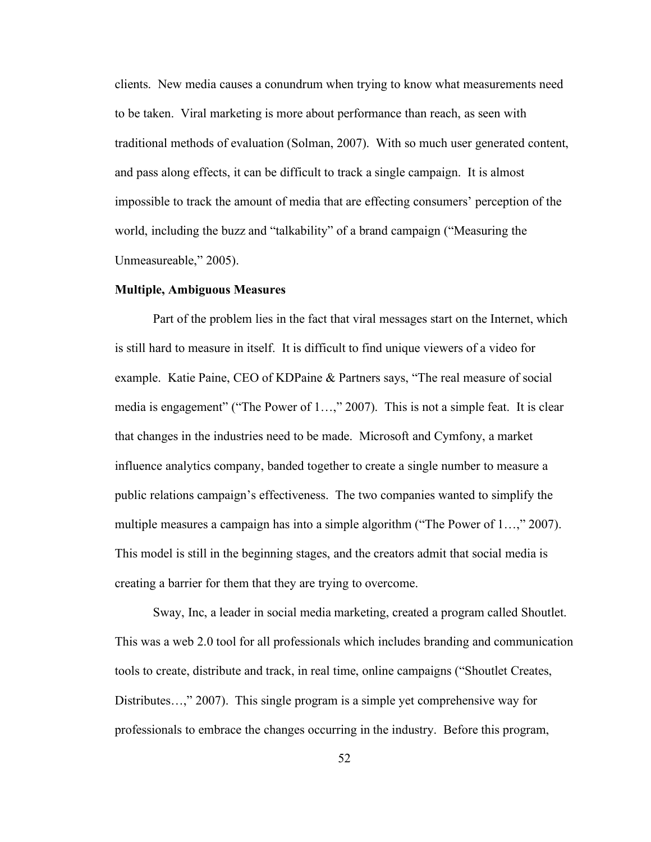clients. New media causes a conundrum when trying to know what measurements need to be taken. Viral marketing is more about performance than reach, as seen with traditional methods of evaluation (Solman, 2007). With so much user generated content, and pass along effects, it can be difficult to track a single campaign. It is almost impossible to track the amount of media that are effecting consumers' perception of the world, including the buzz and "talkability" of a brand campaign ("Measuring the Unmeasureable," 2005).

#### **Multiple, Ambiguous Measures**

Part of the problem lies in the fact that viral messages start on the Internet, which is still hard to measure in itself. It is difficult to find unique viewers of a video for example. Katie Paine, CEO of KDPaine & Partners says, "The real measure of social media is engagement" ("The Power of 1…," 2007). This is not a simple feat. It is clear that changes in the industries need to be made. Microsoft and Cymfony, a market influence analytics company, banded together to create a single number to measure a public relations campaign's effectiveness. The two companies wanted to simplify the multiple measures a campaign has into a simple algorithm ("The Power of 1…," 2007). This model is still in the beginning stages, and the creators admit that social media is creating a barrier for them that they are trying to overcome.

Sway, Inc, a leader in social media marketing, created a program called Shoutlet. This was a web 2.0 tool for all professionals which includes branding and communication tools to create, distribute and track, in real time, online campaigns ("Shoutlet Creates, Distributes…," 2007). This single program is a simple yet comprehensive way for professionals to embrace the changes occurring in the industry. Before this program,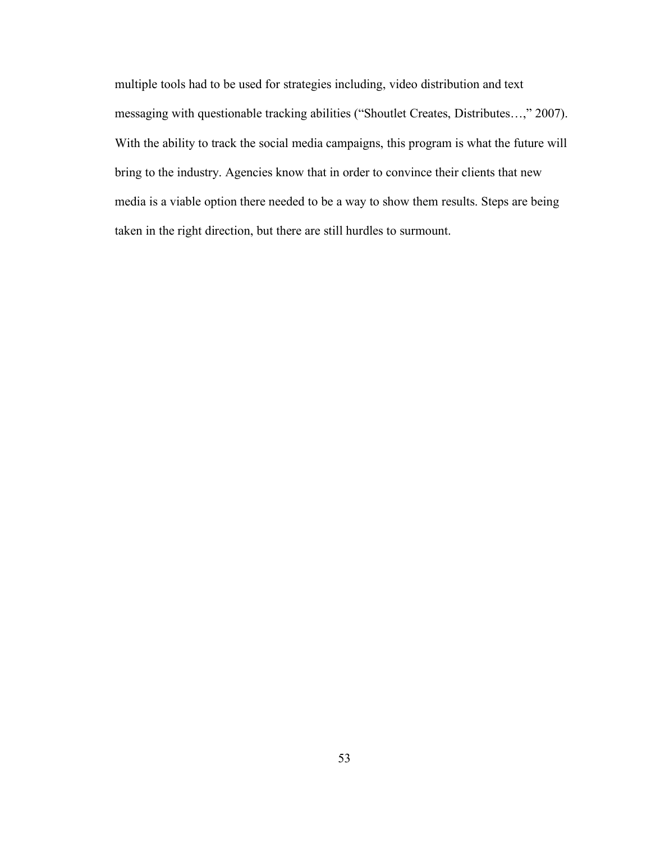multiple tools had to be used for strategies including, video distribution and text messaging with questionable tracking abilities ("Shoutlet Creates, Distributes…," 2007). With the ability to track the social media campaigns, this program is what the future will bring to the industry. Agencies know that in order to convince their clients that new media is a viable option there needed to be a way to show them results. Steps are being taken in the right direction, but there are still hurdles to surmount.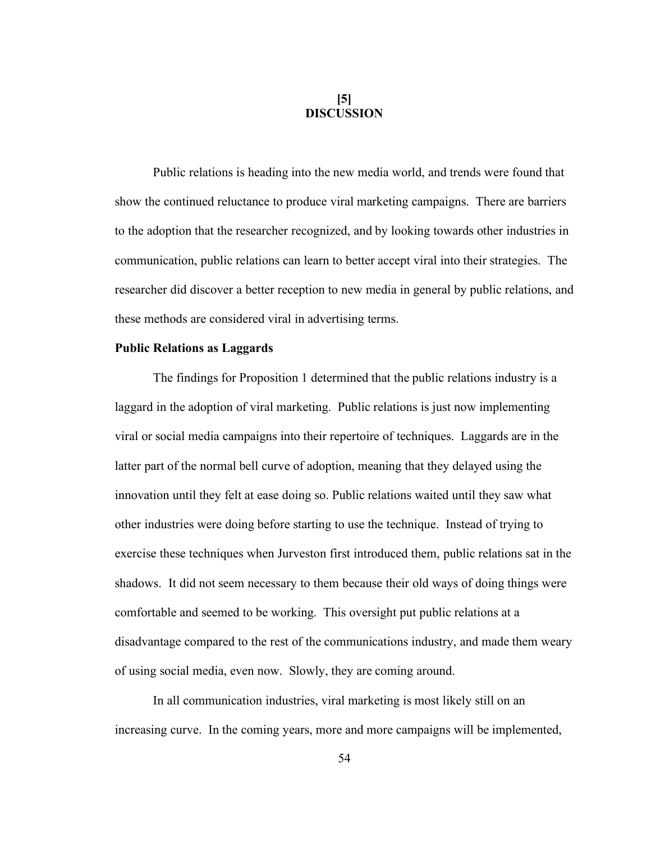# **[5] DISCUSSION**

Public relations is heading into the new media world, and trends were found that show the continued reluctance to produce viral marketing campaigns. There are barriers to the adoption that the researcher recognized, and by looking towards other industries in communication, public relations can learn to better accept viral into their strategies. The researcher did discover a better reception to new media in general by public relations, and these methods are considered viral in advertising terms.

## **Public Relations as Laggards**

The findings for Proposition 1 determined that the public relations industry is a laggard in the adoption of viral marketing. Public relations is just now implementing viral or social media campaigns into their repertoire of techniques. Laggards are in the latter part of the normal bell curve of adoption, meaning that they delayed using the innovation until they felt at ease doing so. Public relations waited until they saw what other industries were doing before starting to use the technique. Instead of trying to exercise these techniques when Jurveston first introduced them, public relations sat in the shadows. It did not seem necessary to them because their old ways of doing things were comfortable and seemed to be working. This oversight put public relations at a disadvantage compared to the rest of the communications industry, and made them weary of using social media, even now. Slowly, they are coming around.

In all communication industries, viral marketing is most likely still on an increasing curve. In the coming years, more and more campaigns will be implemented,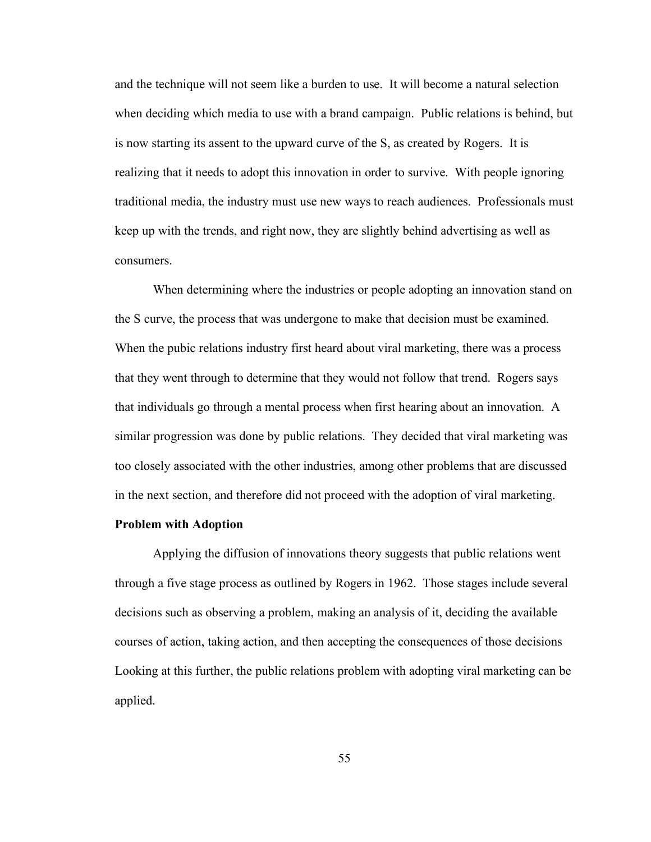and the technique will not seem like a burden to use. It will become a natural selection when deciding which media to use with a brand campaign. Public relations is behind, but is now starting its assent to the upward curve of the S, as created by Rogers. It is realizing that it needs to adopt this innovation in order to survive. With people ignoring traditional media, the industry must use new ways to reach audiences. Professionals must keep up with the trends, and right now, they are slightly behind advertising as well as consumers.

When determining where the industries or people adopting an innovation stand on the S curve, the process that was undergone to make that decision must be examined. When the pubic relations industry first heard about viral marketing, there was a process that they went through to determine that they would not follow that trend. Rogers says that individuals go through a mental process when first hearing about an innovation. A similar progression was done by public relations. They decided that viral marketing was too closely associated with the other industries, among other problems that are discussed in the next section, and therefore did not proceed with the adoption of viral marketing.

### **Problem with Adoption**

Applying the diffusion of innovations theory suggests that public relations went through a five stage process as outlined by Rogers in 1962. Those stages include several decisions such as observing a problem, making an analysis of it, deciding the available courses of action, taking action, and then accepting the consequences of those decisions Looking at this further, the public relations problem with adopting viral marketing can be applied.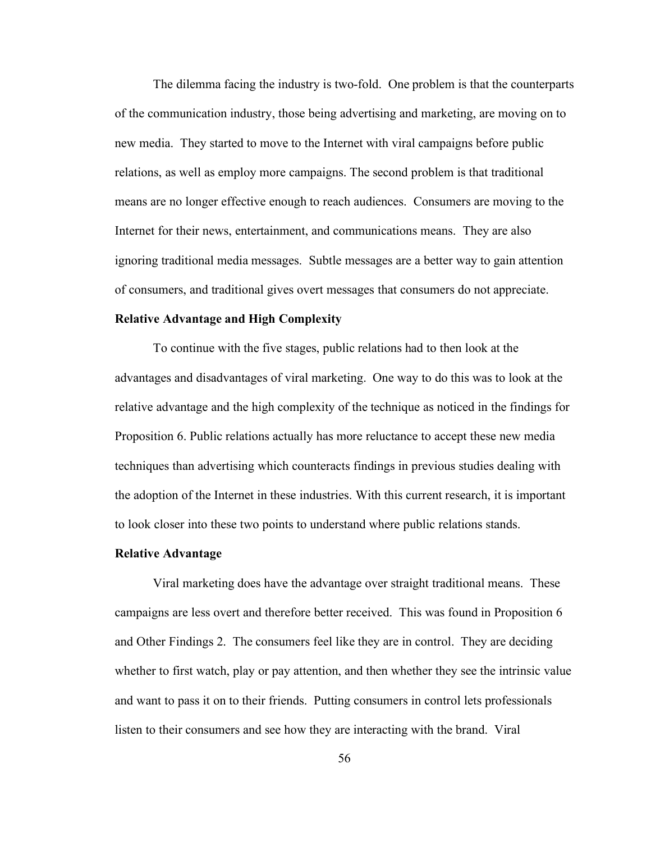The dilemma facing the industry is two-fold. One problem is that the counterparts of the communication industry, those being advertising and marketing, are moving on to new media. They started to move to the Internet with viral campaigns before public relations, as well as employ more campaigns. The second problem is that traditional means are no longer effective enough to reach audiences. Consumers are moving to the Internet for their news, entertainment, and communications means. They are also ignoring traditional media messages. Subtle messages are a better way to gain attention of consumers, and traditional gives overt messages that consumers do not appreciate.

#### **Relative Advantage and High Complexity**

To continue with the five stages, public relations had to then look at the advantages and disadvantages of viral marketing. One way to do this was to look at the relative advantage and the high complexity of the technique as noticed in the findings for Proposition 6. Public relations actually has more reluctance to accept these new media techniques than advertising which counteracts findings in previous studies dealing with the adoption of the Internet in these industries. With this current research, it is important to look closer into these two points to understand where public relations stands.

#### **Relative Advantage**

Viral marketing does have the advantage over straight traditional means. These campaigns are less overt and therefore better received. This was found in Proposition 6 and Other Findings 2. The consumers feel like they are in control. They are deciding whether to first watch, play or pay attention, and then whether they see the intrinsic value and want to pass it on to their friends. Putting consumers in control lets professionals listen to their consumers and see how they are interacting with the brand. Viral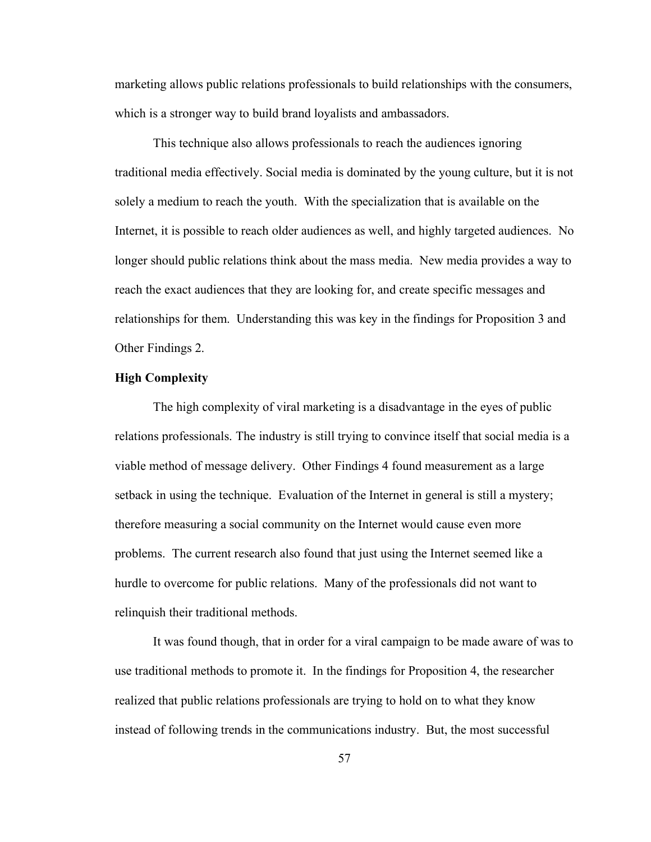marketing allows public relations professionals to build relationships with the consumers, which is a stronger way to build brand loyalists and ambassadors.

This technique also allows professionals to reach the audiences ignoring traditional media effectively. Social media is dominated by the young culture, but it is not solely a medium to reach the youth. With the specialization that is available on the Internet, it is possible to reach older audiences as well, and highly targeted audiences. No longer should public relations think about the mass media. New media provides a way to reach the exact audiences that they are looking for, and create specific messages and relationships for them. Understanding this was key in the findings for Proposition 3 and Other Findings 2.

#### **High Complexity**

The high complexity of viral marketing is a disadvantage in the eyes of public relations professionals. The industry is still trying to convince itself that social media is a viable method of message delivery. Other Findings 4 found measurement as a large setback in using the technique. Evaluation of the Internet in general is still a mystery; therefore measuring a social community on the Internet would cause even more problems. The current research also found that just using the Internet seemed like a hurdle to overcome for public relations. Many of the professionals did not want to relinquish their traditional methods.

It was found though, that in order for a viral campaign to be made aware of was to use traditional methods to promote it. In the findings for Proposition 4, the researcher realized that public relations professionals are trying to hold on to what they know instead of following trends in the communications industry. But, the most successful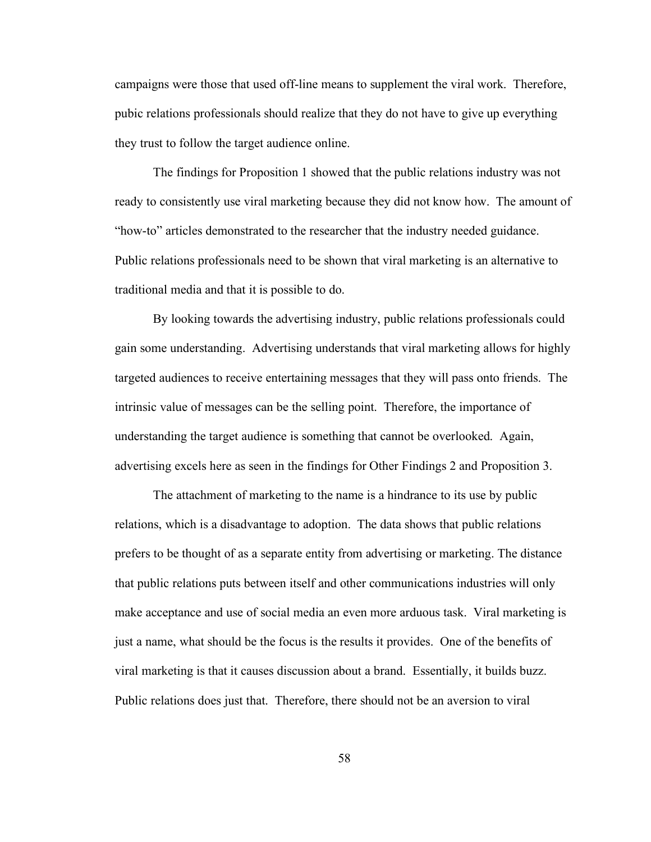campaigns were those that used off-line means to supplement the viral work. Therefore, pubic relations professionals should realize that they do not have to give up everything they trust to follow the target audience online.

The findings for Proposition 1 showed that the public relations industry was not ready to consistently use viral marketing because they did not know how. The amount of "how-to" articles demonstrated to the researcher that the industry needed guidance. Public relations professionals need to be shown that viral marketing is an alternative to traditional media and that it is possible to do.

By looking towards the advertising industry, public relations professionals could gain some understanding. Advertising understands that viral marketing allows for highly targeted audiences to receive entertaining messages that they will pass onto friends. The intrinsic value of messages can be the selling point. Therefore, the importance of understanding the target audience is something that cannot be overlooked. Again, advertising excels here as seen in the findings for Other Findings 2 and Proposition 3.

The attachment of marketing to the name is a hindrance to its use by public relations, which is a disadvantage to adoption. The data shows that public relations prefers to be thought of as a separate entity from advertising or marketing. The distance that public relations puts between itself and other communications industries will only make acceptance and use of social media an even more arduous task. Viral marketing is just a name, what should be the focus is the results it provides. One of the benefits of viral marketing is that it causes discussion about a brand. Essentially, it builds buzz. Public relations does just that. Therefore, there should not be an aversion to viral

58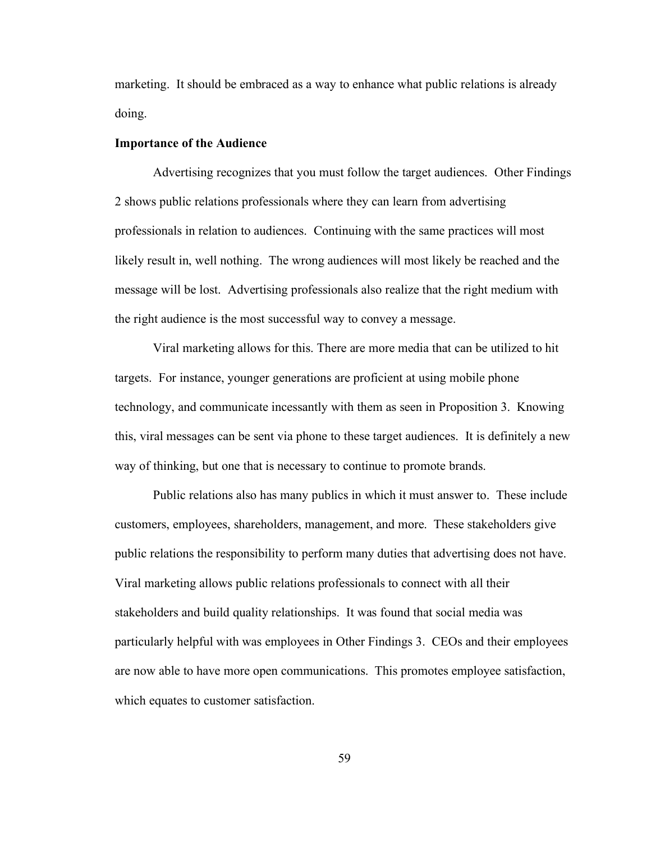marketing. It should be embraced as a way to enhance what public relations is already doing.

## **Importance of the Audience**

Advertising recognizes that you must follow the target audiences. Other Findings 2 shows public relations professionals where they can learn from advertising professionals in relation to audiences. Continuing with the same practices will most likely result in, well nothing. The wrong audiences will most likely be reached and the message will be lost. Advertising professionals also realize that the right medium with the right audience is the most successful way to convey a message.

Viral marketing allows for this. There are more media that can be utilized to hit targets. For instance, younger generations are proficient at using mobile phone technology, and communicate incessantly with them as seen in Proposition 3. Knowing this, viral messages can be sent via phone to these target audiences. It is definitely a new way of thinking, but one that is necessary to continue to promote brands.

Public relations also has many publics in which it must answer to. These include customers, employees, shareholders, management, and more. These stakeholders give public relations the responsibility to perform many duties that advertising does not have. Viral marketing allows public relations professionals to connect with all their stakeholders and build quality relationships. It was found that social media was particularly helpful with was employees in Other Findings 3. CEOs and their employees are now able to have more open communications. This promotes employee satisfaction, which equates to customer satisfaction.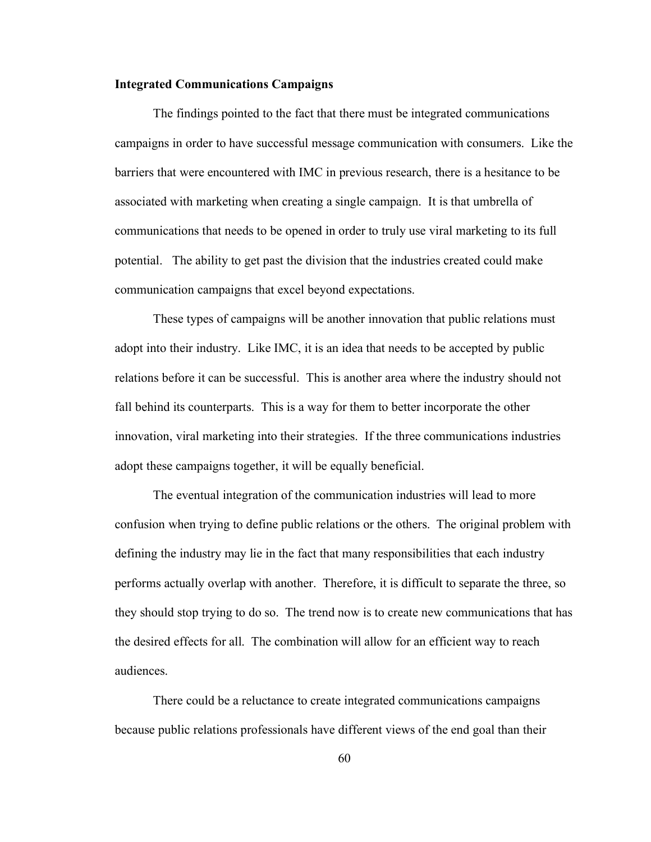#### **Integrated Communications Campaigns**

The findings pointed to the fact that there must be integrated communications campaigns in order to have successful message communication with consumers. Like the barriers that were encountered with IMC in previous research, there is a hesitance to be associated with marketing when creating a single campaign. It is that umbrella of communications that needs to be opened in order to truly use viral marketing to its full potential. The ability to get past the division that the industries created could make communication campaigns that excel beyond expectations.

These types of campaigns will be another innovation that public relations must adopt into their industry. Like IMC, it is an idea that needs to be accepted by public relations before it can be successful. This is another area where the industry should not fall behind its counterparts. This is a way for them to better incorporate the other innovation, viral marketing into their strategies. If the three communications industries adopt these campaigns together, it will be equally beneficial.

The eventual integration of the communication industries will lead to more confusion when trying to define public relations or the others. The original problem with defining the industry may lie in the fact that many responsibilities that each industry performs actually overlap with another. Therefore, it is difficult to separate the three, so they should stop trying to do so. The trend now is to create new communications that has the desired effects for all. The combination will allow for an efficient way to reach audiences.

There could be a reluctance to create integrated communications campaigns because public relations professionals have different views of the end goal than their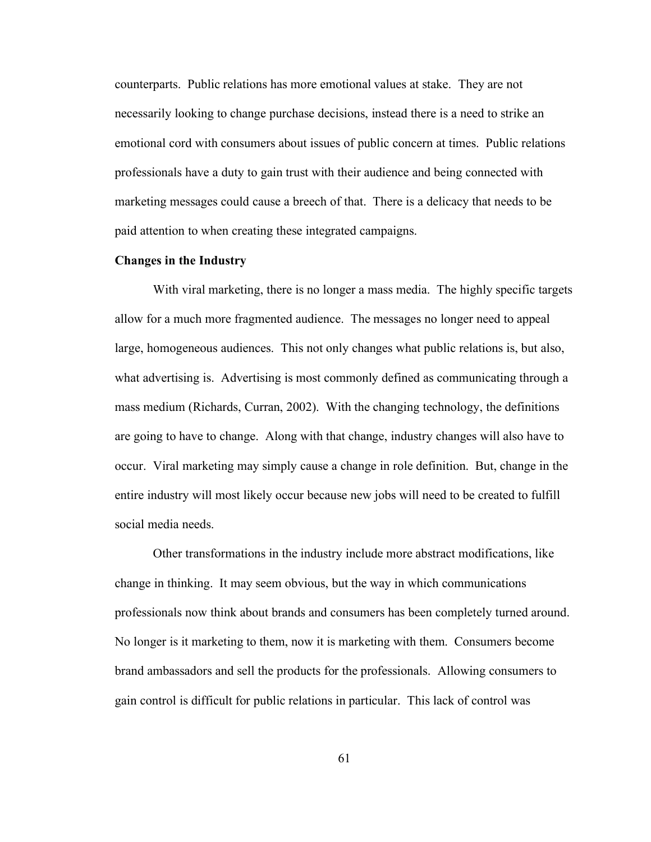counterparts. Public relations has more emotional values at stake. They are not necessarily looking to change purchase decisions, instead there is a need to strike an emotional cord with consumers about issues of public concern at times. Public relations professionals have a duty to gain trust with their audience and being connected with marketing messages could cause a breech of that. There is a delicacy that needs to be paid attention to when creating these integrated campaigns.

## **Changes in the Industry**

With viral marketing, there is no longer a mass media. The highly specific targets allow for a much more fragmented audience. The messages no longer need to appeal large, homogeneous audiences. This not only changes what public relations is, but also, what advertising is. Advertising is most commonly defined as communicating through a mass medium (Richards, Curran, 2002). With the changing technology, the definitions are going to have to change. Along with that change, industry changes will also have to occur. Viral marketing may simply cause a change in role definition. But, change in the entire industry will most likely occur because new jobs will need to be created to fulfill social media needs.

Other transformations in the industry include more abstract modifications, like change in thinking. It may seem obvious, but the way in which communications professionals now think about brands and consumers has been completely turned around. No longer is it marketing to them, now it is marketing with them. Consumers become brand ambassadors and sell the products for the professionals. Allowing consumers to gain control is difficult for public relations in particular. This lack of control was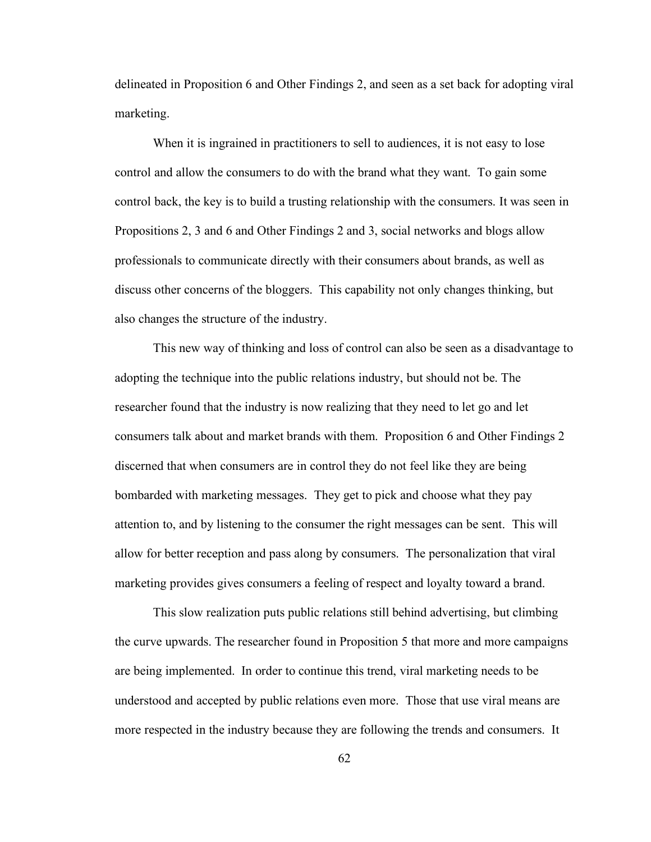delineated in Proposition 6 and Other Findings 2, and seen as a set back for adopting viral marketing.

When it is ingrained in practitioners to sell to audiences, it is not easy to lose control and allow the consumers to do with the brand what they want. To gain some control back, the key is to build a trusting relationship with the consumers. It was seen in Propositions 2, 3 and 6 and Other Findings 2 and 3, social networks and blogs allow professionals to communicate directly with their consumers about brands, as well as discuss other concerns of the bloggers. This capability not only changes thinking, but also changes the structure of the industry.

This new way of thinking and loss of control can also be seen as a disadvantage to adopting the technique into the public relations industry, but should not be. The researcher found that the industry is now realizing that they need to let go and let consumers talk about and market brands with them. Proposition 6 and Other Findings 2 discerned that when consumers are in control they do not feel like they are being bombarded with marketing messages. They get to pick and choose what they pay attention to, and by listening to the consumer the right messages can be sent. This will allow for better reception and pass along by consumers. The personalization that viral marketing provides gives consumers a feeling of respect and loyalty toward a brand.

This slow realization puts public relations still behind advertising, but climbing the curve upwards. The researcher found in Proposition 5 that more and more campaigns are being implemented. In order to continue this trend, viral marketing needs to be understood and accepted by public relations even more. Those that use viral means are more respected in the industry because they are following the trends and consumers. It

62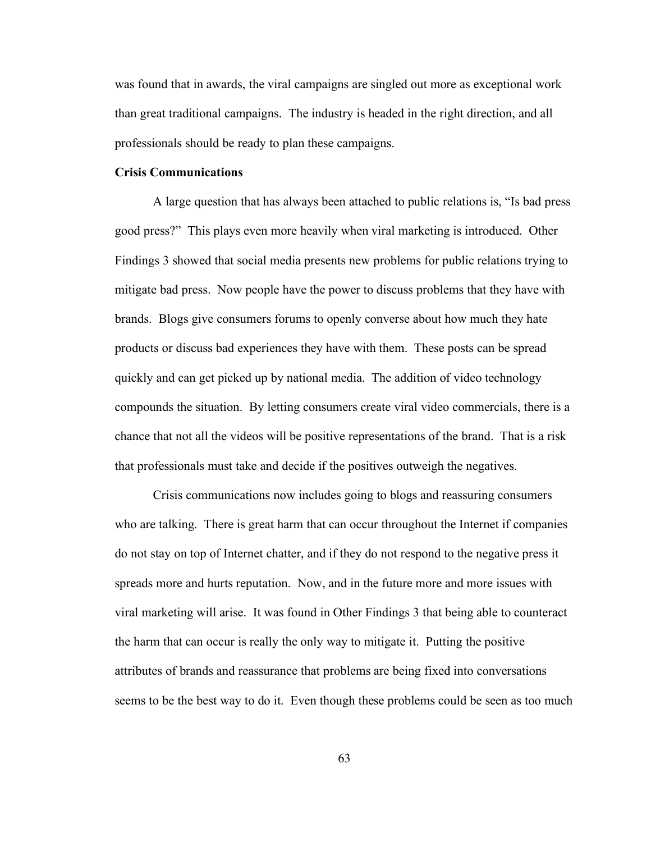was found that in awards, the viral campaigns are singled out more as exceptional work than great traditional campaigns. The industry is headed in the right direction, and all professionals should be ready to plan these campaigns.

## **Crisis Communications**

A large question that has always been attached to public relations is, "Is bad press good press?" This plays even more heavily when viral marketing is introduced. Other Findings 3 showed that social media presents new problems for public relations trying to mitigate bad press. Now people have the power to discuss problems that they have with brands. Blogs give consumers forums to openly converse about how much they hate products or discuss bad experiences they have with them. These posts can be spread quickly and can get picked up by national media. The addition of video technology compounds the situation. By letting consumers create viral video commercials, there is a chance that not all the videos will be positive representations of the brand. That is a risk that professionals must take and decide if the positives outweigh the negatives.

Crisis communications now includes going to blogs and reassuring consumers who are talking. There is great harm that can occur throughout the Internet if companies do not stay on top of Internet chatter, and if they do not respond to the negative press it spreads more and hurts reputation. Now, and in the future more and more issues with viral marketing will arise. It was found in Other Findings 3 that being able to counteract the harm that can occur is really the only way to mitigate it. Putting the positive attributes of brands and reassurance that problems are being fixed into conversations seems to be the best way to do it. Even though these problems could be seen as too much

63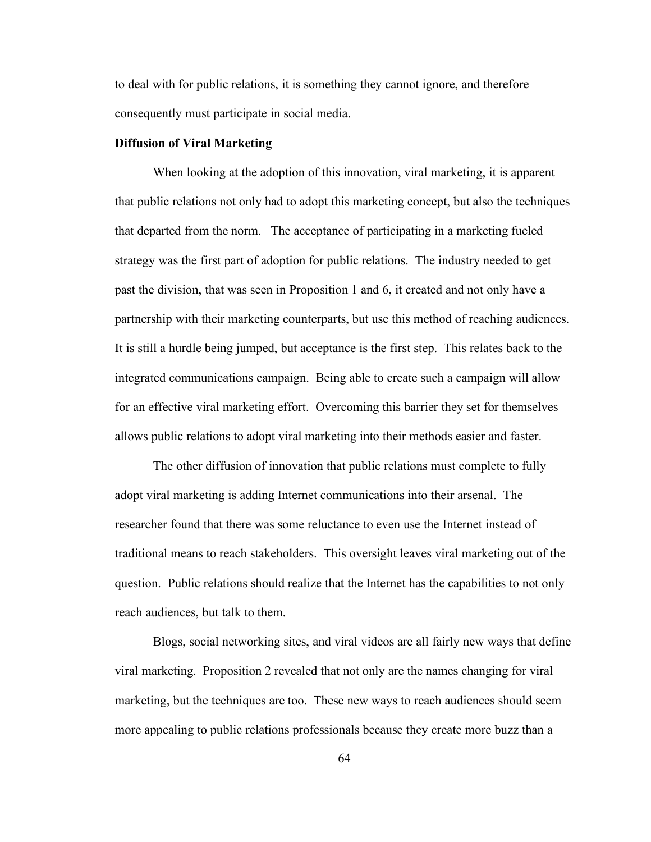to deal with for public relations, it is something they cannot ignore, and therefore consequently must participate in social media.

## **Diffusion of Viral Marketing**

When looking at the adoption of this innovation, viral marketing, it is apparent that public relations not only had to adopt this marketing concept, but also the techniques that departed from the norm. The acceptance of participating in a marketing fueled strategy was the first part of adoption for public relations. The industry needed to get past the division, that was seen in Proposition 1 and 6, it created and not only have a partnership with their marketing counterparts, but use this method of reaching audiences. It is still a hurdle being jumped, but acceptance is the first step. This relates back to the integrated communications campaign. Being able to create such a campaign will allow for an effective viral marketing effort. Overcoming this barrier they set for themselves allows public relations to adopt viral marketing into their methods easier and faster.

The other diffusion of innovation that public relations must complete to fully adopt viral marketing is adding Internet communications into their arsenal. The researcher found that there was some reluctance to even use the Internet instead of traditional means to reach stakeholders. This oversight leaves viral marketing out of the question. Public relations should realize that the Internet has the capabilities to not only reach audiences, but talk to them.

Blogs, social networking sites, and viral videos are all fairly new ways that define viral marketing. Proposition 2 revealed that not only are the names changing for viral marketing, but the techniques are too. These new ways to reach audiences should seem more appealing to public relations professionals because they create more buzz than a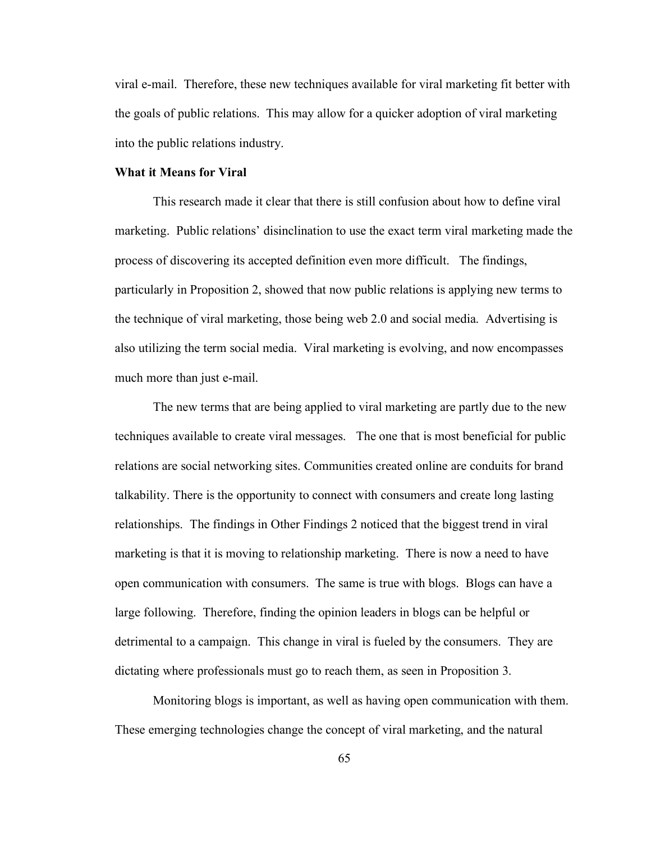viral e-mail. Therefore, these new techniques available for viral marketing fit better with the goals of public relations. This may allow for a quicker adoption of viral marketing into the public relations industry.

### **What it Means for Viral**

This research made it clear that there is still confusion about how to define viral marketing. Public relations' disinclination to use the exact term viral marketing made the process of discovering its accepted definition even more difficult. The findings, particularly in Proposition 2, showed that now public relations is applying new terms to the technique of viral marketing, those being web 2.0 and social media. Advertising is also utilizing the term social media. Viral marketing is evolving, and now encompasses much more than just e-mail.

The new terms that are being applied to viral marketing are partly due to the new techniques available to create viral messages. The one that is most beneficial for public relations are social networking sites. Communities created online are conduits for brand talkability. There is the opportunity to connect with consumers and create long lasting relationships. The findings in Other Findings 2 noticed that the biggest trend in viral marketing is that it is moving to relationship marketing. There is now a need to have open communication with consumers. The same is true with blogs. Blogs can have a large following. Therefore, finding the opinion leaders in blogs can be helpful or detrimental to a campaign. This change in viral is fueled by the consumers. They are dictating where professionals must go to reach them, as seen in Proposition 3.

Monitoring blogs is important, as well as having open communication with them. These emerging technologies change the concept of viral marketing, and the natural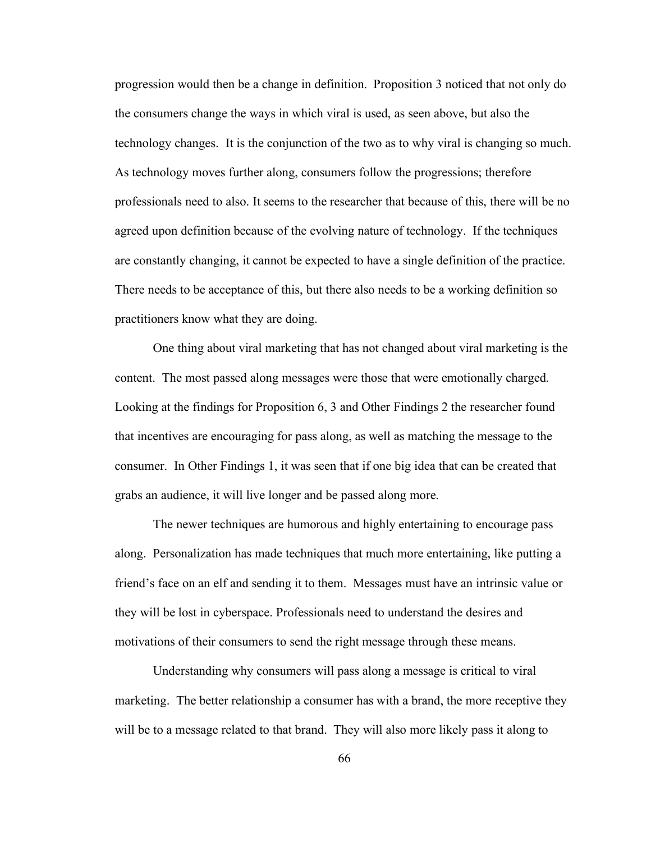progression would then be a change in definition. Proposition 3 noticed that not only do the consumers change the ways in which viral is used, as seen above, but also the technology changes. It is the conjunction of the two as to why viral is changing so much. As technology moves further along, consumers follow the progressions; therefore professionals need to also. It seems to the researcher that because of this, there will be no agreed upon definition because of the evolving nature of technology. If the techniques are constantly changing, it cannot be expected to have a single definition of the practice. There needs to be acceptance of this, but there also needs to be a working definition so practitioners know what they are doing.

One thing about viral marketing that has not changed about viral marketing is the content. The most passed along messages were those that were emotionally charged. Looking at the findings for Proposition 6, 3 and Other Findings 2 the researcher found that incentives are encouraging for pass along, as well as matching the message to the consumer. In Other Findings 1, it was seen that if one big idea that can be created that grabs an audience, it will live longer and be passed along more.

The newer techniques are humorous and highly entertaining to encourage pass along. Personalization has made techniques that much more entertaining, like putting a friend's face on an elf and sending it to them. Messages must have an intrinsic value or they will be lost in cyberspace. Professionals need to understand the desires and motivations of their consumers to send the right message through these means.

Understanding why consumers will pass along a message is critical to viral marketing. The better relationship a consumer has with a brand, the more receptive they will be to a message related to that brand. They will also more likely pass it along to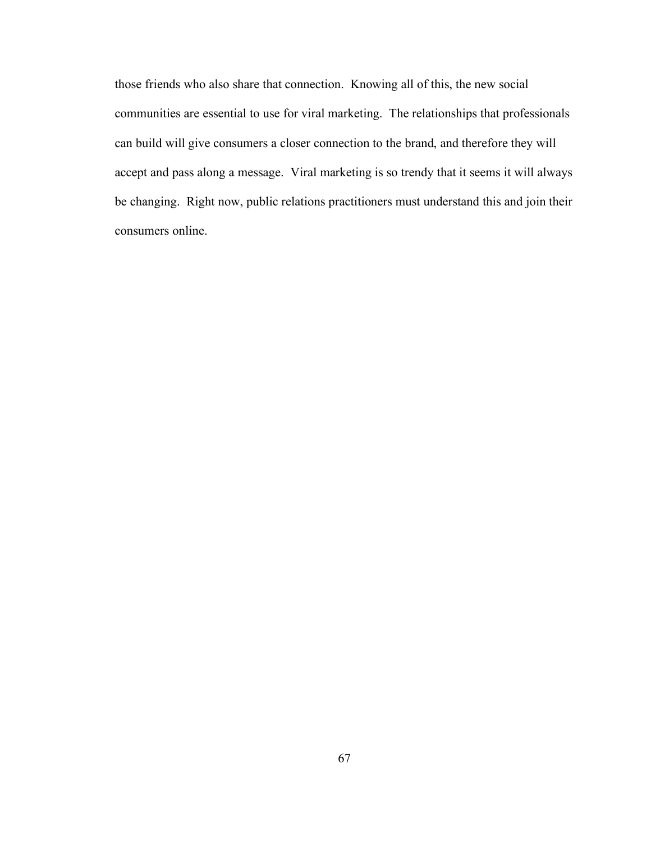those friends who also share that connection. Knowing all of this, the new social communities are essential to use for viral marketing. The relationships that professionals can build will give consumers a closer connection to the brand, and therefore they will accept and pass along a message. Viral marketing is so trendy that it seems it will always be changing. Right now, public relations practitioners must understand this and join their consumers online.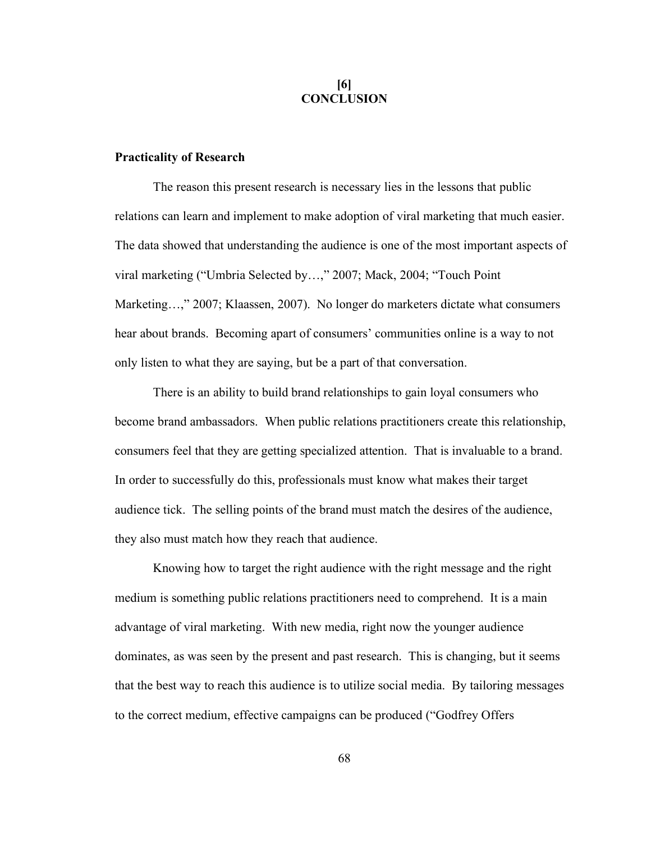## **[6] CONCLUSION**

## **Practicality of Research**

The reason this present research is necessary lies in the lessons that public relations can learn and implement to make adoption of viral marketing that much easier. The data showed that understanding the audience is one of the most important aspects of viral marketing ("Umbria Selected by…," 2007; Mack, 2004; "Touch Point Marketing...," 2007; Klaassen, 2007). No longer do marketers dictate what consumers hear about brands. Becoming apart of consumers' communities online is a way to not only listen to what they are saying, but be a part of that conversation.

There is an ability to build brand relationships to gain loyal consumers who become brand ambassadors. When public relations practitioners create this relationship, consumers feel that they are getting specialized attention. That is invaluable to a brand. In order to successfully do this, professionals must know what makes their target audience tick. The selling points of the brand must match the desires of the audience, they also must match how they reach that audience.

Knowing how to target the right audience with the right message and the right medium is something public relations practitioners need to comprehend. It is a main advantage of viral marketing. With new media, right now the younger audience dominates, as was seen by the present and past research. This is changing, but it seems that the best way to reach this audience is to utilize social media. By tailoring messages to the correct medium, effective campaigns can be produced ("Godfrey Offers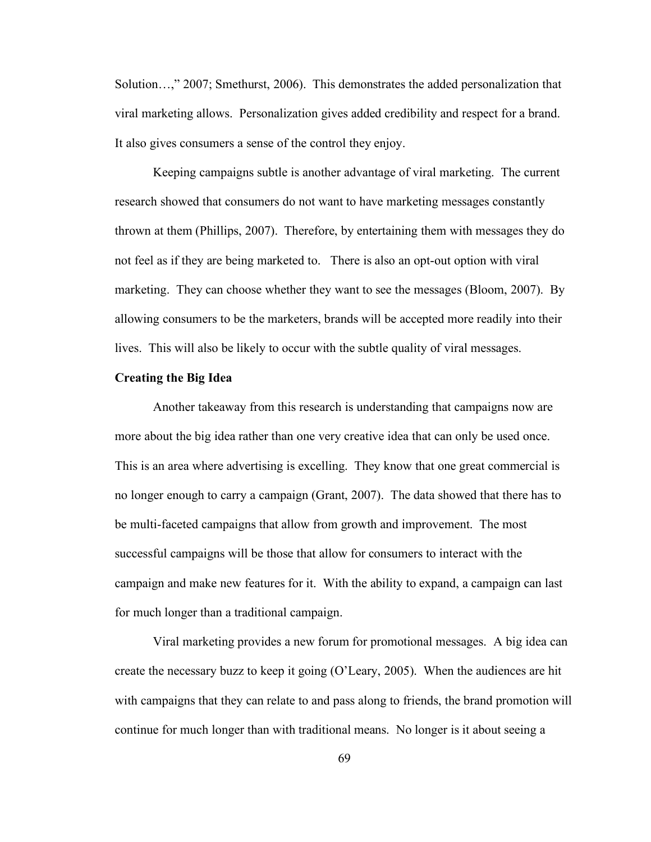Solution…," 2007; Smethurst, 2006). This demonstrates the added personalization that viral marketing allows. Personalization gives added credibility and respect for a brand. It also gives consumers a sense of the control they enjoy.

Keeping campaigns subtle is another advantage of viral marketing. The current research showed that consumers do not want to have marketing messages constantly thrown at them (Phillips, 2007). Therefore, by entertaining them with messages they do not feel as if they are being marketed to. There is also an opt-out option with viral marketing. They can choose whether they want to see the messages (Bloom, 2007). By allowing consumers to be the marketers, brands will be accepted more readily into their lives. This will also be likely to occur with the subtle quality of viral messages.

# **Creating the Big Idea**

Another takeaway from this research is understanding that campaigns now are more about the big idea rather than one very creative idea that can only be used once. This is an area where advertising is excelling. They know that one great commercial is no longer enough to carry a campaign (Grant, 2007). The data showed that there has to be multi-faceted campaigns that allow from growth and improvement. The most successful campaigns will be those that allow for consumers to interact with the campaign and make new features for it. With the ability to expand, a campaign can last for much longer than a traditional campaign.

Viral marketing provides a new forum for promotional messages. A big idea can create the necessary buzz to keep it going (O'Leary, 2005). When the audiences are hit with campaigns that they can relate to and pass along to friends, the brand promotion will continue for much longer than with traditional means. No longer is it about seeing a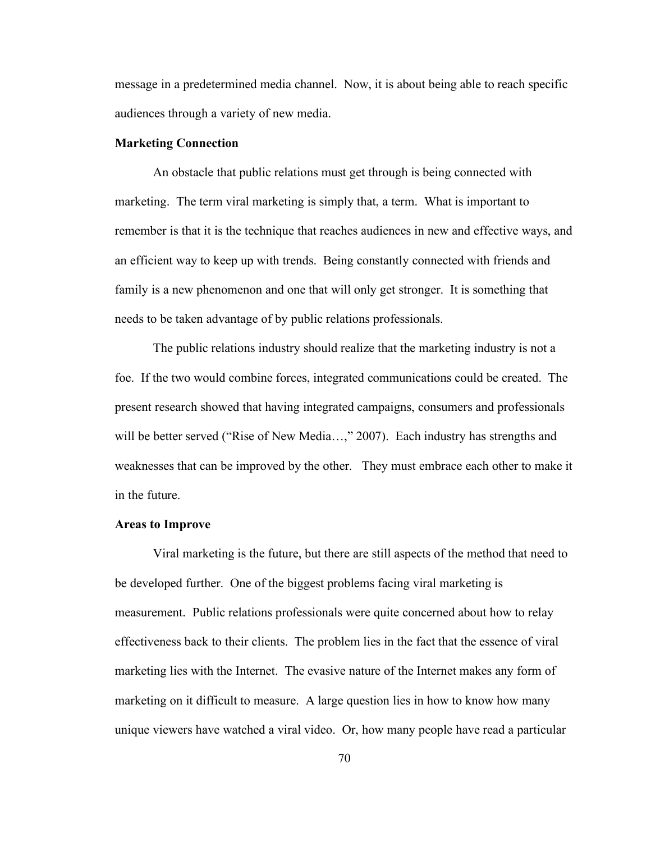message in a predetermined media channel. Now, it is about being able to reach specific audiences through a variety of new media.

# **Marketing Connection**

An obstacle that public relations must get through is being connected with marketing. The term viral marketing is simply that, a term. What is important to remember is that it is the technique that reaches audiences in new and effective ways, and an efficient way to keep up with trends. Being constantly connected with friends and family is a new phenomenon and one that will only get stronger. It is something that needs to be taken advantage of by public relations professionals.

The public relations industry should realize that the marketing industry is not a foe. If the two would combine forces, integrated communications could be created. The present research showed that having integrated campaigns, consumers and professionals will be better served ("Rise of New Media...," 2007). Each industry has strengths and weaknesses that can be improved by the other. They must embrace each other to make it in the future.

#### **Areas to Improve**

Viral marketing is the future, but there are still aspects of the method that need to be developed further. One of the biggest problems facing viral marketing is measurement. Public relations professionals were quite concerned about how to relay effectiveness back to their clients. The problem lies in the fact that the essence of viral marketing lies with the Internet. The evasive nature of the Internet makes any form of marketing on it difficult to measure. A large question lies in how to know how many unique viewers have watched a viral video. Or, how many people have read a particular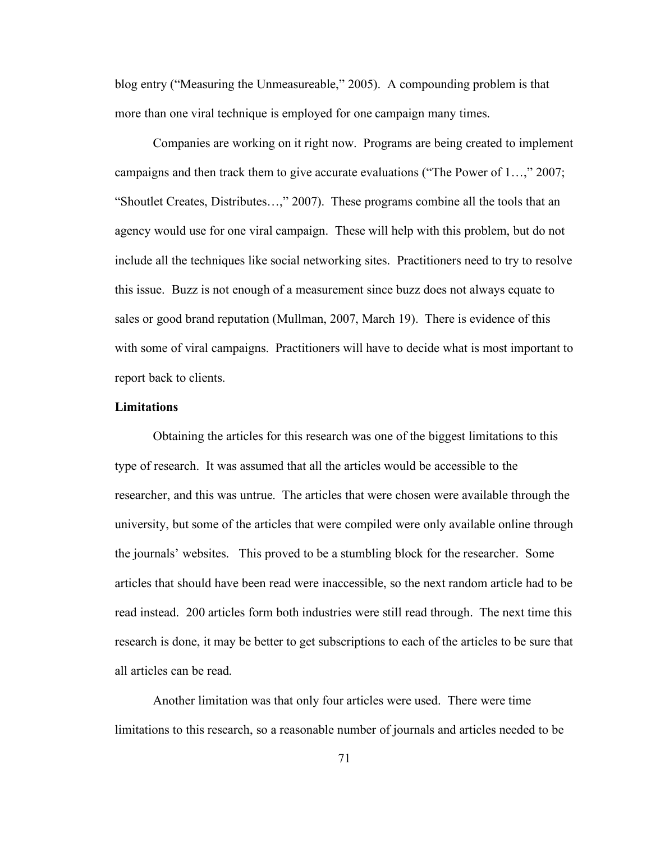blog entry ("Measuring the Unmeasureable," 2005). A compounding problem is that more than one viral technique is employed for one campaign many times.

Companies are working on it right now. Programs are being created to implement campaigns and then track them to give accurate evaluations ("The Power of 1…," 2007; "Shoutlet Creates, Distributes…," 2007). These programs combine all the tools that an agency would use for one viral campaign. These will help with this problem, but do not include all the techniques like social networking sites. Practitioners need to try to resolve this issue. Buzz is not enough of a measurement since buzz does not always equate to sales or good brand reputation (Mullman, 2007, March 19). There is evidence of this with some of viral campaigns. Practitioners will have to decide what is most important to report back to clients.

## **Limitations**

Obtaining the articles for this research was one of the biggest limitations to this type of research. It was assumed that all the articles would be accessible to the researcher, and this was untrue. The articles that were chosen were available through the university, but some of the articles that were compiled were only available online through the journals' websites. This proved to be a stumbling block for the researcher. Some articles that should have been read were inaccessible, so the next random article had to be read instead. 200 articles form both industries were still read through. The next time this research is done, it may be better to get subscriptions to each of the articles to be sure that all articles can be read.

Another limitation was that only four articles were used. There were time limitations to this research, so a reasonable number of journals and articles needed to be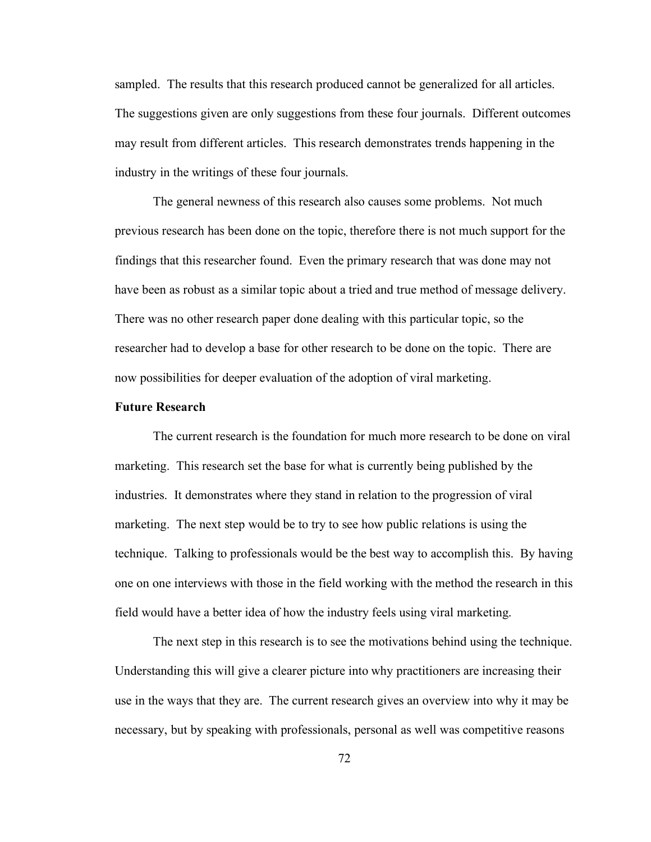sampled. The results that this research produced cannot be generalized for all articles. The suggestions given are only suggestions from these four journals. Different outcomes may result from different articles. This research demonstrates trends happening in the industry in the writings of these four journals.

The general newness of this research also causes some problems. Not much previous research has been done on the topic, therefore there is not much support for the findings that this researcher found. Even the primary research that was done may not have been as robust as a similar topic about a tried and true method of message delivery. There was no other research paper done dealing with this particular topic, so the researcher had to develop a base for other research to be done on the topic. There are now possibilities for deeper evaluation of the adoption of viral marketing.

## **Future Research**

The current research is the foundation for much more research to be done on viral marketing. This research set the base for what is currently being published by the industries. It demonstrates where they stand in relation to the progression of viral marketing. The next step would be to try to see how public relations is using the technique. Talking to professionals would be the best way to accomplish this. By having one on one interviews with those in the field working with the method the research in this field would have a better idea of how the industry feels using viral marketing.

The next step in this research is to see the motivations behind using the technique. Understanding this will give a clearer picture into why practitioners are increasing their use in the ways that they are. The current research gives an overview into why it may be necessary, but by speaking with professionals, personal as well was competitive reasons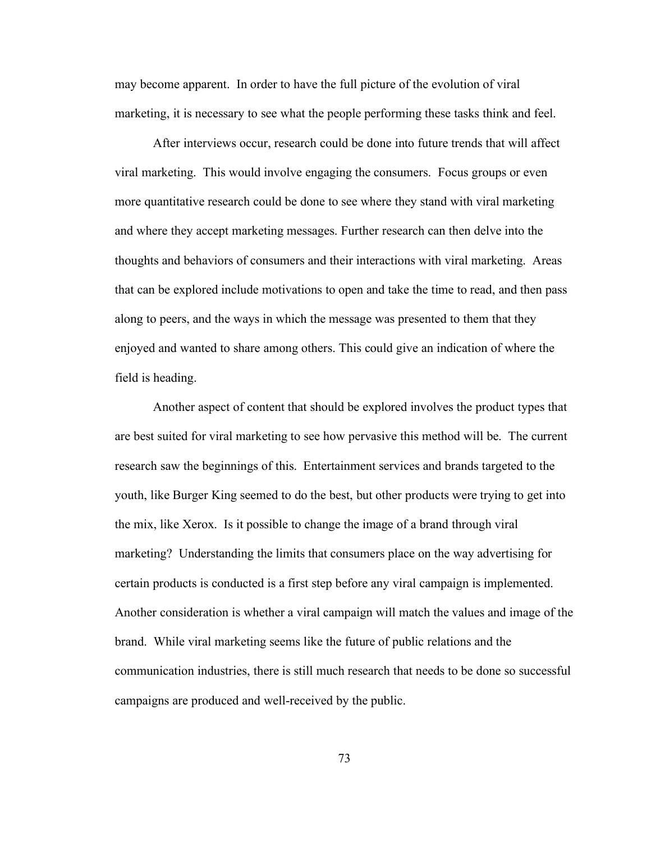may become apparent. In order to have the full picture of the evolution of viral marketing, it is necessary to see what the people performing these tasks think and feel.

After interviews occur, research could be done into future trends that will affect viral marketing. This would involve engaging the consumers. Focus groups or even more quantitative research could be done to see where they stand with viral marketing and where they accept marketing messages. Further research can then delve into the thoughts and behaviors of consumers and their interactions with viral marketing. Areas that can be explored include motivations to open and take the time to read, and then pass along to peers, and the ways in which the message was presented to them that they enjoyed and wanted to share among others. This could give an indication of where the field is heading.

Another aspect of content that should be explored involves the product types that are best suited for viral marketing to see how pervasive this method will be. The current research saw the beginnings of this. Entertainment services and brands targeted to the youth, like Burger King seemed to do the best, but other products were trying to get into the mix, like Xerox. Is it possible to change the image of a brand through viral marketing? Understanding the limits that consumers place on the way advertising for certain products is conducted is a first step before any viral campaign is implemented. Another consideration is whether a viral campaign will match the values and image of the brand. While viral marketing seems like the future of public relations and the communication industries, there is still much research that needs to be done so successful campaigns are produced and well-received by the public.

73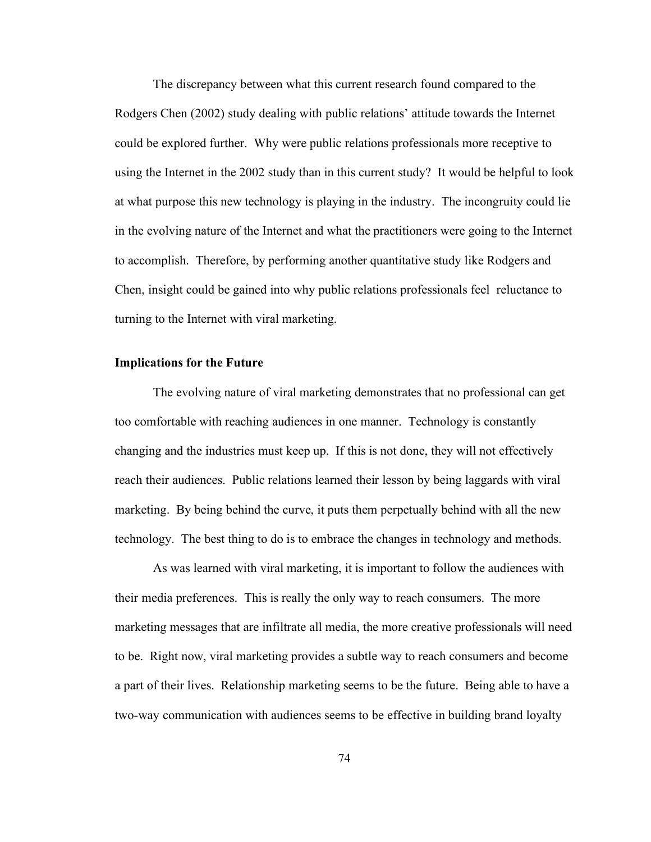The discrepancy between what this current research found compared to the Rodgers Chen (2002) study dealing with public relations' attitude towards the Internet could be explored further. Why were public relations professionals more receptive to using the Internet in the 2002 study than in this current study? It would be helpful to look at what purpose this new technology is playing in the industry. The incongruity could lie in the evolving nature of the Internet and what the practitioners were going to the Internet to accomplish. Therefore, by performing another quantitative study like Rodgers and Chen, insight could be gained into why public relations professionals feel reluctance to turning to the Internet with viral marketing.

## **Implications for the Future**

The evolving nature of viral marketing demonstrates that no professional can get too comfortable with reaching audiences in one manner. Technology is constantly changing and the industries must keep up. If this is not done, they will not effectively reach their audiences. Public relations learned their lesson by being laggards with viral marketing. By being behind the curve, it puts them perpetually behind with all the new technology. The best thing to do is to embrace the changes in technology and methods.

As was learned with viral marketing, it is important to follow the audiences with their media preferences. This is really the only way to reach consumers. The more marketing messages that are infiltrate all media, the more creative professionals will need to be. Right now, viral marketing provides a subtle way to reach consumers and become a part of their lives. Relationship marketing seems to be the future. Being able to have a two-way communication with audiences seems to be effective in building brand loyalty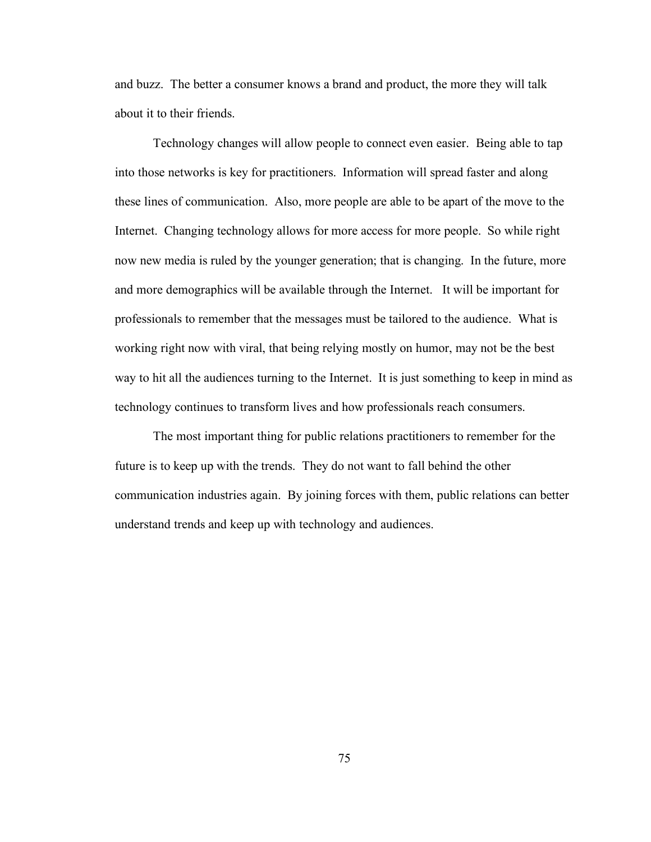and buzz. The better a consumer knows a brand and product, the more they will talk about it to their friends.

Technology changes will allow people to connect even easier. Being able to tap into those networks is key for practitioners. Information will spread faster and along these lines of communication. Also, more people are able to be apart of the move to the Internet. Changing technology allows for more access for more people. So while right now new media is ruled by the younger generation; that is changing. In the future, more and more demographics will be available through the Internet. It will be important for professionals to remember that the messages must be tailored to the audience. What is working right now with viral, that being relying mostly on humor, may not be the best way to hit all the audiences turning to the Internet. It is just something to keep in mind as technology continues to transform lives and how professionals reach consumers.

The most important thing for public relations practitioners to remember for the future is to keep up with the trends. They do not want to fall behind the other communication industries again. By joining forces with them, public relations can better understand trends and keep up with technology and audiences.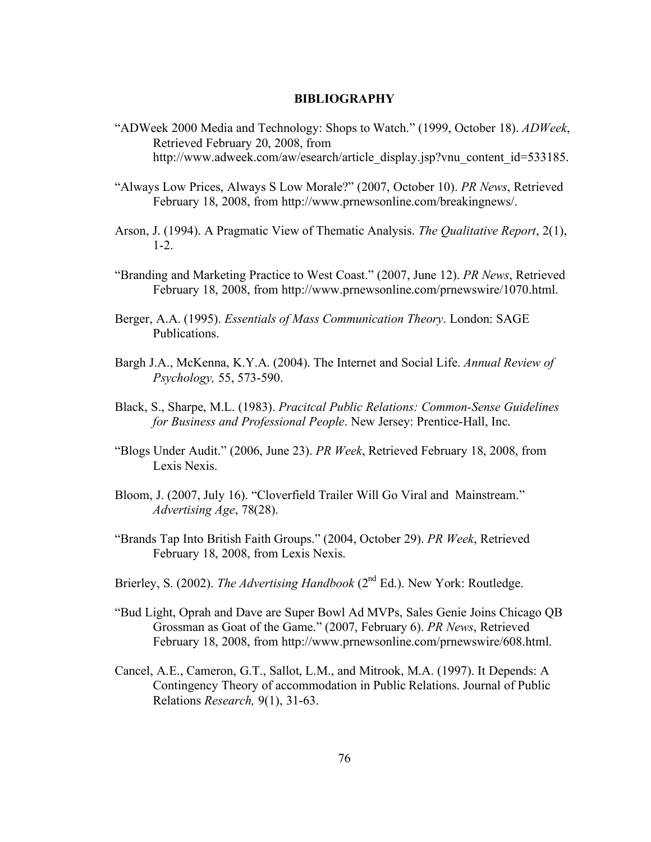## **BIBLIOGRAPHY**

- "ADWeek 2000 Media and Technology: Shops to Watch." (1999, October 18). *ADWeek*, Retrieved February 20, 2008, from http://www.adweek.com/aw/esearch/article\_display.jsp?vnu\_content\_id=533185.
- "Always Low Prices, Always S Low Morale?" (2007, October 10). *PR News*, Retrieved February 18, 2008, from http://www.prnewsonline.com/breakingnews/.
- Arson, J. (1994). A Pragmatic View of Thematic Analysis. *The Qualitative Report*, 2(1), 1-2.
- "Branding and Marketing Practice to West Coast." (2007, June 12). *PR News*, Retrieved February 18, 2008, from http://www.prnewsonline.com/prnewswire/1070.html.
- Berger, A.A. (1995). *Essentials of Mass Communication Theory*. London: SAGE Publications.
- Bargh J.A., McKenna, K.Y.A. (2004). The Internet and Social Life. *Annual Review of Psychology,* 55, 573-590.
- Black, S., Sharpe, M.L. (1983). *Pracitcal Public Relations: Common-Sense Guidelines for Business and Professional People*. New Jersey: Prentice-Hall, Inc.
- "Blogs Under Audit." (2006, June 23). *PR Week*, Retrieved February 18, 2008, from Lexis Nexis.
- Bloom, J. (2007, July 16). "Cloverfield Trailer Will Go Viral and Mainstream." *Advertising Age*, 78(28).
- "Brands Tap Into British Faith Groups." (2004, October 29). *PR Week*, Retrieved February 18, 2008, from Lexis Nexis.
- Brierley, S. (2002). *The Advertising Handbook* (2<sup>nd</sup> Ed.). New York: Routledge.
- "Bud Light, Oprah and Dave are Super Bowl Ad MVPs, Sales Genie Joins Chicago QB Grossman as Goat of the Game." (2007, February 6). *PR News*, Retrieved February 18, 2008, from http://www.prnewsonline.com/prnewswire/608.html.
- Cancel, A.E., Cameron, G.T., Sallot, L.M., and Mitrook, M.A. (1997). It Depends: A Contingency Theory of accommodation in Public Relations. Journal of Public Relations *Research,* 9(1), 31-63.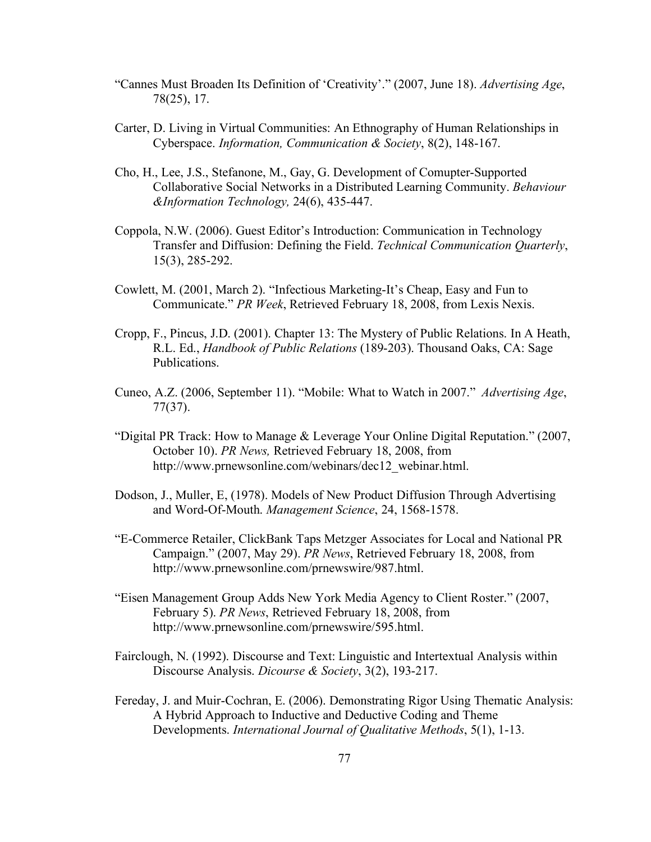- "Cannes Must Broaden Its Definition of 'Creativity'." (2007, June 18). *Advertising Age*, 78(25), 17.
- Carter, D. Living in Virtual Communities: An Ethnography of Human Relationships in Cyberspace. *Information, Communication & Society*, 8(2), 148-167.
- Cho, H., Lee, J.S., Stefanone, M., Gay, G. Development of Comupter-Supported Collaborative Social Networks in a Distributed Learning Community. *Behaviour &Information Technology,* 24(6), 435-447.
- Coppola, N.W. (2006). Guest Editor's Introduction: Communication in Technology Transfer and Diffusion: Defining the Field. *Technical Communication Quarterly*, 15(3), 285-292.
- Cowlett, M. (2001, March 2). "Infectious Marketing-It's Cheap, Easy and Fun to Communicate." *PR Week*, Retrieved February 18, 2008, from Lexis Nexis.
- Cropp, F., Pincus, J.D. (2001). Chapter 13: The Mystery of Public Relations. In A Heath, R.L. Ed., *Handbook of Public Relations* (189-203). Thousand Oaks, CA: Sage Publications.
- Cuneo, A.Z. (2006, September 11). "Mobile: What to Watch in 2007." *Advertising Age*, 77(37).
- "Digital PR Track: How to Manage & Leverage Your Online Digital Reputation." (2007, October 10). *PR News,* Retrieved February 18, 2008, from http://www.prnewsonline.com/webinars/dec12\_webinar.html.
- Dodson, J., Muller, E, (1978). Models of New Product Diffusion Through Advertising and Word-Of-Mouth. *Management Science*, 24, 1568-1578.
- "E-Commerce Retailer, ClickBank Taps Metzger Associates for Local and National PR Campaign." (2007, May 29). *PR News*, Retrieved February 18, 2008, from http://www.prnewsonline.com/prnewswire/987.html.
- "Eisen Management Group Adds New York Media Agency to Client Roster." (2007, February 5). *PR News*, Retrieved February 18, 2008, from http://www.prnewsonline.com/prnewswire/595.html.
- Fairclough, N. (1992). Discourse and Text: Linguistic and Intertextual Analysis within Discourse Analysis. *Dicourse & Society*, 3(2), 193-217.
- Fereday, J. and Muir-Cochran, E. (2006). Demonstrating Rigor Using Thematic Analysis: A Hybrid Approach to Inductive and Deductive Coding and Theme Developments. *International Journal of Qualitative Methods*, 5(1), 1-13.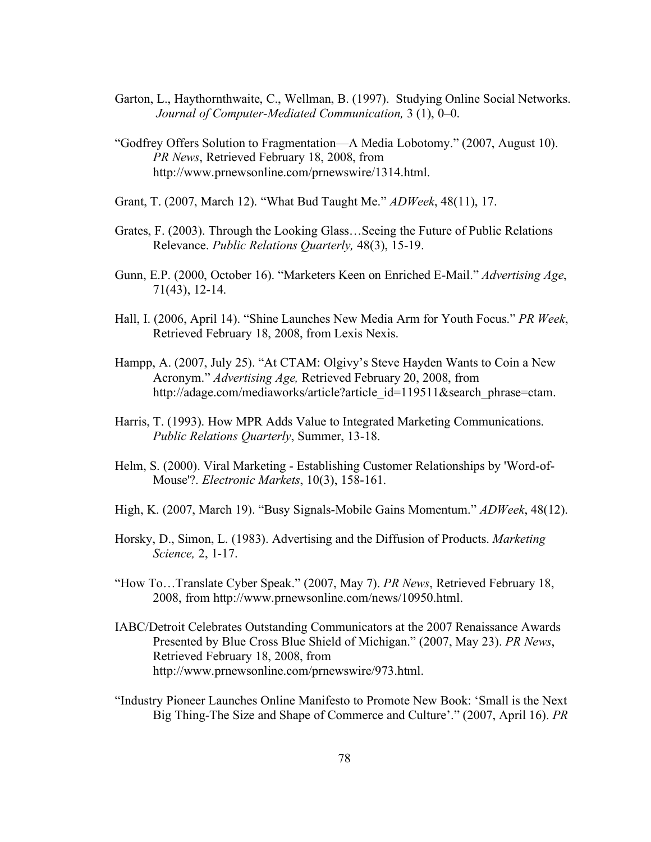- Garton, L., Haythornthwaite, C., Wellman, B. (1997). Studying Online Social Networks. *Journal of Computer-Mediated Communication,* 3 (1), 0–0.
- "Godfrey Offers Solution to Fragmentation—A Media Lobotomy." (2007, August 10). *PR News*, Retrieved February 18, 2008, from http://www.prnewsonline.com/prnewswire/1314.html.
- Grant, T. (2007, March 12). "What Bud Taught Me." *ADWeek*, 48(11), 17.
- Grates, F. (2003). Through the Looking Glass…Seeing the Future of Public Relations Relevance. *Public Relations Quarterly,* 48(3), 15-19.
- Gunn, E.P. (2000, October 16). "Marketers Keen on Enriched E-Mail." *Advertising Age*, 71(43), 12-14.
- Hall, I. (2006, April 14). "Shine Launches New Media Arm for Youth Focus." *PR Week*, Retrieved February 18, 2008, from Lexis Nexis.
- Hampp, A. (2007, July 25). "At CTAM: Olgivy's Steve Hayden Wants to Coin a New Acronym." *Advertising Age,* Retrieved February 20, 2008, from http://adage.com/mediaworks/article?article\_id=119511&search\_phrase=ctam.
- Harris, T. (1993). How MPR Adds Value to Integrated Marketing Communications. *Public Relations Quarterly*, Summer, 13-18.
- Helm, S. (2000). Viral Marketing Establishing Customer Relationships by 'Word-of-Mouse'?. *Electronic Markets*, 10(3), 158-161.
- High, K. (2007, March 19). "Busy Signals-Mobile Gains Momentum." *ADWeek*, 48(12).
- Horsky, D., Simon, L. (1983). Advertising and the Diffusion of Products. *Marketing Science,* 2, 1-17.
- "How To…Translate Cyber Speak." (2007, May 7). *PR News*, Retrieved February 18, 2008, from http://www.prnewsonline.com/news/10950.html.
- IABC/Detroit Celebrates Outstanding Communicators at the 2007 Renaissance Awards Presented by Blue Cross Blue Shield of Michigan." (2007, May 23). *PR News*, Retrieved February 18, 2008, from http://www.prnewsonline.com/prnewswire/973.html.
- "Industry Pioneer Launches Online Manifesto to Promote New Book: 'Small is the Next Big Thing-The Size and Shape of Commerce and Culture'." (2007, April 16). *PR*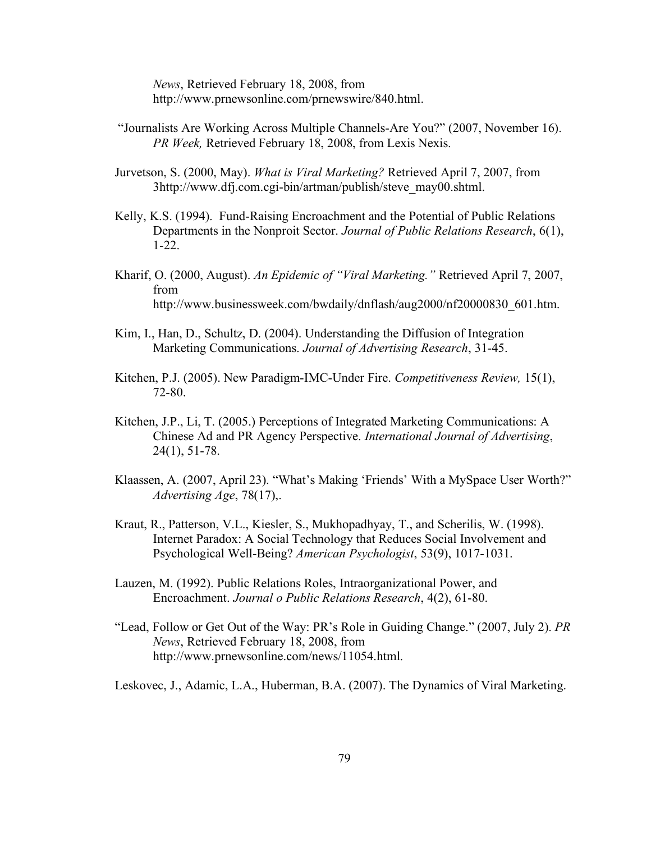*News*, Retrieved February 18, 2008, from http://www.prnewsonline.com/prnewswire/840.html.

- "Journalists Are Working Across Multiple Channels-Are You?" (2007, November 16). *PR Week,* Retrieved February 18, 2008, from Lexis Nexis.
- Jurvetson, S. (2000, May). *What is Viral Marketing?* Retrieved April 7, 2007, from 3http://www.dfj.com.cgi-bin/artman/publish/steve\_may00.shtml.
- Kelly, K.S. (1994). Fund-Raising Encroachment and the Potential of Public Relations Departments in the Nonproit Sector. *Journal of Public Relations Research*, 6(1), 1-22.
- Kharif, O. (2000, August). *An Epidemic of "Viral Marketing."* Retrieved April 7, 2007, from http://www.businessweek.com/bwdaily/dnflash/aug2000/nf20000830\_601.htm.
- Kim, I., Han, D., Schultz, D. (2004). Understanding the Diffusion of Integration Marketing Communications. *Journal of Advertising Research*, 31-45.
- Kitchen, P.J. (2005). New Paradigm-IMC-Under Fire. *Competitiveness Review,* 15(1), 72-80.
- Kitchen, J.P., Li, T. (2005.) Perceptions of Integrated Marketing Communications: A Chinese Ad and PR Agency Perspective. *International Journal of Advertising*, 24(1), 51-78.
- Klaassen, A. (2007, April 23). "What's Making 'Friends' With a MySpace User Worth?" *Advertising Age*, 78(17),.
- Kraut, R., Patterson, V.L., Kiesler, S., Mukhopadhyay, T., and Scherilis, W. (1998). Internet Paradox: A Social Technology that Reduces Social Involvement and Psychological Well-Being? *American Psychologist*, 53(9), 1017-1031.
- Lauzen, M. (1992). Public Relations Roles, Intraorganizational Power, and Encroachment. *Journal o Public Relations Research*, 4(2), 61-80.
- "Lead, Follow or Get Out of the Way: PR's Role in Guiding Change." (2007, July 2). *PR News*, Retrieved February 18, 2008, from http://www.prnewsonline.com/news/11054.html.

Leskovec, J., Adamic, L.A., Huberman, B.A. (2007). The Dynamics of Viral Marketing.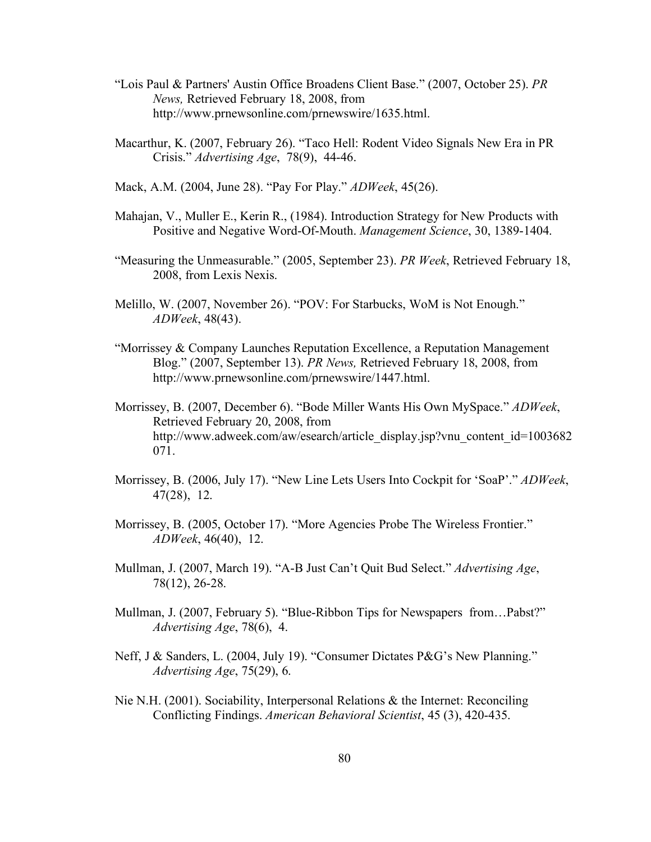- "Lois Paul & Partners' Austin Office Broadens Client Base." (2007, October 25). *PR News,* Retrieved February 18, 2008, from http://www.prnewsonline.com/prnewswire/1635.html.
- Macarthur, K. (2007, February 26). "Taco Hell: Rodent Video Signals New Era in PR Crisis." *Advertising Age*, 78(9), 44-46.
- Mack, A.M. (2004, June 28). "Pay For Play." *ADWeek*, 45(26).
- Mahajan, V., Muller E., Kerin R., (1984). Introduction Strategy for New Products with Positive and Negative Word-Of-Mouth. *Management Science*, 30, 1389-1404.
- "Measuring the Unmeasurable." (2005, September 23). *PR Week*, Retrieved February 18, 2008, from Lexis Nexis.
- Melillo, W. (2007, November 26). "POV: For Starbucks, WoM is Not Enough." *ADWeek*, 48(43).
- "Morrissey & Company Launches Reputation Excellence, a Reputation Management Blog." (2007, September 13). *PR News,* Retrieved February 18, 2008, from http://www.prnewsonline.com/prnewswire/1447.html.
- Morrissey, B. (2007, December 6). "Bode Miller Wants His Own MySpace." *ADWeek*, Retrieved February 20, 2008, from http://www.adweek.com/aw/esearch/article\_display.jsp?vnu\_content\_id=1003682 071.
- Morrissey, B. (2006, July 17). "New Line Lets Users Into Cockpit for 'SoaP'." *ADWeek*, 47(28), 12.
- Morrissey, B. (2005, October 17). "More Agencies Probe The Wireless Frontier." *ADWeek*, 46(40), 12.
- Mullman, J. (2007, March 19). "A-B Just Can't Quit Bud Select." *Advertising Age*, 78(12), 26-28.
- Mullman, J. (2007, February 5). "Blue-Ribbon Tips for Newspapers from…Pabst?" *Advertising Age*, 78(6), 4.
- Neff, J & Sanders, L. (2004, July 19). "Consumer Dictates P&G's New Planning." *Advertising Age*, 75(29), 6.
- Nie N.H. (2001). Sociability, Interpersonal Relations & the Internet: Reconciling Conflicting Findings. *American Behavioral Scientist*, 45 (3), 420-435.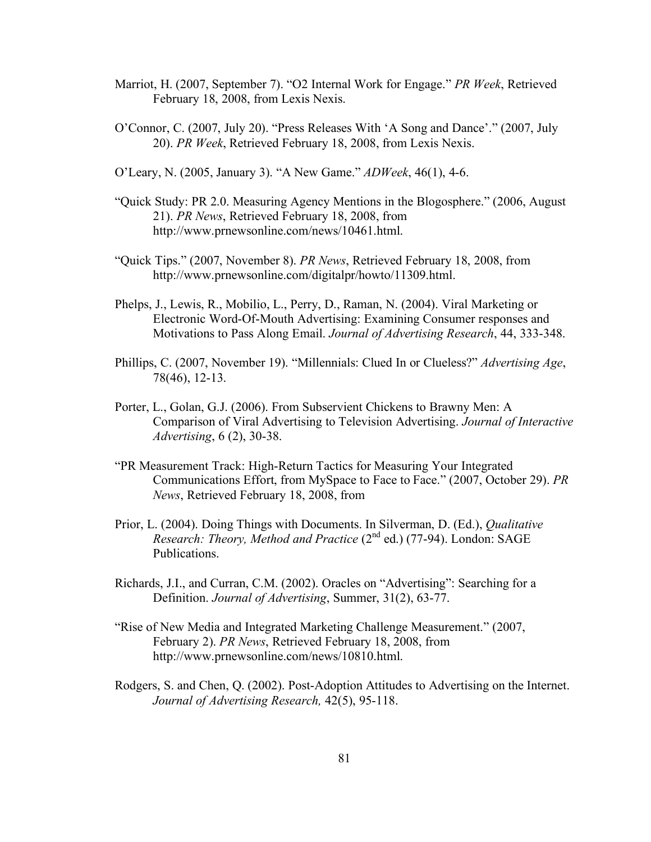- Marriot, H. (2007, September 7). "O2 Internal Work for Engage." *PR Week*, Retrieved February 18, 2008, from Lexis Nexis.
- O'Connor, C. (2007, July 20). "Press Releases With 'A Song and Dance'." (2007, July 20). *PR Week*, Retrieved February 18, 2008, from Lexis Nexis.

O'Leary, N. (2005, January 3). "A New Game." *ADWeek*, 46(1), 4-6.

- "Quick Study: PR 2.0. Measuring Agency Mentions in the Blogosphere." (2006, August 21). *PR News*, Retrieved February 18, 2008, from http://www.prnewsonline.com/news/10461.html.
- "Quick Tips." (2007, November 8). *PR News*, Retrieved February 18, 2008, from http://www.prnewsonline.com/digitalpr/howto/11309.html.
- Phelps, J., Lewis, R., Mobilio, L., Perry, D., Raman, N. (2004). Viral Marketing or Electronic Word-Of-Mouth Advertising: Examining Consumer responses and Motivations to Pass Along Email. *Journal of Advertising Research*, 44, 333-348.
- Phillips, C. (2007, November 19). "Millennials: Clued In or Clueless?" *Advertising Age*, 78(46), 12-13.
- Porter, L., Golan, G.J. (2006). From Subservient Chickens to Brawny Men: A Comparison of Viral Advertising to Television Advertising. *Journal of Interactive Advertising*, 6 (2), 30-38.
- "PR Measurement Track: High-Return Tactics for Measuring Your Integrated Communications Effort, from MySpace to Face to Face." (2007, October 29). *PR News*, Retrieved February 18, 2008, from
- Prior, L. (2004). Doing Things with Documents. In Silverman, D. (Ed.), *Qualitative Research: Theory, Method and Practice* (2nd ed.) (77-94). London: SAGE Publications.
- Richards, J.I., and Curran, C.M. (2002). Oracles on "Advertising": Searching for a Definition. *Journal of Advertising*, Summer, 31(2), 63-77.
- "Rise of New Media and Integrated Marketing Challenge Measurement." (2007, February 2). *PR News*, Retrieved February 18, 2008, from http://www.prnewsonline.com/news/10810.html.
- Rodgers, S. and Chen, Q. (2002). Post-Adoption Attitudes to Advertising on the Internet. *Journal of Advertising Research,* 42(5), 95-118.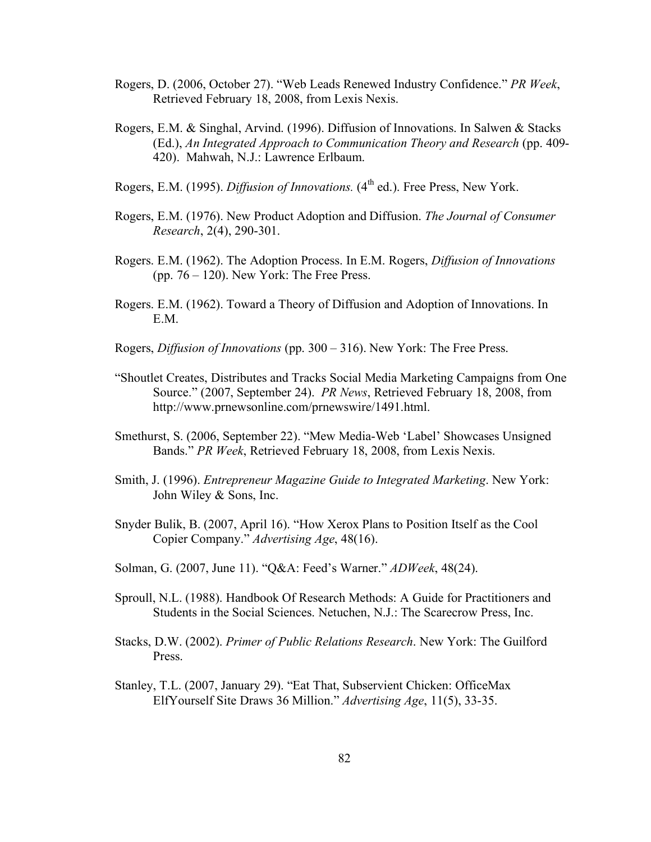- Rogers, D. (2006, October 27). "Web Leads Renewed Industry Confidence." *PR Week*, Retrieved February 18, 2008, from Lexis Nexis.
- Rogers, E.M. & Singhal, Arvind. (1996). Diffusion of Innovations. In Salwen & Stacks (Ed.), *An Integrated Approach to Communication Theory and Research* (pp. 409- 420). Mahwah, N.J.: Lawrence Erlbaum.
- Rogers, E.M. (1995). *Diffusion of Innovations.* (4<sup>th</sup> ed.). Free Press, New York.
- Rogers, E.M. (1976). New Product Adoption and Diffusion. *The Journal of Consumer Research*, 2(4), 290-301.
- Rogers. E.M. (1962). The Adoption Process. In E.M. Rogers, *Diffusion of Innovations* (pp. 76 – 120). New York: The Free Press.
- Rogers. E.M. (1962). Toward a Theory of Diffusion and Adoption of Innovations. In E.M.
- Rogers, *Diffusion of Innovations* (pp. 300 316). New York: The Free Press.
- "Shoutlet Creates, Distributes and Tracks Social Media Marketing Campaigns from One Source." (2007, September 24). *PR News*, Retrieved February 18, 2008, from http://www.prnewsonline.com/prnewswire/1491.html.
- Smethurst, S. (2006, September 22). "Mew Media-Web 'Label' Showcases Unsigned Bands." *PR Week*, Retrieved February 18, 2008, from Lexis Nexis.
- Smith, J. (1996). *Entrepreneur Magazine Guide to Integrated Marketing*. New York: John Wiley & Sons, Inc.
- Snyder Bulik, B. (2007, April 16). "How Xerox Plans to Position Itself as the Cool Copier Company." *Advertising Age*, 48(16).
- Solman, G. (2007, June 11). "Q&A: Feed's Warner." *ADWeek*, 48(24).
- Sproull, N.L. (1988). Handbook Of Research Methods: A Guide for Practitioners and Students in the Social Sciences. Netuchen, N.J.: The Scarecrow Press, Inc.
- Stacks, D.W. (2002). *Primer of Public Relations Research*. New York: The Guilford Press.
- Stanley, T.L. (2007, January 29). "Eat That, Subservient Chicken: OfficeMax ElfYourself Site Draws 36 Million." *Advertising Age*, 11(5), 33-35.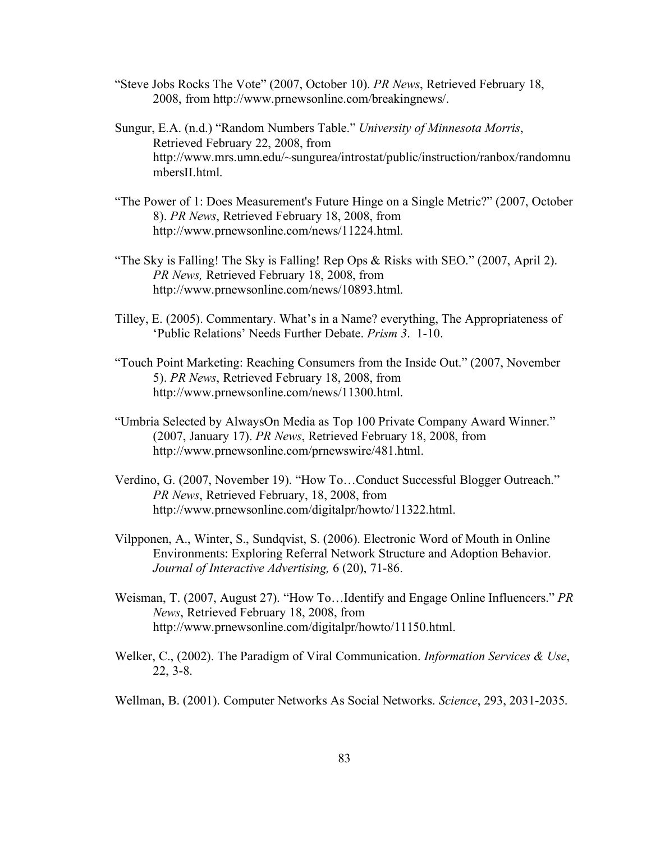- "Steve Jobs Rocks The Vote" (2007, October 10). *PR News*, Retrieved February 18, 2008, from http://www.prnewsonline.com/breakingnews/.
- Sungur, E.A. (n.d.) "Random Numbers Table." *University of Minnesota Morris*, Retrieved February 22, 2008, from http://www.mrs.umn.edu/~sungurea/introstat/public/instruction/ranbox/randomnu mbersII.html.
- "The Power of 1: Does Measurement's Future Hinge on a Single Metric?" (2007, October 8). *PR News*, Retrieved February 18, 2008, from http://www.prnewsonline.com/news/11224.html.
- "The Sky is Falling! The Sky is Falling! Rep Ops & Risks with SEO." (2007, April 2). *PR News,* Retrieved February 18, 2008, from http://www.prnewsonline.com/news/10893.html.
- Tilley, E. (2005). Commentary. What's in a Name? everything, The Appropriateness of 'Public Relations' Needs Further Debate. *Prism 3*. 1-10.
- "Touch Point Marketing: Reaching Consumers from the Inside Out." (2007, November 5). *PR News*, Retrieved February 18, 2008, from http://www.prnewsonline.com/news/11300.html.
- "Umbria Selected by AlwaysOn Media as Top 100 Private Company Award Winner." (2007, January 17). *PR News*, Retrieved February 18, 2008, from http://www.prnewsonline.com/prnewswire/481.html.
- Verdino, G. (2007, November 19). "How To…Conduct Successful Blogger Outreach." *PR News*, Retrieved February, 18, 2008, from http://www.prnewsonline.com/digitalpr/howto/11322.html.
- Vilpponen, A., Winter, S., Sundqvist, S. (2006). Electronic Word of Mouth in Online Environments: Exploring Referral Network Structure and Adoption Behavior. *Journal of Interactive Advertising,* 6 (20), 71-86.
- Weisman, T. (2007, August 27). "How To…Identify and Engage Online Influencers." *PR News*, Retrieved February 18, 2008, from http://www.prnewsonline.com/digitalpr/howto/11150.html.
- Welker, C., (2002). The Paradigm of Viral Communication. *Information Services & Use*, 22, 3-8.
- Wellman, B. (2001). Computer Networks As Social Networks. *Science*, 293, 2031-2035.